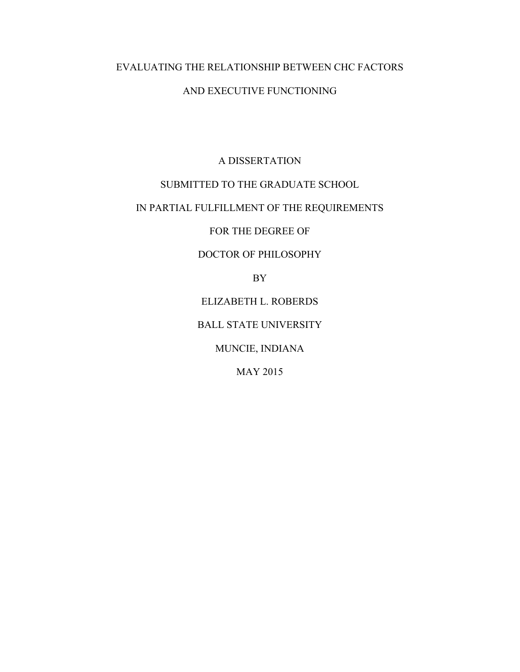# EVALUATING THE RELATIONSHIP BETWEEN CHC FACTORS AND EXECUTIVE FUNCTIONING

### A DISSERTATION

### SUBMITTED TO THE GRADUATE SCHOOL

### IN PARTIAL FULFILLMENT OF THE REQUIREMENTS

FOR THE DEGREE OF

### DOCTOR OF PHILOSOPHY

BY

ELIZABETH L. ROBERDS

BALL STATE UNIVERSITY

MUNCIE, INDIANA

MAY 2015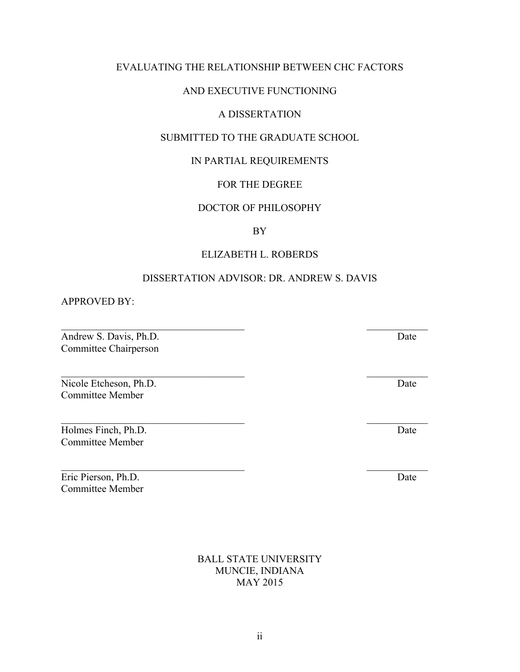# EVALUATING THE RELATIONSHIP BETWEEN CHC FACTORS

### AND EXECUTIVE FUNCTIONING

### A DISSERTATION

### SUBMITTED TO THE GRADUATE SCHOOL

# IN PARTIAL REQUIREMENTS

# FOR THE DEGREE

# DOCTOR OF PHILOSOPHY

# BY

# ELIZABETH L. ROBERDS

# DISSERTATION ADVISOR: DR. ANDREW S. DAVIS

 $\mathcal{L}_\text{max}$  and the contract of the contract of the contract of the contract of the contract of the contract of the contract of the contract of the contract of the contract of the contract of the contract of the contrac

 $\mathcal{L}_\text{max}$  , and the contract of the contract of the contract of the contract of the contract of the contract of the contract of the contract of the contract of the contract of the contract of the contract of the contr

 $\mathcal{L}_\text{max}$  , and the contract of the contract of the contract of the contract of the contract of the contract of the contract of the contract of the contract of the contract of the contract of the contract of the contr

APPROVED BY:

Andrew S. Davis, Ph.D. Date Committee Chairperson

Nicole Etcheson, Ph.D. Date Committee Member

Holmes Finch, Ph.D. Date Committee Member

Eric Pierson, Ph.D. Date Committee Member

> BALL STATE UNIVERSITY MUNCIE, INDIANA MAY 2015

 $\mathcal{L}_\text{max}$  , and the contract of the contract of the contract of the contract of the contract of the contract of the contract of the contract of the contract of the contract of the contract of the contract of the contr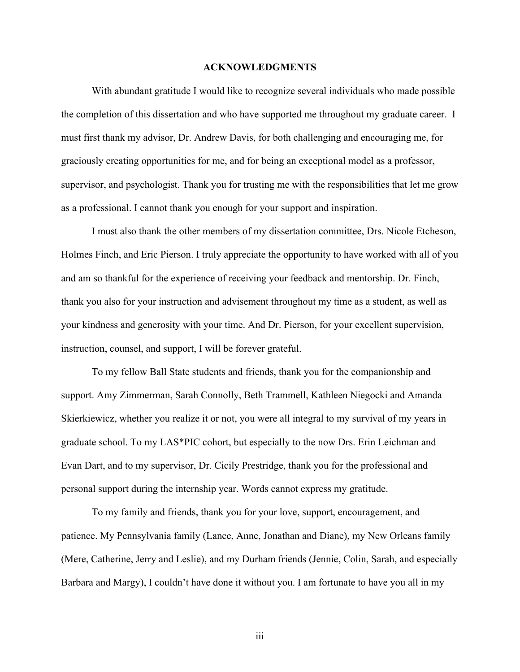#### **ACKNOWLEDGMENTS**

With abundant gratitude I would like to recognize several individuals who made possible the completion of this dissertation and who have supported me throughout my graduate career. I must first thank my advisor, Dr. Andrew Davis, for both challenging and encouraging me, for graciously creating opportunities for me, and for being an exceptional model as a professor, supervisor, and psychologist. Thank you for trusting me with the responsibilities that let me grow as a professional. I cannot thank you enough for your support and inspiration.

I must also thank the other members of my dissertation committee, Drs. Nicole Etcheson, Holmes Finch, and Eric Pierson. I truly appreciate the opportunity to have worked with all of you and am so thankful for the experience of receiving your feedback and mentorship. Dr. Finch, thank you also for your instruction and advisement throughout my time as a student, as well as your kindness and generosity with your time. And Dr. Pierson, for your excellent supervision, instruction, counsel, and support, I will be forever grateful.

To my fellow Ball State students and friends, thank you for the companionship and support. Amy Zimmerman, Sarah Connolly, Beth Trammell, Kathleen Niegocki and Amanda Skierkiewicz, whether you realize it or not, you were all integral to my survival of my years in graduate school. To my LAS\*PIC cohort, but especially to the now Drs. Erin Leichman and Evan Dart, and to my supervisor, Dr. Cicily Prestridge, thank you for the professional and personal support during the internship year. Words cannot express my gratitude.

To my family and friends, thank you for your love, support, encouragement, and patience. My Pennsylvania family (Lance, Anne, Jonathan and Diane), my New Orleans family (Mere, Catherine, Jerry and Leslie), and my Durham friends (Jennie, Colin, Sarah, and especially Barbara and Margy), I couldn't have done it without you. I am fortunate to have you all in my

iii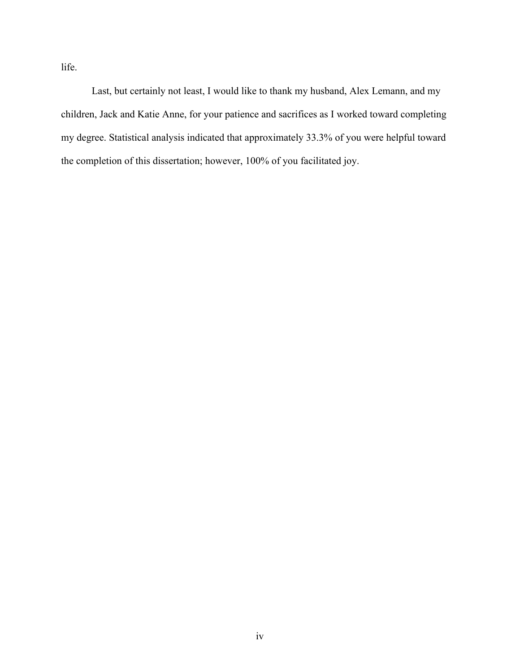life.

Last, but certainly not least, I would like to thank my husband, Alex Lemann, and my children, Jack and Katie Anne, for your patience and sacrifices as I worked toward completing my degree. Statistical analysis indicated that approximately 33.3% of you were helpful toward the completion of this dissertation; however, 100% of you facilitated joy.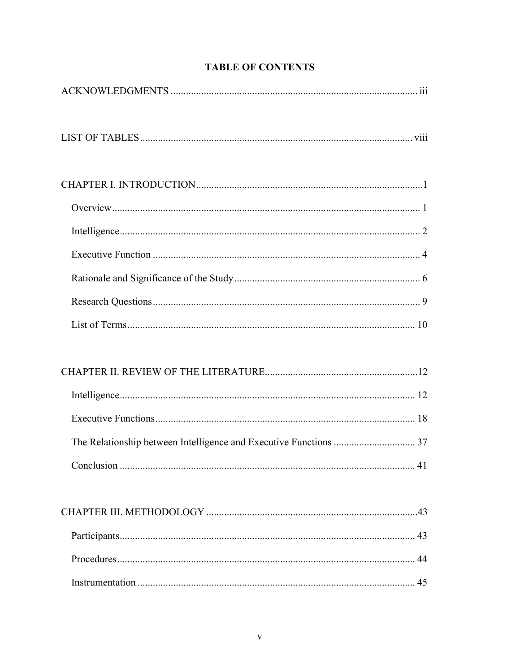# **TABLE OF CONTENTS**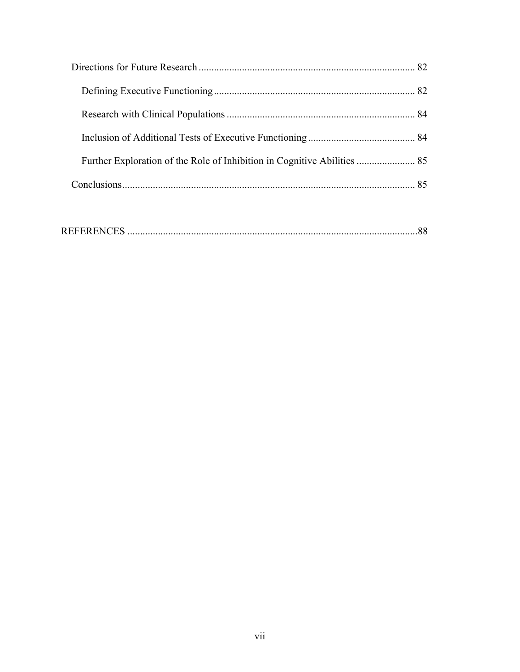| Further Exploration of the Role of Inhibition in Cognitive Abilities  85 |  |
|--------------------------------------------------------------------------|--|
|                                                                          |  |

|--|--|--|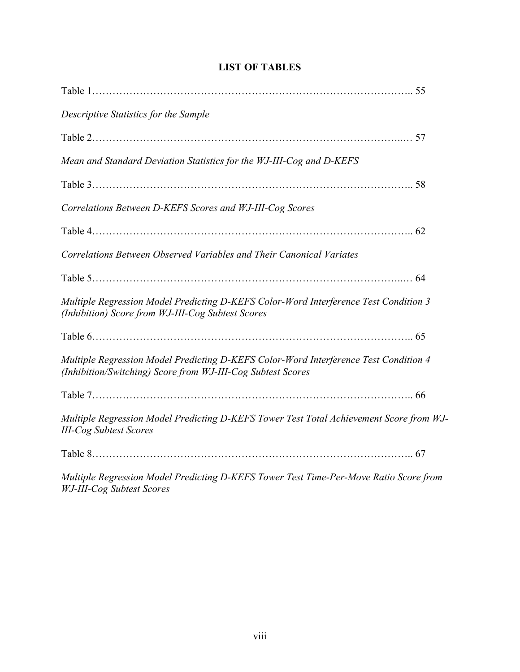| Descriptive Statistics for the Sample                                                                                                               |  |
|-----------------------------------------------------------------------------------------------------------------------------------------------------|--|
|                                                                                                                                                     |  |
| Mean and Standard Deviation Statistics for the WJ-III-Cog and D-KEFS                                                                                |  |
|                                                                                                                                                     |  |
| Correlations Between D-KEFS Scores and WJ-III-Cog Scores                                                                                            |  |
|                                                                                                                                                     |  |
| Correlations Between Observed Variables and Their Canonical Variates                                                                                |  |
|                                                                                                                                                     |  |
| Multiple Regression Model Predicting D-KEFS Color-Word Interference Test Condition 3<br>(Inhibition) Score from WJ-III-Cog Subtest Scores           |  |
|                                                                                                                                                     |  |
| Multiple Regression Model Predicting D-KEFS Color-Word Interference Test Condition 4<br>(Inhibition/Switching) Score from WJ-III-Cog Subtest Scores |  |
|                                                                                                                                                     |  |
| Multiple Regression Model Predicting D-KEFS Tower Test Total Achievement Score from WJ-<br><b>III-Cog Subtest Scores</b>                            |  |
|                                                                                                                                                     |  |
| Multiple Regression Model Predicting D KEES Tower Test Time Par Maye Ratio Score from                                                               |  |

# **LIST OF TABLES**

*Multiple Regression Model Predicting D-KEFS Tower Test Time-Per-Move Ratio Score from WJ-III-Cog Subtest Scores*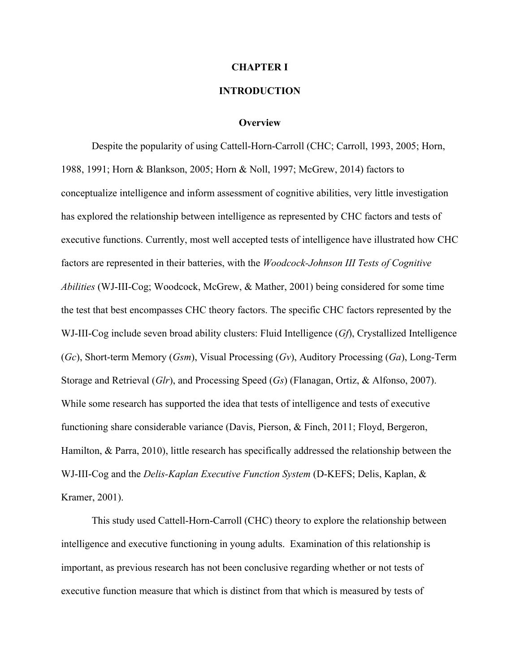#### **CHAPTER I**

### **INTRODUCTION**

#### **Overview**

Despite the popularity of using Cattell-Horn-Carroll (CHC; Carroll, 1993, 2005; Horn, 1988, 1991; Horn & Blankson, 2005; Horn & Noll, 1997; McGrew, 2014) factors to conceptualize intelligence and inform assessment of cognitive abilities, very little investigation has explored the relationship between intelligence as represented by CHC factors and tests of executive functions. Currently, most well accepted tests of intelligence have illustrated how CHC factors are represented in their batteries, with the *Woodcock-Johnson III Tests of Cognitive Abilities* (WJ-III-Cog; Woodcock, McGrew, & Mather, 2001) being considered for some time the test that best encompasses CHC theory factors. The specific CHC factors represented by the WJ-III-Cog include seven broad ability clusters: Fluid Intelligence (*Gf*), Crystallized Intelligence (*Gc*), Short-term Memory (*Gsm*), Visual Processing (*Gv*), Auditory Processing (*Ga*), Long-Term Storage and Retrieval (*Glr*), and Processing Speed (*Gs*) (Flanagan, Ortiz, & Alfonso, 2007). While some research has supported the idea that tests of intelligence and tests of executive functioning share considerable variance (Davis, Pierson, & Finch, 2011; Floyd, Bergeron, Hamilton, & Parra, 2010), little research has specifically addressed the relationship between the WJ-III-Cog and the *Delis-Kaplan Executive Function System* (D-KEFS; Delis, Kaplan, & Kramer, 2001).

This study used Cattell-Horn-Carroll (CHC) theory to explore the relationship between intelligence and executive functioning in young adults. Examination of this relationship is important, as previous research has not been conclusive regarding whether or not tests of executive function measure that which is distinct from that which is measured by tests of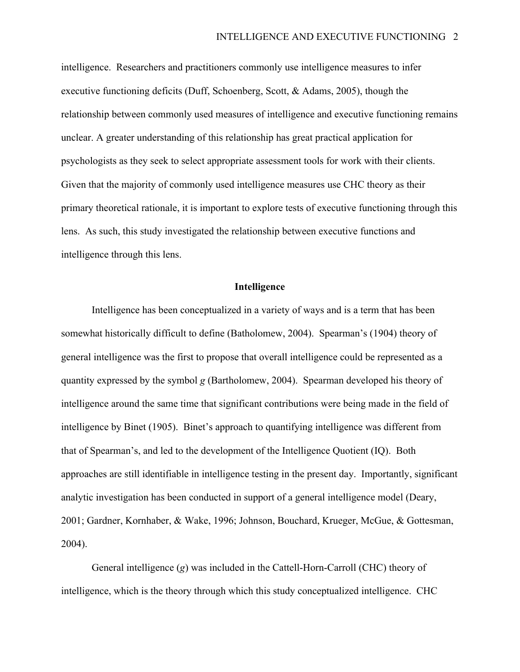intelligence. Researchers and practitioners commonly use intelligence measures to infer executive functioning deficits (Duff, Schoenberg, Scott, & Adams, 2005), though the relationship between commonly used measures of intelligence and executive functioning remains unclear. A greater understanding of this relationship has great practical application for psychologists as they seek to select appropriate assessment tools for work with their clients. Given that the majority of commonly used intelligence measures use CHC theory as their primary theoretical rationale, it is important to explore tests of executive functioning through this lens. As such, this study investigated the relationship between executive functions and intelligence through this lens.

#### **Intelligence**

Intelligence has been conceptualized in a variety of ways and is a term that has been somewhat historically difficult to define (Batholomew, 2004). Spearman's (1904) theory of general intelligence was the first to propose that overall intelligence could be represented as a quantity expressed by the symbol *g* (Bartholomew, 2004). Spearman developed his theory of intelligence around the same time that significant contributions were being made in the field of intelligence by Binet (1905). Binet's approach to quantifying intelligence was different from that of Spearman's, and led to the development of the Intelligence Quotient (IQ). Both approaches are still identifiable in intelligence testing in the present day. Importantly, significant analytic investigation has been conducted in support of a general intelligence model (Deary, 2001; Gardner, Kornhaber, & Wake, 1996; Johnson, Bouchard, Krueger, McGue, & Gottesman, 2004).

General intelligence (*g*) was included in the Cattell-Horn-Carroll (CHC) theory of intelligence, which is the theory through which this study conceptualized intelligence. CHC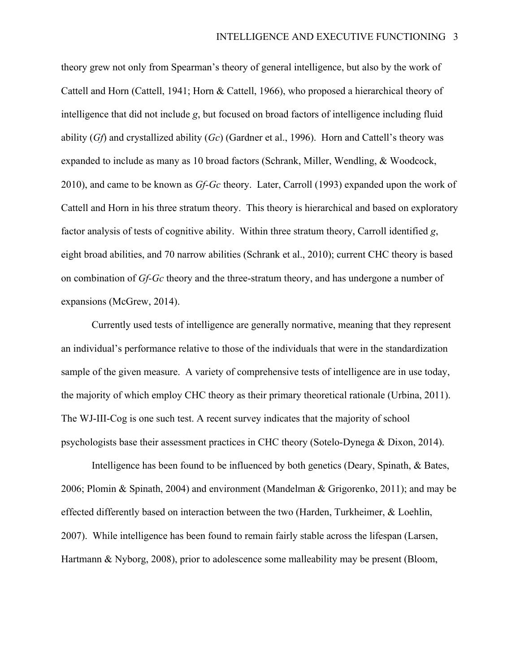theory grew not only from Spearman's theory of general intelligence, but also by the work of Cattell and Horn (Cattell, 1941; Horn & Cattell, 1966), who proposed a hierarchical theory of intelligence that did not include *g*, but focused on broad factors of intelligence including fluid ability (*Gf*) and crystallized ability (*Gc*) (Gardner et al., 1996). Horn and Cattell's theory was expanded to include as many as 10 broad factors (Schrank, Miller, Wendling, & Woodcock, 2010), and came to be known as *Gf-Gc* theory. Later, Carroll (1993) expanded upon the work of Cattell and Horn in his three stratum theory. This theory is hierarchical and based on exploratory factor analysis of tests of cognitive ability. Within three stratum theory, Carroll identified *g*, eight broad abilities, and 70 narrow abilities (Schrank et al., 2010); current CHC theory is based on combination of *Gf-Gc* theory and the three-stratum theory, and has undergone a number of expansions (McGrew, 2014).

Currently used tests of intelligence are generally normative, meaning that they represent an individual's performance relative to those of the individuals that were in the standardization sample of the given measure. A variety of comprehensive tests of intelligence are in use today, the majority of which employ CHC theory as their primary theoretical rationale (Urbina, 2011). The WJ-III-Cog is one such test. A recent survey indicates that the majority of school psychologists base their assessment practices in CHC theory (Sotelo-Dynega & Dixon, 2014).

Intelligence has been found to be influenced by both genetics (Deary, Spinath, & Bates, 2006; Plomin & Spinath, 2004) and environment (Mandelman & Grigorenko, 2011); and may be effected differently based on interaction between the two (Harden, Turkheimer, & Loehlin, 2007). While intelligence has been found to remain fairly stable across the lifespan (Larsen, Hartmann & Nyborg, 2008), prior to adolescence some malleability may be present (Bloom,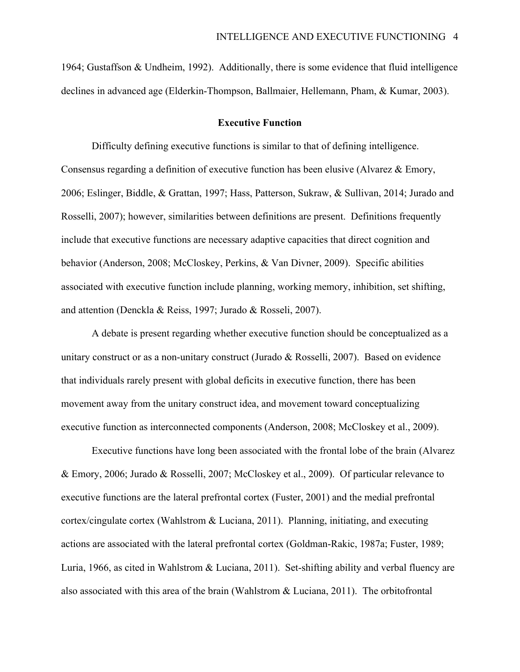1964; Gustaffson & Undheim, 1992). Additionally, there is some evidence that fluid intelligence declines in advanced age (Elderkin-Thompson, Ballmaier, Hellemann, Pham, & Kumar, 2003).

#### **Executive Function**

Difficulty defining executive functions is similar to that of defining intelligence. Consensus regarding a definition of executive function has been elusive (Alvarez & Emory, 2006; Eslinger, Biddle, & Grattan, 1997; Hass, Patterson, Sukraw, & Sullivan, 2014; Jurado and Rosselli, 2007); however, similarities between definitions are present. Definitions frequently include that executive functions are necessary adaptive capacities that direct cognition and behavior (Anderson, 2008; McCloskey, Perkins, & Van Divner, 2009). Specific abilities associated with executive function include planning, working memory, inhibition, set shifting, and attention (Denckla & Reiss, 1997; Jurado & Rosseli, 2007).

A debate is present regarding whether executive function should be conceptualized as a unitary construct or as a non-unitary construct (Jurado & Rosselli, 2007). Based on evidence that individuals rarely present with global deficits in executive function, there has been movement away from the unitary construct idea, and movement toward conceptualizing executive function as interconnected components (Anderson, 2008; McCloskey et al., 2009).

Executive functions have long been associated with the frontal lobe of the brain (Alvarez & Emory, 2006; Jurado & Rosselli, 2007; McCloskey et al., 2009). Of particular relevance to executive functions are the lateral prefrontal cortex (Fuster, 2001) and the medial prefrontal cortex/cingulate cortex (Wahlstrom & Luciana, 2011). Planning, initiating, and executing actions are associated with the lateral prefrontal cortex (Goldman-Rakic, 1987a; Fuster, 1989; Luria, 1966, as cited in Wahlstrom & Luciana, 2011). Set-shifting ability and verbal fluency are also associated with this area of the brain (Wahlstrom & Luciana, 2011). The orbitofrontal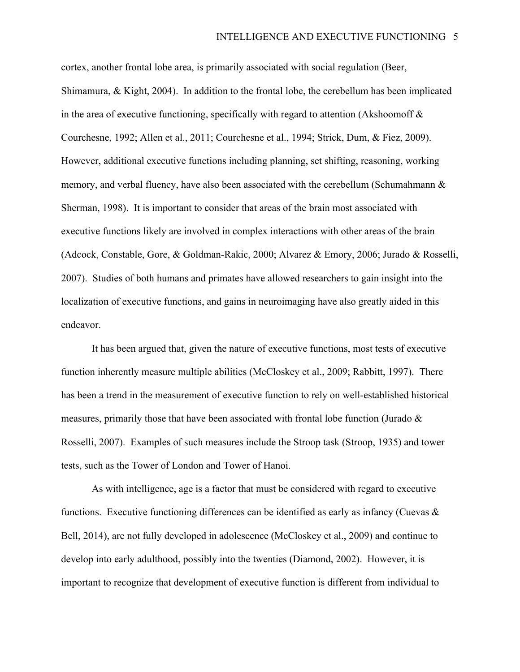cortex, another frontal lobe area, is primarily associated with social regulation (Beer, Shimamura, & Kight, 2004). In addition to the frontal lobe, the cerebellum has been implicated in the area of executive functioning, specifically with regard to attention (Akshoomoff  $\&$ Courchesne, 1992; Allen et al., 2011; Courchesne et al., 1994; Strick, Dum, & Fiez, 2009). However, additional executive functions including planning, set shifting, reasoning, working memory, and verbal fluency, have also been associated with the cerebellum (Schumahmann  $\&$ Sherman, 1998). It is important to consider that areas of the brain most associated with executive functions likely are involved in complex interactions with other areas of the brain (Adcock, Constable, Gore, & Goldman-Rakic, 2000; Alvarez & Emory, 2006; Jurado & Rosselli, 2007). Studies of both humans and primates have allowed researchers to gain insight into the localization of executive functions, and gains in neuroimaging have also greatly aided in this endeavor.

It has been argued that, given the nature of executive functions, most tests of executive function inherently measure multiple abilities (McCloskey et al., 2009; Rabbitt, 1997). There has been a trend in the measurement of executive function to rely on well-established historical measures, primarily those that have been associated with frontal lobe function (Jurado  $\&$ Rosselli, 2007). Examples of such measures include the Stroop task (Stroop, 1935) and tower tests, such as the Tower of London and Tower of Hanoi.

As with intelligence, age is a factor that must be considered with regard to executive functions. Executive functioning differences can be identified as early as infancy (Cuevas  $\&$ Bell, 2014), are not fully developed in adolescence (McCloskey et al., 2009) and continue to develop into early adulthood, possibly into the twenties (Diamond, 2002). However, it is important to recognize that development of executive function is different from individual to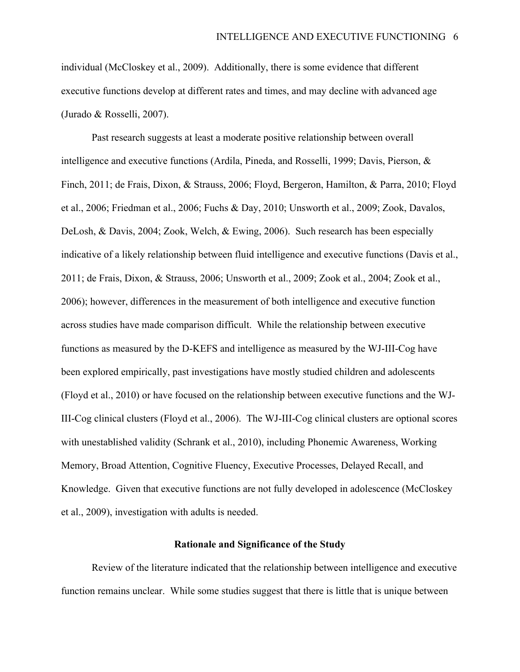individual (McCloskey et al., 2009). Additionally, there is some evidence that different executive functions develop at different rates and times, and may decline with advanced age (Jurado & Rosselli, 2007).

Past research suggests at least a moderate positive relationship between overall intelligence and executive functions (Ardila, Pineda, and Rosselli, 1999; Davis, Pierson, & Finch, 2011; de Frais, Dixon, & Strauss, 2006; Floyd, Bergeron, Hamilton, & Parra, 2010; Floyd et al., 2006; Friedman et al., 2006; Fuchs & Day, 2010; Unsworth et al., 2009; Zook, Davalos, DeLosh, & Davis, 2004; Zook, Welch, & Ewing, 2006). Such research has been especially indicative of a likely relationship between fluid intelligence and executive functions (Davis et al., 2011; de Frais, Dixon, & Strauss, 2006; Unsworth et al., 2009; Zook et al., 2004; Zook et al., 2006); however, differences in the measurement of both intelligence and executive function across studies have made comparison difficult. While the relationship between executive functions as measured by the D-KEFS and intelligence as measured by the WJ-III-Cog have been explored empirically, past investigations have mostly studied children and adolescents (Floyd et al., 2010) or have focused on the relationship between executive functions and the WJ-III-Cog clinical clusters (Floyd et al., 2006). The WJ-III-Cog clinical clusters are optional scores with unestablished validity (Schrank et al., 2010), including Phonemic Awareness, Working Memory, Broad Attention, Cognitive Fluency, Executive Processes, Delayed Recall, and Knowledge. Given that executive functions are not fully developed in adolescence (McCloskey et al., 2009), investigation with adults is needed.

#### **Rationale and Significance of the Study**

Review of the literature indicated that the relationship between intelligence and executive function remains unclear. While some studies suggest that there is little that is unique between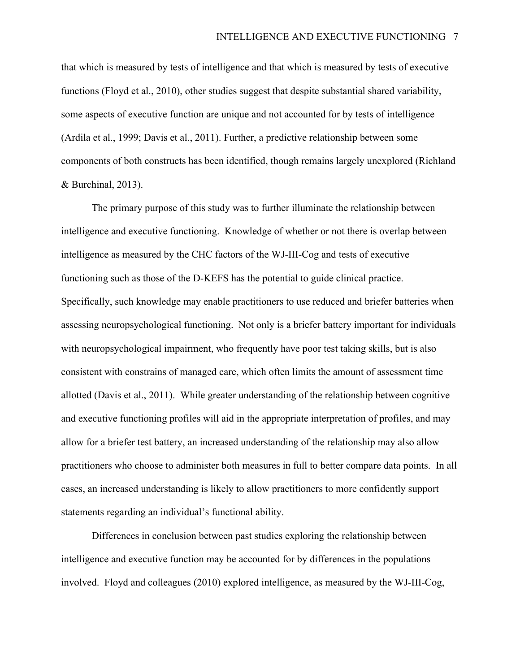that which is measured by tests of intelligence and that which is measured by tests of executive functions (Floyd et al., 2010), other studies suggest that despite substantial shared variability, some aspects of executive function are unique and not accounted for by tests of intelligence (Ardila et al., 1999; Davis et al., 2011). Further, a predictive relationship between some components of both constructs has been identified, though remains largely unexplored (Richland & Burchinal, 2013).

The primary purpose of this study was to further illuminate the relationship between intelligence and executive functioning. Knowledge of whether or not there is overlap between intelligence as measured by the CHC factors of the WJ-III-Cog and tests of executive functioning such as those of the D-KEFS has the potential to guide clinical practice. Specifically, such knowledge may enable practitioners to use reduced and briefer batteries when assessing neuropsychological functioning. Not only is a briefer battery important for individuals with neuropsychological impairment, who frequently have poor test taking skills, but is also consistent with constrains of managed care, which often limits the amount of assessment time allotted (Davis et al., 2011). While greater understanding of the relationship between cognitive and executive functioning profiles will aid in the appropriate interpretation of profiles, and may allow for a briefer test battery, an increased understanding of the relationship may also allow practitioners who choose to administer both measures in full to better compare data points. In all cases, an increased understanding is likely to allow practitioners to more confidently support statements regarding an individual's functional ability.

Differences in conclusion between past studies exploring the relationship between intelligence and executive function may be accounted for by differences in the populations involved. Floyd and colleagues (2010) explored intelligence, as measured by the WJ-III-Cog,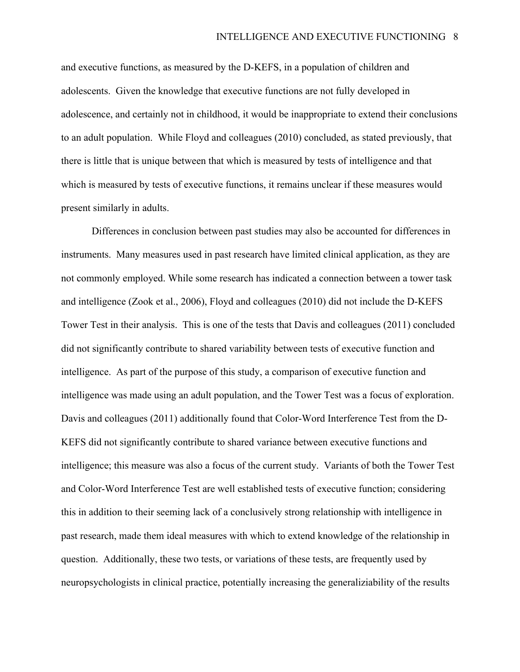and executive functions, as measured by the D-KEFS, in a population of children and adolescents. Given the knowledge that executive functions are not fully developed in adolescence, and certainly not in childhood, it would be inappropriate to extend their conclusions to an adult population. While Floyd and colleagues (2010) concluded, as stated previously, that there is little that is unique between that which is measured by tests of intelligence and that which is measured by tests of executive functions, it remains unclear if these measures would present similarly in adults.

Differences in conclusion between past studies may also be accounted for differences in instruments. Many measures used in past research have limited clinical application, as they are not commonly employed. While some research has indicated a connection between a tower task and intelligence (Zook et al., 2006), Floyd and colleagues (2010) did not include the D-KEFS Tower Test in their analysis. This is one of the tests that Davis and colleagues (2011) concluded did not significantly contribute to shared variability between tests of executive function and intelligence. As part of the purpose of this study, a comparison of executive function and intelligence was made using an adult population, and the Tower Test was a focus of exploration. Davis and colleagues (2011) additionally found that Color-Word Interference Test from the D-KEFS did not significantly contribute to shared variance between executive functions and intelligence; this measure was also a focus of the current study. Variants of both the Tower Test and Color-Word Interference Test are well established tests of executive function; considering this in addition to their seeming lack of a conclusively strong relationship with intelligence in past research, made them ideal measures with which to extend knowledge of the relationship in question. Additionally, these two tests, or variations of these tests, are frequently used by neuropsychologists in clinical practice, potentially increasing the generaliziability of the results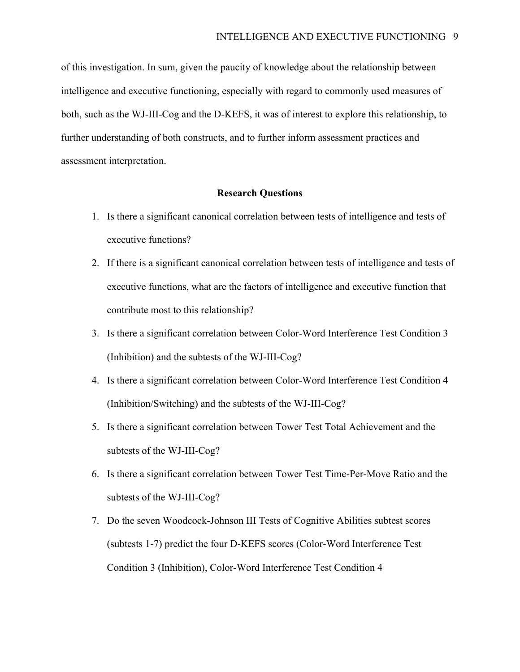of this investigation. In sum, given the paucity of knowledge about the relationship between intelligence and executive functioning, especially with regard to commonly used measures of both, such as the WJ-III-Cog and the D-KEFS, it was of interest to explore this relationship, to further understanding of both constructs, and to further inform assessment practices and assessment interpretation.

### **Research Questions**

- 1. Is there a significant canonical correlation between tests of intelligence and tests of executive functions?
- 2. If there is a significant canonical correlation between tests of intelligence and tests of executive functions, what are the factors of intelligence and executive function that contribute most to this relationship?
- 3. Is there a significant correlation between Color-Word Interference Test Condition 3 (Inhibition) and the subtests of the WJ-III-Cog?
- 4. Is there a significant correlation between Color-Word Interference Test Condition 4 (Inhibition/Switching) and the subtests of the WJ-III-Cog?
- 5. Is there a significant correlation between Tower Test Total Achievement and the subtests of the WJ-III-Cog?
- 6. Is there a significant correlation between Tower Test Time-Per-Move Ratio and the subtests of the WJ-III-Cog?
- 7. Do the seven Woodcock-Johnson III Tests of Cognitive Abilities subtest scores (subtests 1-7) predict the four D-KEFS scores (Color-Word Interference Test Condition 3 (Inhibition), Color-Word Interference Test Condition 4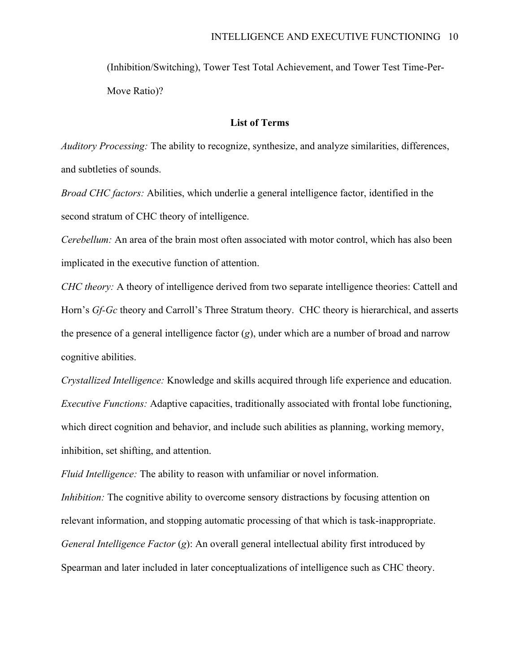(Inhibition/Switching), Tower Test Total Achievement, and Tower Test Time-Per-Move Ratio)?

### **List of Terms**

*Auditory Processing:* The ability to recognize, synthesize, and analyze similarities, differences, and subtleties of sounds.

*Broad CHC factors:* Abilities, which underlie a general intelligence factor, identified in the second stratum of CHC theory of intelligence.

*Cerebellum:* An area of the brain most often associated with motor control, which has also been implicated in the executive function of attention.

*CHC theory:* A theory of intelligence derived from two separate intelligence theories: Cattell and Horn's *Gf-Gc* theory and Carroll's Three Stratum theory. CHC theory is hierarchical, and asserts the presence of a general intelligence factor (*g*), under which are a number of broad and narrow cognitive abilities.

*Crystallized Intelligence:* Knowledge and skills acquired through life experience and education. *Executive Functions:* Adaptive capacities, traditionally associated with frontal lobe functioning, which direct cognition and behavior, and include such abilities as planning, working memory, inhibition, set shifting, and attention.

*Inhibition:* The cognitive ability to overcome sensory distractions by focusing attention on relevant information, and stopping automatic processing of that which is task-inappropriate. *General Intelligence Factor* (*g*): An overall general intellectual ability first introduced by Spearman and later included in later conceptualizations of intelligence such as CHC theory.

*Fluid Intelligence:* The ability to reason with unfamiliar or novel information.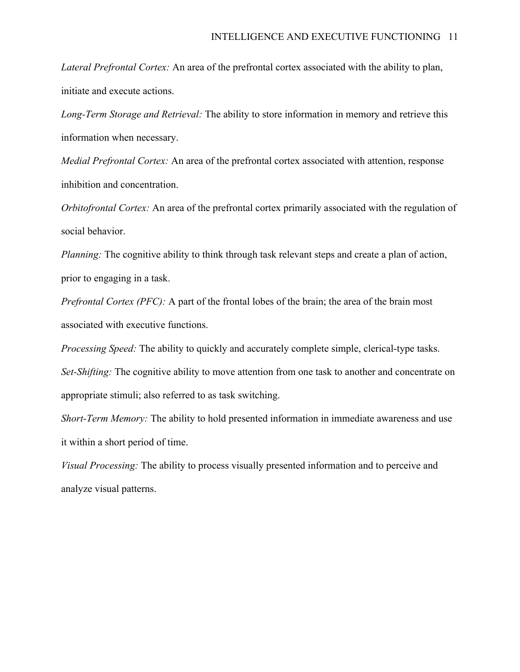*Lateral Prefrontal Cortex:* An area of the prefrontal cortex associated with the ability to plan, initiate and execute actions.

*Long-Term Storage and Retrieval:* The ability to store information in memory and retrieve this information when necessary.

*Medial Prefrontal Cortex:* An area of the prefrontal cortex associated with attention, response inhibition and concentration.

*Orbitofrontal Cortex:* An area of the prefrontal cortex primarily associated with the regulation of social behavior.

*Planning:* The cognitive ability to think through task relevant steps and create a plan of action, prior to engaging in a task.

*Prefrontal Cortex (PFC):* A part of the frontal lobes of the brain; the area of the brain most associated with executive functions.

*Processing Speed:* The ability to quickly and accurately complete simple, clerical-type tasks. *Set-Shifting:* The cognitive ability to move attention from one task to another and concentrate on appropriate stimuli; also referred to as task switching.

*Short-Term Memory:* The ability to hold presented information in immediate awareness and use it within a short period of time.

*Visual Processing:* The ability to process visually presented information and to perceive and analyze visual patterns.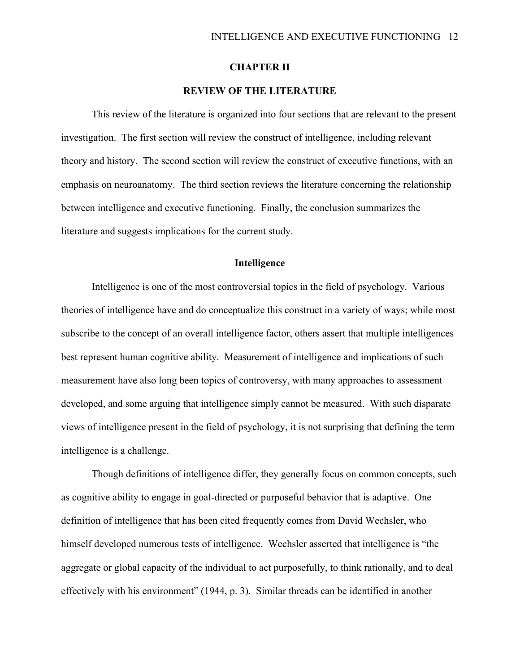### **CHAPTER II**

### **REVIEW OF THE LITERATURE**

This review of the literature is organized into four sections that are relevant to the present investigation. The first section will review the construct of intelligence, including relevant theory and history. The second section will review the construct of executive functions, with an emphasis on neuroanatomy. The third section reviews the literature concerning the relationship between intelligence and executive functioning. Finally, the conclusion summarizes the literature and suggests implications for the current study.

### **Intelligence**

Intelligence is one of the most controversial topics in the field of psychology. Various theories of intelligence have and do conceptualize this construct in a variety of ways; while most subscribe to the concept of an overall intelligence factor, others assert that multiple intelligences best represent human cognitive ability. Measurement of intelligence and implications of such measurement have also long been topics of controversy, with many approaches to assessment developed, and some arguing that intelligence simply cannot be measured. With such disparate views of intelligence present in the field of psychology, it is not surprising that defining the term intelligence is a challenge.

Though definitions of intelligence differ, they generally focus on common concepts, such as cognitive ability to engage in goal-directed or purposeful behavior that is adaptive. One definition of intelligence that has been cited frequently comes from David Wechsler, who himself developed numerous tests of intelligence. Wechsler asserted that intelligence is "the aggregate or global capacity of the individual to act purposefully, to think rationally, and to deal effectively with his environment" (1944, p. 3). Similar threads can be identified in another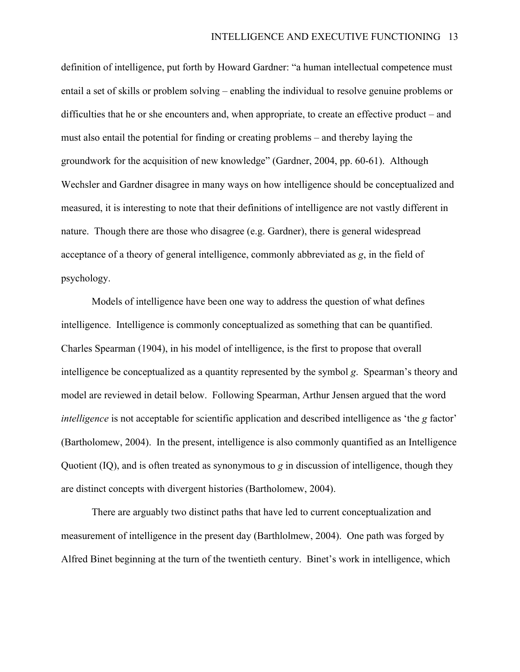definition of intelligence, put forth by Howard Gardner: "a human intellectual competence must entail a set of skills or problem solving – enabling the individual to resolve genuine problems or difficulties that he or she encounters and, when appropriate, to create an effective product – and must also entail the potential for finding or creating problems – and thereby laying the groundwork for the acquisition of new knowledge" (Gardner, 2004, pp. 60-61). Although Wechsler and Gardner disagree in many ways on how intelligence should be conceptualized and measured, it is interesting to note that their definitions of intelligence are not vastly different in nature. Though there are those who disagree (e.g. Gardner), there is general widespread acceptance of a theory of general intelligence, commonly abbreviated as *g*, in the field of psychology.

Models of intelligence have been one way to address the question of what defines intelligence. Intelligence is commonly conceptualized as something that can be quantified. Charles Spearman (1904), in his model of intelligence, is the first to propose that overall intelligence be conceptualized as a quantity represented by the symbol *g*. Spearman's theory and model are reviewed in detail below. Following Spearman, Arthur Jensen argued that the word *intelligence* is not acceptable for scientific application and described intelligence as 'the *g* factor' (Bartholomew, 2004). In the present, intelligence is also commonly quantified as an Intelligence Quotient (IQ), and is often treated as synonymous to *g* in discussion of intelligence, though they are distinct concepts with divergent histories (Bartholomew, 2004).

There are arguably two distinct paths that have led to current conceptualization and measurement of intelligence in the present day (Barthlolmew, 2004). One path was forged by Alfred Binet beginning at the turn of the twentieth century. Binet's work in intelligence, which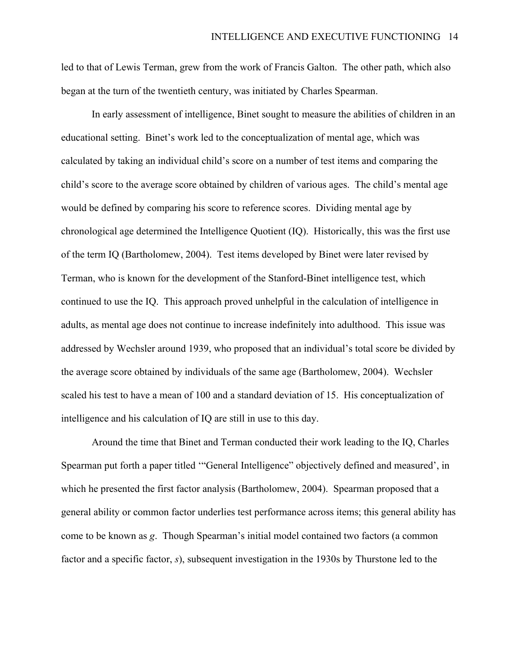led to that of Lewis Terman, grew from the work of Francis Galton. The other path, which also began at the turn of the twentieth century, was initiated by Charles Spearman.

In early assessment of intelligence, Binet sought to measure the abilities of children in an educational setting. Binet's work led to the conceptualization of mental age, which was calculated by taking an individual child's score on a number of test items and comparing the child's score to the average score obtained by children of various ages. The child's mental age would be defined by comparing his score to reference scores. Dividing mental age by chronological age determined the Intelligence Quotient (IQ). Historically, this was the first use of the term IQ (Bartholomew, 2004). Test items developed by Binet were later revised by Terman, who is known for the development of the Stanford-Binet intelligence test, which continued to use the IQ. This approach proved unhelpful in the calculation of intelligence in adults, as mental age does not continue to increase indefinitely into adulthood. This issue was addressed by Wechsler around 1939, who proposed that an individual's total score be divided by the average score obtained by individuals of the same age (Bartholomew, 2004). Wechsler scaled his test to have a mean of 100 and a standard deviation of 15. His conceptualization of intelligence and his calculation of IQ are still in use to this day.

Around the time that Binet and Terman conducted their work leading to the IQ, Charles Spearman put forth a paper titled '"General Intelligence" objectively defined and measured', in which he presented the first factor analysis (Bartholomew, 2004). Spearman proposed that a general ability or common factor underlies test performance across items; this general ability has come to be known as *g*. Though Spearman's initial model contained two factors (a common factor and a specific factor, *s*), subsequent investigation in the 1930s by Thurstone led to the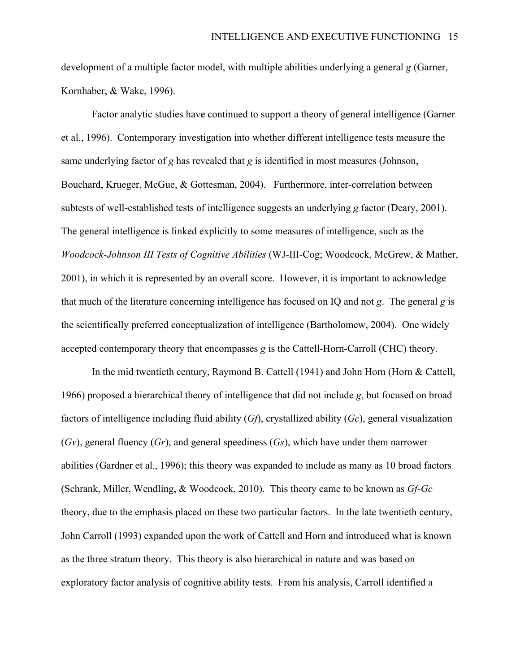development of a multiple factor model, with multiple abilities underlying a general *g* (Garner, Kornhaber, & Wake, 1996).

Factor analytic studies have continued to support a theory of general intelligence (Garner et al., 1996). Contemporary investigation into whether different intelligence tests measure the same underlying factor of *g* has revealed that *g* is identified in most measures (Johnson, Bouchard, Krueger, McGue, & Gottesman, 2004). Furthermore, inter-correlation between subtests of well-established tests of intelligence suggests an underlying *g* factor (Deary, 2001). The general intelligence is linked explicitly to some measures of intelligence, such as the *Woodcock-Johnson III Tests of Cognitive Abilities* (WJ-III-Cog; Woodcock, McGrew, & Mather, 2001), in which it is represented by an overall score. However, it is important to acknowledge that much of the literature concerning intelligence has focused on IQ and not *g*. The general *g* is the scientifically preferred conceptualization of intelligence (Bartholomew, 2004). One widely accepted contemporary theory that encompasses *g* is the Cattell-Horn-Carroll (CHC) theory.

In the mid twentieth century, Raymond B. Cattell (1941) and John Horn (Horn & Cattell, 1966) proposed a hierarchical theory of intelligence that did not include *g*, but focused on broad factors of intelligence including fluid ability (*Gf*), crystallized ability (*Gc*), general visualization (*Gv*), general fluency (*Gr*), and general speediness (*Gs*), which have under them narrower abilities (Gardner et al., 1996); this theory was expanded to include as many as 10 broad factors (Schrank, Miller, Wendling, & Woodcock, 2010). This theory came to be known as *Gf-Gc* theory, due to the emphasis placed on these two particular factors. In the late twentieth century, John Carroll (1993) expanded upon the work of Cattell and Horn and introduced what is known as the three stratum theory. This theory is also hierarchical in nature and was based on exploratory factor analysis of cognitive ability tests. From his analysis, Carroll identified a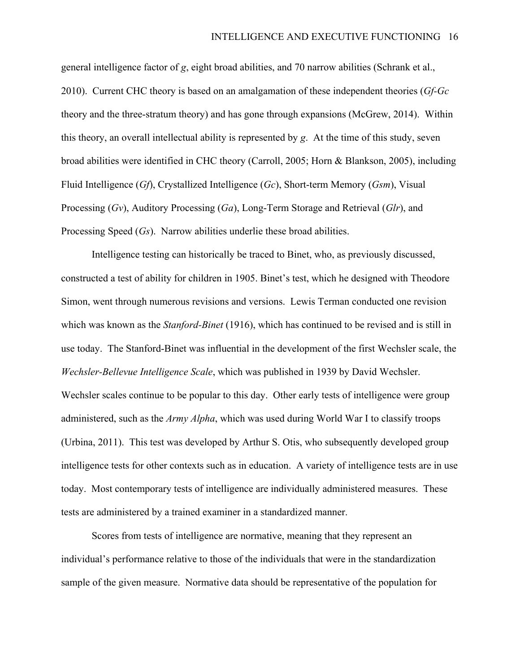general intelligence factor of *g*, eight broad abilities, and 70 narrow abilities (Schrank et al., 2010). Current CHC theory is based on an amalgamation of these independent theories (*Gf-Gc* theory and the three-stratum theory) and has gone through expansions (McGrew, 2014). Within this theory, an overall intellectual ability is represented by *g*. At the time of this study, seven broad abilities were identified in CHC theory (Carroll, 2005; Horn & Blankson, 2005), including Fluid Intelligence (*Gf*), Crystallized Intelligence (*Gc*), Short-term Memory (*Gsm*), Visual Processing (*Gv*), Auditory Processing (*Ga*), Long-Term Storage and Retrieval (*Glr*), and Processing Speed (*Gs*). Narrow abilities underlie these broad abilities.

Intelligence testing can historically be traced to Binet, who, as previously discussed, constructed a test of ability for children in 1905. Binet's test, which he designed with Theodore Simon, went through numerous revisions and versions. Lewis Terman conducted one revision which was known as the *Stanford-Binet* (1916), which has continued to be revised and is still in use today. The Stanford-Binet was influential in the development of the first Wechsler scale, the *Wechsler-Bellevue Intelligence Scale*, which was published in 1939 by David Wechsler. Wechsler scales continue to be popular to this day. Other early tests of intelligence were group administered, such as the *Army Alpha*, which was used during World War I to classify troops (Urbina, 2011). This test was developed by Arthur S. Otis, who subsequently developed group intelligence tests for other contexts such as in education. A variety of intelligence tests are in use today. Most contemporary tests of intelligence are individually administered measures. These tests are administered by a trained examiner in a standardized manner.

Scores from tests of intelligence are normative, meaning that they represent an individual's performance relative to those of the individuals that were in the standardization sample of the given measure. Normative data should be representative of the population for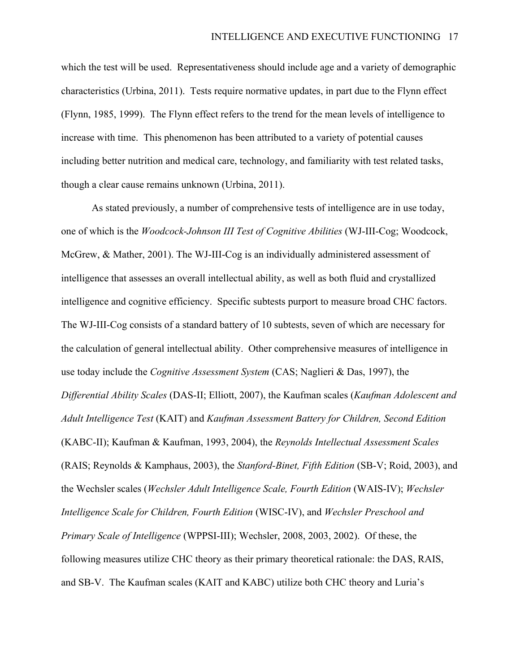which the test will be used. Representativeness should include age and a variety of demographic characteristics (Urbina, 2011). Tests require normative updates, in part due to the Flynn effect (Flynn, 1985, 1999). The Flynn effect refers to the trend for the mean levels of intelligence to increase with time. This phenomenon has been attributed to a variety of potential causes including better nutrition and medical care, technology, and familiarity with test related tasks, though a clear cause remains unknown (Urbina, 2011).

As stated previously, a number of comprehensive tests of intelligence are in use today, one of which is the *Woodcock-Johnson III Test of Cognitive Abilities* (WJ-III-Cog; Woodcock, McGrew, & Mather, 2001). The WJ-III-Cog is an individually administered assessment of intelligence that assesses an overall intellectual ability, as well as both fluid and crystallized intelligence and cognitive efficiency. Specific subtests purport to measure broad CHC factors. The WJ-III-Cog consists of a standard battery of 10 subtests, seven of which are necessary for the calculation of general intellectual ability. Other comprehensive measures of intelligence in use today include the *Cognitive Assessment System* (CAS; Naglieri & Das, 1997), the *Differential Ability Scales* (DAS-II; Elliott, 2007), the Kaufman scales (*Kaufman Adolescent and Adult Intelligence Test* (KAIT) and *Kaufman Assessment Battery for Children, Second Edition*  (KABC-II); Kaufman & Kaufman, 1993, 2004), the *Reynolds Intellectual Assessment Scales* (RAIS; Reynolds & Kamphaus, 2003), the *Stanford-Binet, Fifth Edition* (SB-V; Roid, 2003), and the Wechsler scales (*Wechsler Adult Intelligence Scale, Fourth Edition* (WAIS-IV); *Wechsler Intelligence Scale for Children, Fourth Edition* (WISC-IV), and *Wechsler Preschool and Primary Scale of Intelligence* (WPPSI-III); Wechsler, 2008, 2003, 2002). Of these, the following measures utilize CHC theory as their primary theoretical rationale: the DAS, RAIS, and SB-V. The Kaufman scales (KAIT and KABC) utilize both CHC theory and Luria's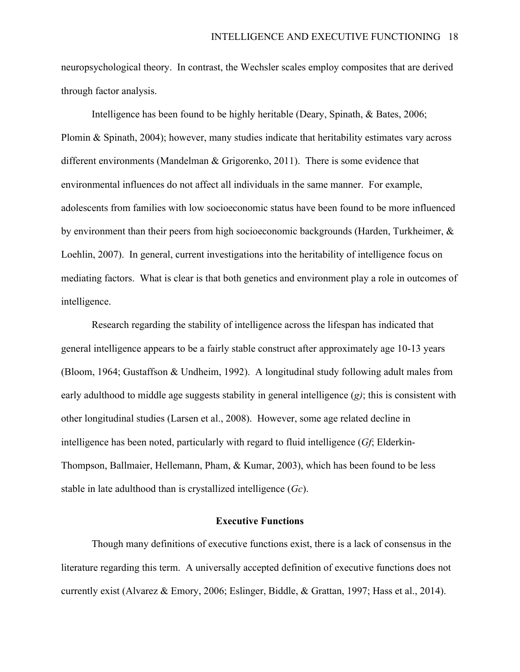neuropsychological theory. In contrast, the Wechsler scales employ composites that are derived through factor analysis.

Intelligence has been found to be highly heritable (Deary, Spinath, & Bates, 2006; Plomin & Spinath, 2004); however, many studies indicate that heritability estimates vary across different environments (Mandelman & Grigorenko, 2011). There is some evidence that environmental influences do not affect all individuals in the same manner. For example, adolescents from families with low socioeconomic status have been found to be more influenced by environment than their peers from high socioeconomic backgrounds (Harden, Turkheimer, & Loehlin, 2007). In general, current investigations into the heritability of intelligence focus on mediating factors. What is clear is that both genetics and environment play a role in outcomes of intelligence.

Research regarding the stability of intelligence across the lifespan has indicated that general intelligence appears to be a fairly stable construct after approximately age 10-13 years (Bloom, 1964; Gustaffson & Undheim, 1992). A longitudinal study following adult males from early adulthood to middle age suggests stability in general intelligence (*g)*; this is consistent with other longitudinal studies (Larsen et al., 2008). However, some age related decline in intelligence has been noted, particularly with regard to fluid intelligence (*Gf*; Elderkin-Thompson, Ballmaier, Hellemann, Pham, & Kumar, 2003), which has been found to be less stable in late adulthood than is crystallized intelligence (*Gc*).

#### **Executive Functions**

Though many definitions of executive functions exist, there is a lack of consensus in the literature regarding this term. A universally accepted definition of executive functions does not currently exist (Alvarez & Emory, 2006; Eslinger, Biddle, & Grattan, 1997; Hass et al., 2014).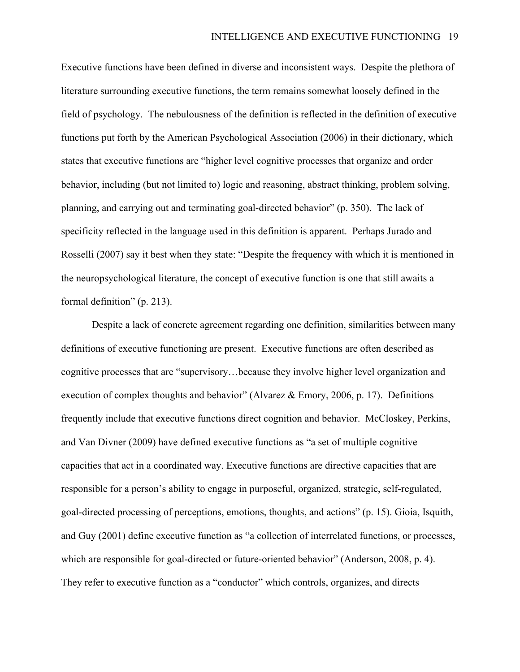Executive functions have been defined in diverse and inconsistent ways. Despite the plethora of literature surrounding executive functions, the term remains somewhat loosely defined in the field of psychology. The nebulousness of the definition is reflected in the definition of executive functions put forth by the American Psychological Association (2006) in their dictionary, which states that executive functions are "higher level cognitive processes that organize and order behavior, including (but not limited to) logic and reasoning, abstract thinking, problem solving, planning, and carrying out and terminating goal-directed behavior" (p. 350). The lack of specificity reflected in the language used in this definition is apparent. Perhaps Jurado and Rosselli (2007) say it best when they state: "Despite the frequency with which it is mentioned in the neuropsychological literature, the concept of executive function is one that still awaits a formal definition" (p. 213).

Despite a lack of concrete agreement regarding one definition, similarities between many definitions of executive functioning are present. Executive functions are often described as cognitive processes that are "supervisory…because they involve higher level organization and execution of complex thoughts and behavior" (Alvarez & Emory, 2006, p. 17). Definitions frequently include that executive functions direct cognition and behavior. McCloskey, Perkins, and Van Divner (2009) have defined executive functions as "a set of multiple cognitive capacities that act in a coordinated way. Executive functions are directive capacities that are responsible for a person's ability to engage in purposeful, organized, strategic, self-regulated, goal-directed processing of perceptions, emotions, thoughts, and actions" (p. 15). Gioia, Isquith, and Guy (2001) define executive function as "a collection of interrelated functions, or processes, which are responsible for goal-directed or future-oriented behavior" (Anderson, 2008, p. 4). They refer to executive function as a "conductor" which controls, organizes, and directs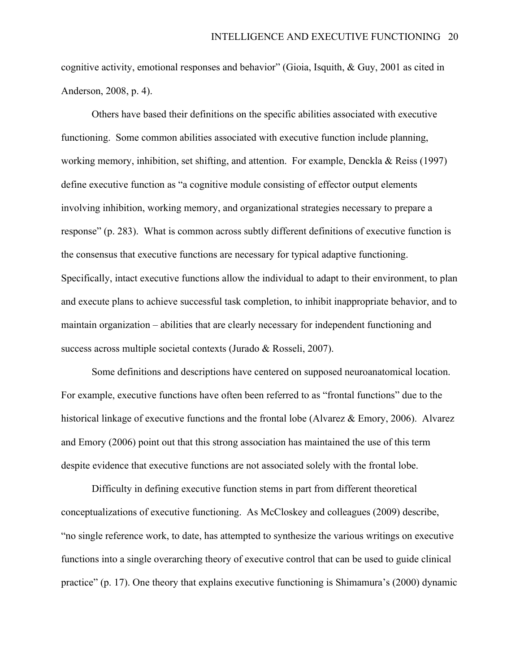cognitive activity, emotional responses and behavior" (Gioia, Isquith, & Guy, 2001 as cited in Anderson, 2008, p. 4).

Others have based their definitions on the specific abilities associated with executive functioning. Some common abilities associated with executive function include planning, working memory, inhibition, set shifting, and attention. For example, Denckla & Reiss (1997) define executive function as "a cognitive module consisting of effector output elements involving inhibition, working memory, and organizational strategies necessary to prepare a response" (p. 283). What is common across subtly different definitions of executive function is the consensus that executive functions are necessary for typical adaptive functioning. Specifically, intact executive functions allow the individual to adapt to their environment, to plan and execute plans to achieve successful task completion, to inhibit inappropriate behavior, and to maintain organization – abilities that are clearly necessary for independent functioning and success across multiple societal contexts (Jurado & Rosseli, 2007).

Some definitions and descriptions have centered on supposed neuroanatomical location. For example, executive functions have often been referred to as "frontal functions" due to the historical linkage of executive functions and the frontal lobe (Alvarez & Emory, 2006). Alvarez and Emory (2006) point out that this strong association has maintained the use of this term despite evidence that executive functions are not associated solely with the frontal lobe.

Difficulty in defining executive function stems in part from different theoretical conceptualizations of executive functioning. As McCloskey and colleagues (2009) describe, "no single reference work, to date, has attempted to synthesize the various writings on executive functions into a single overarching theory of executive control that can be used to guide clinical practice" (p. 17). One theory that explains executive functioning is Shimamura's (2000) dynamic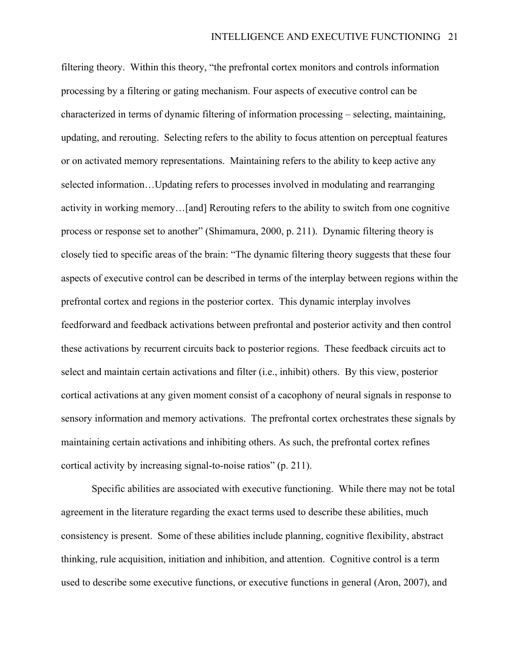filtering theory. Within this theory, "the prefrontal cortex monitors and controls information processing by a filtering or gating mechanism. Four aspects of executive control can be characterized in terms of dynamic filtering of information processing – selecting, maintaining, updating, and rerouting. Selecting refers to the ability to focus attention on perceptual features or on activated memory representations. Maintaining refers to the ability to keep active any selected information…Updating refers to processes involved in modulating and rearranging activity in working memory…[and] Rerouting refers to the ability to switch from one cognitive process or response set to another" (Shimamura, 2000, p. 211). Dynamic filtering theory is closely tied to specific areas of the brain: "The dynamic filtering theory suggests that these four aspects of executive control can be described in terms of the interplay between regions within the prefrontal cortex and regions in the posterior cortex. This dynamic interplay involves feedforward and feedback activations between prefrontal and posterior activity and then control these activations by recurrent circuits back to posterior regions. These feedback circuits act to select and maintain certain activations and filter (i.e., inhibit) others. By this view, posterior cortical activations at any given moment consist of a cacophony of neural signals in response to sensory information and memory activations. The prefrontal cortex orchestrates these signals by maintaining certain activations and inhibiting others. As such, the prefrontal cortex refines cortical activity by increasing signal-to-noise ratios" (p. 211).

Specific abilities are associated with executive functioning. While there may not be total agreement in the literature regarding the exact terms used to describe these abilities, much consistency is present. Some of these abilities include planning, cognitive flexibility, abstract thinking, rule acquisition, initiation and inhibition, and attention. Cognitive control is a term used to describe some executive functions, or executive functions in general (Aron, 2007), and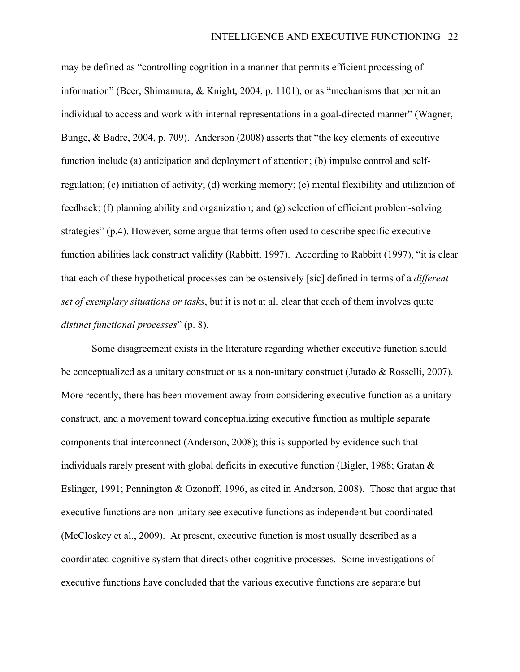may be defined as "controlling cognition in a manner that permits efficient processing of information" (Beer, Shimamura, & Knight, 2004, p. 1101), or as "mechanisms that permit an individual to access and work with internal representations in a goal-directed manner" (Wagner, Bunge, & Badre, 2004, p. 709). Anderson (2008) asserts that "the key elements of executive function include (a) anticipation and deployment of attention; (b) impulse control and selfregulation; (c) initiation of activity; (d) working memory; (e) mental flexibility and utilization of feedback; (f) planning ability and organization; and (g) selection of efficient problem-solving strategies" (p.4). However, some argue that terms often used to describe specific executive function abilities lack construct validity (Rabbitt, 1997). According to Rabbitt (1997), "it is clear that each of these hypothetical processes can be ostensively [sic] defined in terms of a *different set of exemplary situations or tasks*, but it is not at all clear that each of them involves quite *distinct functional processes*" (p. 8).

Some disagreement exists in the literature regarding whether executive function should be conceptualized as a unitary construct or as a non-unitary construct (Jurado & Rosselli, 2007). More recently, there has been movement away from considering executive function as a unitary construct, and a movement toward conceptualizing executive function as multiple separate components that interconnect (Anderson, 2008); this is supported by evidence such that individuals rarely present with global deficits in executive function (Bigler, 1988; Gratan & Eslinger, 1991; Pennington & Ozonoff, 1996, as cited in Anderson, 2008). Those that argue that executive functions are non-unitary see executive functions as independent but coordinated (McCloskey et al., 2009). At present, executive function is most usually described as a coordinated cognitive system that directs other cognitive processes. Some investigations of executive functions have concluded that the various executive functions are separate but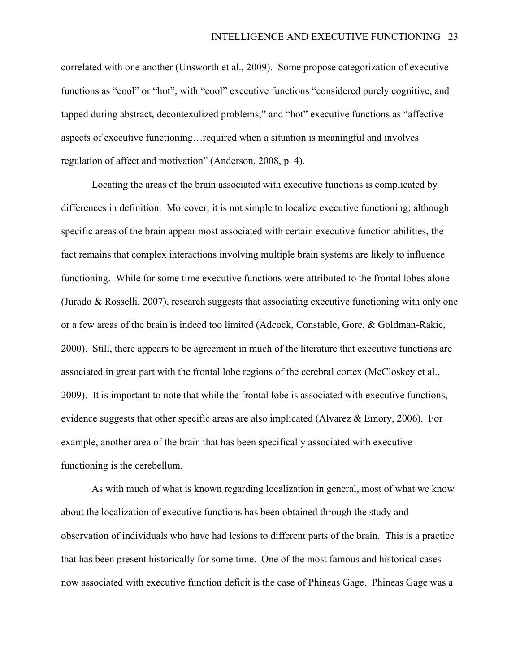correlated with one another (Unsworth et al., 2009). Some propose categorization of executive functions as "cool" or "hot", with "cool" executive functions "considered purely cognitive, and tapped during abstract, decontexulized problems," and "hot" executive functions as "affective aspects of executive functioning…required when a situation is meaningful and involves regulation of affect and motivation" (Anderson, 2008, p. 4).

Locating the areas of the brain associated with executive functions is complicated by differences in definition. Moreover, it is not simple to localize executive functioning; although specific areas of the brain appear most associated with certain executive function abilities, the fact remains that complex interactions involving multiple brain systems are likely to influence functioning. While for some time executive functions were attributed to the frontal lobes alone (Jurado  $\&$  Rosselli, 2007), research suggests that associating executive functioning with only one or a few areas of the brain is indeed too limited (Adcock, Constable, Gore, & Goldman-Rakic, 2000). Still, there appears to be agreement in much of the literature that executive functions are associated in great part with the frontal lobe regions of the cerebral cortex (McCloskey et al., 2009). It is important to note that while the frontal lobe is associated with executive functions, evidence suggests that other specific areas are also implicated (Alvarez & Emory, 2006). For example, another area of the brain that has been specifically associated with executive functioning is the cerebellum.

As with much of what is known regarding localization in general, most of what we know about the localization of executive functions has been obtained through the study and observation of individuals who have had lesions to different parts of the brain. This is a practice that has been present historically for some time. One of the most famous and historical cases now associated with executive function deficit is the case of Phineas Gage. Phineas Gage was a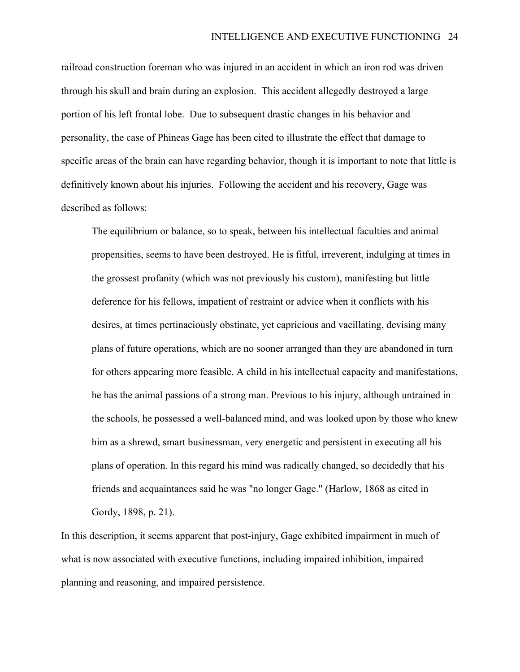railroad construction foreman who was injured in an accident in which an iron rod was driven through his skull and brain during an explosion. This accident allegedly destroyed a large portion of his left frontal lobe. Due to subsequent drastic changes in his behavior and personality, the case of Phineas Gage has been cited to illustrate the effect that damage to specific areas of the brain can have regarding behavior, though it is important to note that little is definitively known about his injuries. Following the accident and his recovery, Gage was described as follows:

The equilibrium or balance, so to speak, between his intellectual faculties and animal propensities, seems to have been destroyed. He is fitful, irreverent, indulging at times in the grossest profanity (which was not previously his custom), manifesting but little deference for his fellows, impatient of restraint or advice when it conflicts with his desires, at times pertinaciously obstinate, yet capricious and vacillating, devising many plans of future operations, which are no sooner arranged than they are abandoned in turn for others appearing more feasible. A child in his intellectual capacity and manifestations, he has the animal passions of a strong man. Previous to his injury, although untrained in the schools, he possessed a well-balanced mind, and was looked upon by those who knew him as a shrewd, smart businessman, very energetic and persistent in executing all his plans of operation. In this regard his mind was radically changed, so decidedly that his friends and acquaintances said he was "no longer Gage." (Harlow, 1868 as cited in Gordy, 1898, p. 21).

In this description, it seems apparent that post-injury, Gage exhibited impairment in much of what is now associated with executive functions, including impaired inhibition, impaired planning and reasoning, and impaired persistence.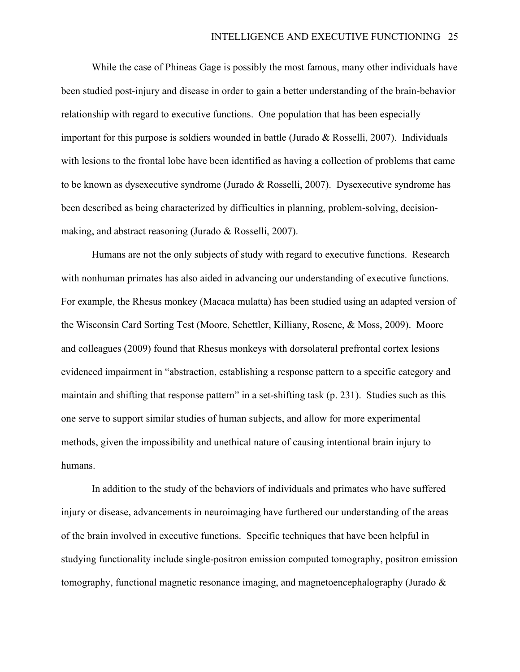While the case of Phineas Gage is possibly the most famous, many other individuals have been studied post-injury and disease in order to gain a better understanding of the brain-behavior relationship with regard to executive functions. One population that has been especially important for this purpose is soldiers wounded in battle (Jurado & Rosselli, 2007). Individuals with lesions to the frontal lobe have been identified as having a collection of problems that came to be known as dysexecutive syndrome (Jurado & Rosselli, 2007). Dysexecutive syndrome has been described as being characterized by difficulties in planning, problem-solving, decisionmaking, and abstract reasoning (Jurado & Rosselli, 2007).

Humans are not the only subjects of study with regard to executive functions. Research with nonhuman primates has also aided in advancing our understanding of executive functions. For example, the Rhesus monkey (Macaca mulatta) has been studied using an adapted version of the Wisconsin Card Sorting Test (Moore, Schettler, Killiany, Rosene, & Moss, 2009). Moore and colleagues (2009) found that Rhesus monkeys with dorsolateral prefrontal cortex lesions evidenced impairment in "abstraction, establishing a response pattern to a specific category and maintain and shifting that response pattern" in a set-shifting task (p. 231). Studies such as this one serve to support similar studies of human subjects, and allow for more experimental methods, given the impossibility and unethical nature of causing intentional brain injury to humans.

In addition to the study of the behaviors of individuals and primates who have suffered injury or disease, advancements in neuroimaging have furthered our understanding of the areas of the brain involved in executive functions. Specific techniques that have been helpful in studying functionality include single-positron emission computed tomography, positron emission tomography, functional magnetic resonance imaging, and magnetoencephalography (Jurado &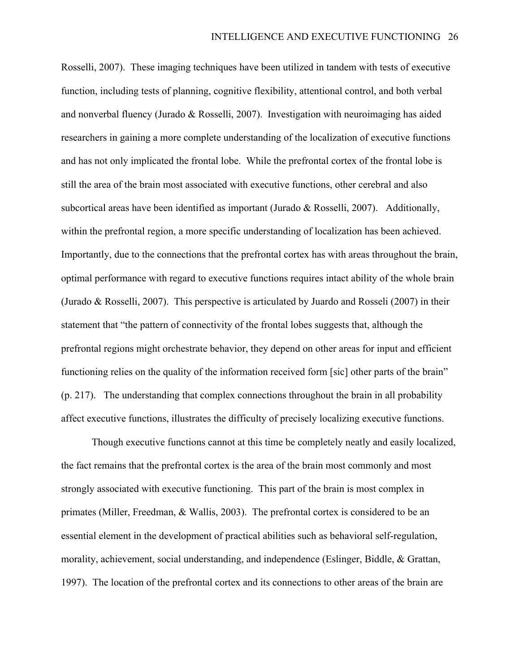Rosselli, 2007). These imaging techniques have been utilized in tandem with tests of executive function, including tests of planning, cognitive flexibility, attentional control, and both verbal and nonverbal fluency (Jurado & Rosselli, 2007). Investigation with neuroimaging has aided researchers in gaining a more complete understanding of the localization of executive functions and has not only implicated the frontal lobe. While the prefrontal cortex of the frontal lobe is still the area of the brain most associated with executive functions, other cerebral and also subcortical areas have been identified as important (Jurado & Rosselli, 2007). Additionally, within the prefrontal region, a more specific understanding of localization has been achieved. Importantly, due to the connections that the prefrontal cortex has with areas throughout the brain, optimal performance with regard to executive functions requires intact ability of the whole brain (Jurado & Rosselli, 2007). This perspective is articulated by Juardo and Rosseli (2007) in their statement that "the pattern of connectivity of the frontal lobes suggests that, although the prefrontal regions might orchestrate behavior, they depend on other areas for input and efficient functioning relies on the quality of the information received form [sic] other parts of the brain" (p. 217). The understanding that complex connections throughout the brain in all probability affect executive functions, illustrates the difficulty of precisely localizing executive functions.

Though executive functions cannot at this time be completely neatly and easily localized, the fact remains that the prefrontal cortex is the area of the brain most commonly and most strongly associated with executive functioning. This part of the brain is most complex in primates (Miller, Freedman, & Wallis, 2003). The prefrontal cortex is considered to be an essential element in the development of practical abilities such as behavioral self-regulation, morality, achievement, social understanding, and independence (Eslinger, Biddle, & Grattan, 1997). The location of the prefrontal cortex and its connections to other areas of the brain are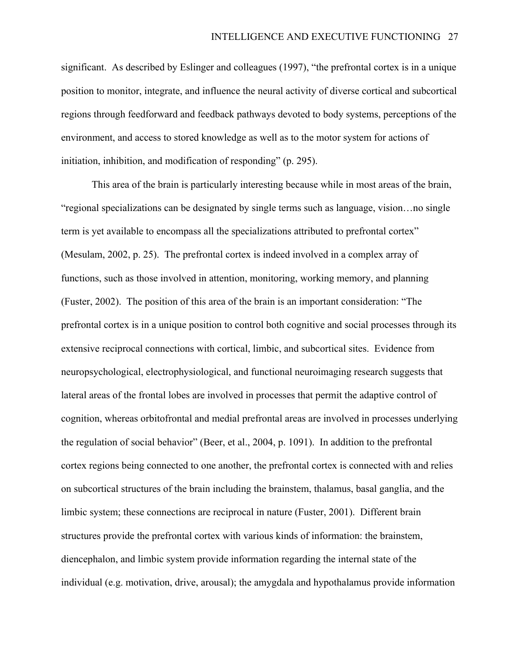significant. As described by Eslinger and colleagues (1997), "the prefrontal cortex is in a unique position to monitor, integrate, and influence the neural activity of diverse cortical and subcortical regions through feedforward and feedback pathways devoted to body systems, perceptions of the environment, and access to stored knowledge as well as to the motor system for actions of initiation, inhibition, and modification of responding" (p. 295).

This area of the brain is particularly interesting because while in most areas of the brain, "regional specializations can be designated by single terms such as language, vision…no single term is yet available to encompass all the specializations attributed to prefrontal cortex" (Mesulam, 2002, p. 25). The prefrontal cortex is indeed involved in a complex array of functions, such as those involved in attention, monitoring, working memory, and planning (Fuster, 2002). The position of this area of the brain is an important consideration: "The prefrontal cortex is in a unique position to control both cognitive and social processes through its extensive reciprocal connections with cortical, limbic, and subcortical sites. Evidence from neuropsychological, electrophysiological, and functional neuroimaging research suggests that lateral areas of the frontal lobes are involved in processes that permit the adaptive control of cognition, whereas orbitofrontal and medial prefrontal areas are involved in processes underlying the regulation of social behavior" (Beer, et al., 2004, p. 1091). In addition to the prefrontal cortex regions being connected to one another, the prefrontal cortex is connected with and relies on subcortical structures of the brain including the brainstem, thalamus, basal ganglia, and the limbic system; these connections are reciprocal in nature (Fuster, 2001). Different brain structures provide the prefrontal cortex with various kinds of information: the brainstem, diencephalon, and limbic system provide information regarding the internal state of the individual (e.g. motivation, drive, arousal); the amygdala and hypothalamus provide information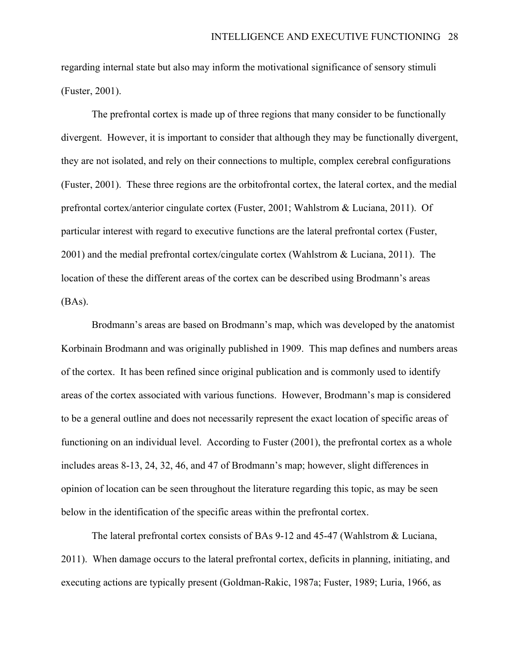regarding internal state but also may inform the motivational significance of sensory stimuli (Fuster, 2001).

The prefrontal cortex is made up of three regions that many consider to be functionally divergent. However, it is important to consider that although they may be functionally divergent, they are not isolated, and rely on their connections to multiple, complex cerebral configurations (Fuster, 2001). These three regions are the orbitofrontal cortex, the lateral cortex, and the medial prefrontal cortex/anterior cingulate cortex (Fuster, 2001; Wahlstrom & Luciana, 2011). Of particular interest with regard to executive functions are the lateral prefrontal cortex (Fuster, 2001) and the medial prefrontal cortex/cingulate cortex (Wahlstrom & Luciana, 2011). The location of these the different areas of the cortex can be described using Brodmann's areas (BAs).

Brodmann's areas are based on Brodmann's map, which was developed by the anatomist Korbinain Brodmann and was originally published in 1909. This map defines and numbers areas of the cortex. It has been refined since original publication and is commonly used to identify areas of the cortex associated with various functions. However, Brodmann's map is considered to be a general outline and does not necessarily represent the exact location of specific areas of functioning on an individual level. According to Fuster (2001), the prefrontal cortex as a whole includes areas 8-13, 24, 32, 46, and 47 of Brodmann's map; however, slight differences in opinion of location can be seen throughout the literature regarding this topic, as may be seen below in the identification of the specific areas within the prefrontal cortex.

The lateral prefrontal cortex consists of BAs 9-12 and 45-47 (Wahlstrom & Luciana, 2011). When damage occurs to the lateral prefrontal cortex, deficits in planning, initiating, and executing actions are typically present (Goldman-Rakic, 1987a; Fuster, 1989; Luria, 1966, as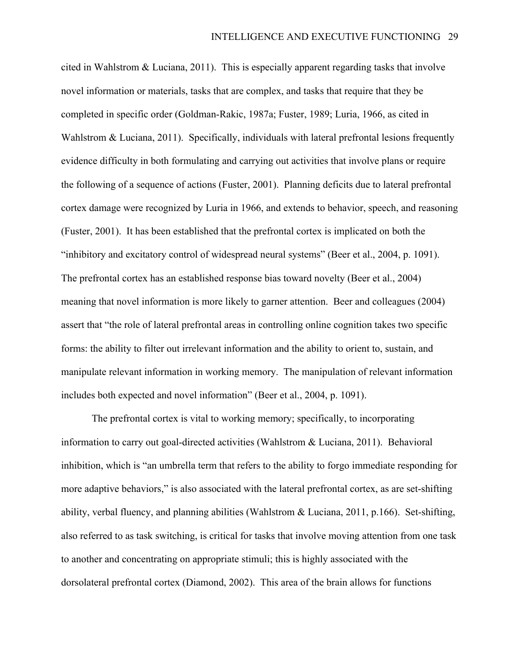cited in Wahlstrom & Luciana, 2011). This is especially apparent regarding tasks that involve novel information or materials, tasks that are complex, and tasks that require that they be completed in specific order (Goldman-Rakic, 1987a; Fuster, 1989; Luria, 1966, as cited in Wahlstrom & Luciana, 2011). Specifically, individuals with lateral prefrontal lesions frequently evidence difficulty in both formulating and carrying out activities that involve plans or require the following of a sequence of actions (Fuster, 2001). Planning deficits due to lateral prefrontal cortex damage were recognized by Luria in 1966, and extends to behavior, speech, and reasoning (Fuster, 2001). It has been established that the prefrontal cortex is implicated on both the "inhibitory and excitatory control of widespread neural systems" (Beer et al., 2004, p. 1091). The prefrontal cortex has an established response bias toward novelty (Beer et al., 2004) meaning that novel information is more likely to garner attention. Beer and colleagues (2004) assert that "the role of lateral prefrontal areas in controlling online cognition takes two specific forms: the ability to filter out irrelevant information and the ability to orient to, sustain, and manipulate relevant information in working memory. The manipulation of relevant information includes both expected and novel information" (Beer et al., 2004, p. 1091).

The prefrontal cortex is vital to working memory; specifically, to incorporating information to carry out goal-directed activities (Wahlstrom & Luciana, 2011). Behavioral inhibition, which is "an umbrella term that refers to the ability to forgo immediate responding for more adaptive behaviors," is also associated with the lateral prefrontal cortex, as are set-shifting ability, verbal fluency, and planning abilities (Wahlstrom & Luciana, 2011, p.166). Set-shifting, also referred to as task switching, is critical for tasks that involve moving attention from one task to another and concentrating on appropriate stimuli; this is highly associated with the dorsolateral prefrontal cortex (Diamond, 2002). This area of the brain allows for functions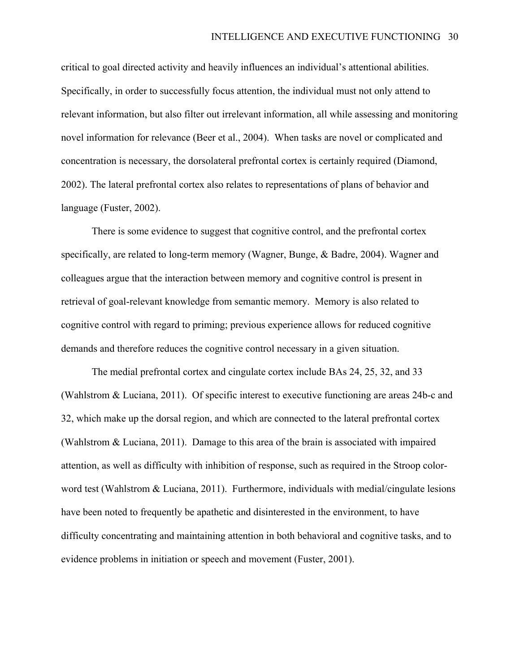critical to goal directed activity and heavily influences an individual's attentional abilities. Specifically, in order to successfully focus attention, the individual must not only attend to relevant information, but also filter out irrelevant information, all while assessing and monitoring novel information for relevance (Beer et al., 2004). When tasks are novel or complicated and concentration is necessary, the dorsolateral prefrontal cortex is certainly required (Diamond, 2002). The lateral prefrontal cortex also relates to representations of plans of behavior and language (Fuster, 2002).

There is some evidence to suggest that cognitive control, and the prefrontal cortex specifically, are related to long-term memory (Wagner, Bunge, & Badre, 2004). Wagner and colleagues argue that the interaction between memory and cognitive control is present in retrieval of goal-relevant knowledge from semantic memory. Memory is also related to cognitive control with regard to priming; previous experience allows for reduced cognitive demands and therefore reduces the cognitive control necessary in a given situation.

The medial prefrontal cortex and cingulate cortex include BAs 24, 25, 32, and 33 (Wahlstrom & Luciana, 2011). Of specific interest to executive functioning are areas 24b-c and 32, which make up the dorsal region, and which are connected to the lateral prefrontal cortex (Wahlstrom & Luciana, 2011). Damage to this area of the brain is associated with impaired attention, as well as difficulty with inhibition of response, such as required in the Stroop colorword test (Wahlstrom & Luciana, 2011). Furthermore, individuals with medial/cingulate lesions have been noted to frequently be apathetic and disinterested in the environment, to have difficulty concentrating and maintaining attention in both behavioral and cognitive tasks, and to evidence problems in initiation or speech and movement (Fuster, 2001).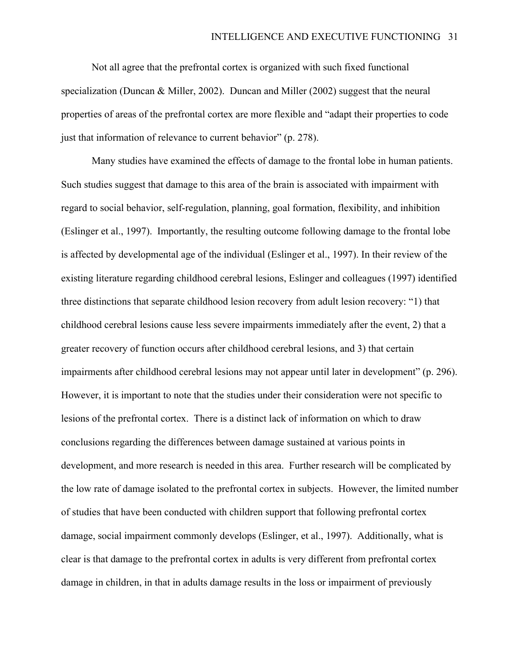Not all agree that the prefrontal cortex is organized with such fixed functional specialization (Duncan & Miller, 2002). Duncan and Miller (2002) suggest that the neural properties of areas of the prefrontal cortex are more flexible and "adapt their properties to code just that information of relevance to current behavior" (p. 278).

Many studies have examined the effects of damage to the frontal lobe in human patients. Such studies suggest that damage to this area of the brain is associated with impairment with regard to social behavior, self-regulation, planning, goal formation, flexibility, and inhibition (Eslinger et al., 1997). Importantly, the resulting outcome following damage to the frontal lobe is affected by developmental age of the individual (Eslinger et al., 1997). In their review of the existing literature regarding childhood cerebral lesions, Eslinger and colleagues (1997) identified three distinctions that separate childhood lesion recovery from adult lesion recovery: "1) that childhood cerebral lesions cause less severe impairments immediately after the event, 2) that a greater recovery of function occurs after childhood cerebral lesions, and 3) that certain impairments after childhood cerebral lesions may not appear until later in development" (p. 296). However, it is important to note that the studies under their consideration were not specific to lesions of the prefrontal cortex. There is a distinct lack of information on which to draw conclusions regarding the differences between damage sustained at various points in development, and more research is needed in this area. Further research will be complicated by the low rate of damage isolated to the prefrontal cortex in subjects. However, the limited number of studies that have been conducted with children support that following prefrontal cortex damage, social impairment commonly develops (Eslinger, et al., 1997). Additionally, what is clear is that damage to the prefrontal cortex in adults is very different from prefrontal cortex damage in children, in that in adults damage results in the loss or impairment of previously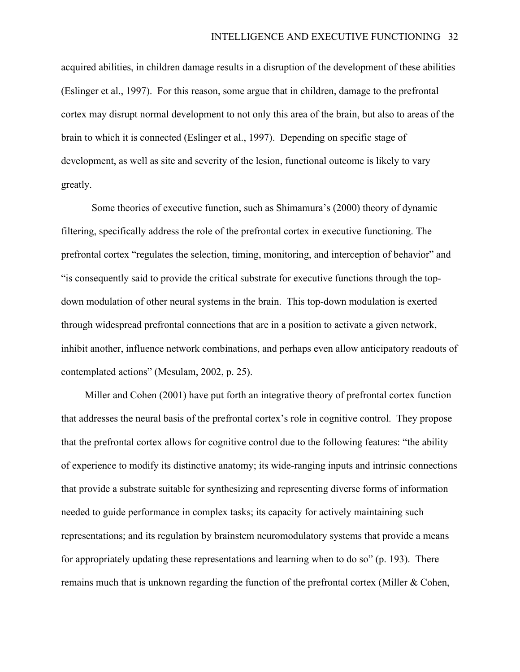acquired abilities, in children damage results in a disruption of the development of these abilities (Eslinger et al., 1997). For this reason, some argue that in children, damage to the prefrontal cortex may disrupt normal development to not only this area of the brain, but also to areas of the brain to which it is connected (Eslinger et al., 1997). Depending on specific stage of development, as well as site and severity of the lesion, functional outcome is likely to vary greatly.

Some theories of executive function, such as Shimamura's (2000) theory of dynamic filtering, specifically address the role of the prefrontal cortex in executive functioning. The prefrontal cortex "regulates the selection, timing, monitoring, and interception of behavior" and "is consequently said to provide the critical substrate for executive functions through the topdown modulation of other neural systems in the brain. This top-down modulation is exerted through widespread prefrontal connections that are in a position to activate a given network, inhibit another, influence network combinations, and perhaps even allow anticipatory readouts of contemplated actions" (Mesulam, 2002, p. 25).

Miller and Cohen (2001) have put forth an integrative theory of prefrontal cortex function that addresses the neural basis of the prefrontal cortex's role in cognitive control. They propose that the prefrontal cortex allows for cognitive control due to the following features: "the ability of experience to modify its distinctive anatomy; its wide-ranging inputs and intrinsic connections that provide a substrate suitable for synthesizing and representing diverse forms of information needed to guide performance in complex tasks; its capacity for actively maintaining such representations; and its regulation by brainstem neuromodulatory systems that provide a means for appropriately updating these representations and learning when to do so" (p. 193). There remains much that is unknown regarding the function of the prefrontal cortex (Miller  $& Cohen$ ,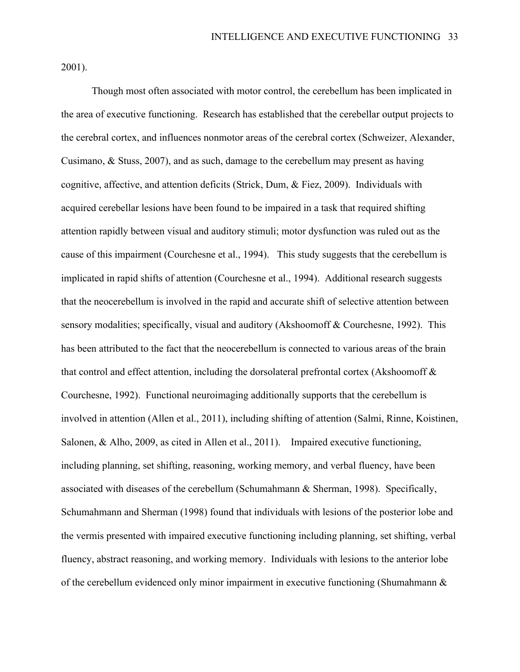2001).

Though most often associated with motor control, the cerebellum has been implicated in the area of executive functioning. Research has established that the cerebellar output projects to the cerebral cortex, and influences nonmotor areas of the cerebral cortex (Schweizer, Alexander, Cusimano, & Stuss, 2007), and as such, damage to the cerebellum may present as having cognitive, affective, and attention deficits (Strick, Dum, & Fiez, 2009). Individuals with acquired cerebellar lesions have been found to be impaired in a task that required shifting attention rapidly between visual and auditory stimuli; motor dysfunction was ruled out as the cause of this impairment (Courchesne et al., 1994). This study suggests that the cerebellum is implicated in rapid shifts of attention (Courchesne et al., 1994). Additional research suggests that the neocerebellum is involved in the rapid and accurate shift of selective attention between sensory modalities; specifically, visual and auditory (Akshoomoff & Courchesne, 1992). This has been attributed to the fact that the neocerebellum is connected to various areas of the brain that control and effect attention, including the dorsolateral prefrontal cortex (Akshoomoff & Courchesne, 1992). Functional neuroimaging additionally supports that the cerebellum is involved in attention (Allen et al., 2011), including shifting of attention (Salmi, Rinne, Koistinen, Salonen, & Alho, 2009, as cited in Allen et al., 2011). Impaired executive functioning, including planning, set shifting, reasoning, working memory, and verbal fluency, have been associated with diseases of the cerebellum (Schumahmann & Sherman, 1998). Specifically, Schumahmann and Sherman (1998) found that individuals with lesions of the posterior lobe and the vermis presented with impaired executive functioning including planning, set shifting, verbal fluency, abstract reasoning, and working memory. Individuals with lesions to the anterior lobe of the cerebellum evidenced only minor impairment in executive functioning (Shumahmann &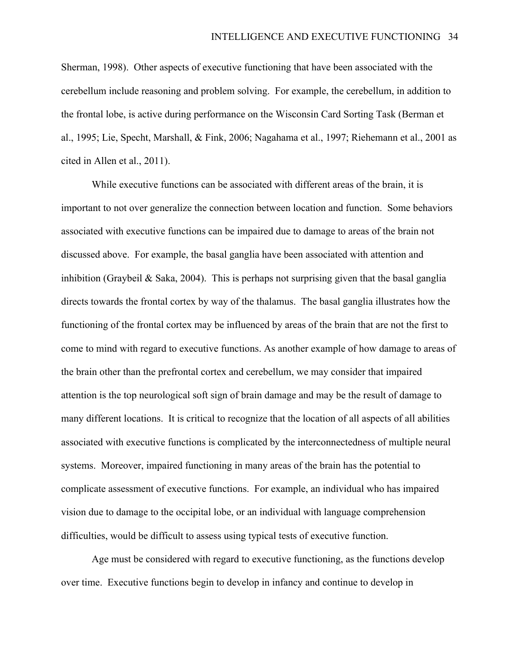Sherman, 1998). Other aspects of executive functioning that have been associated with the cerebellum include reasoning and problem solving. For example, the cerebellum, in addition to the frontal lobe, is active during performance on the Wisconsin Card Sorting Task (Berman et al., 1995; Lie, Specht, Marshall, & Fink, 2006; Nagahama et al., 1997; Riehemann et al., 2001 as cited in Allen et al., 2011).

While executive functions can be associated with different areas of the brain, it is important to not over generalize the connection between location and function. Some behaviors associated with executive functions can be impaired due to damage to areas of the brain not discussed above. For example, the basal ganglia have been associated with attention and inhibition (Graybeil & Saka, 2004). This is perhaps not surprising given that the basal ganglia directs towards the frontal cortex by way of the thalamus. The basal ganglia illustrates how the functioning of the frontal cortex may be influenced by areas of the brain that are not the first to come to mind with regard to executive functions. As another example of how damage to areas of the brain other than the prefrontal cortex and cerebellum, we may consider that impaired attention is the top neurological soft sign of brain damage and may be the result of damage to many different locations. It is critical to recognize that the location of all aspects of all abilities associated with executive functions is complicated by the interconnectedness of multiple neural systems. Moreover, impaired functioning in many areas of the brain has the potential to complicate assessment of executive functions. For example, an individual who has impaired vision due to damage to the occipital lobe, or an individual with language comprehension difficulties, would be difficult to assess using typical tests of executive function.

Age must be considered with regard to executive functioning, as the functions develop over time. Executive functions begin to develop in infancy and continue to develop in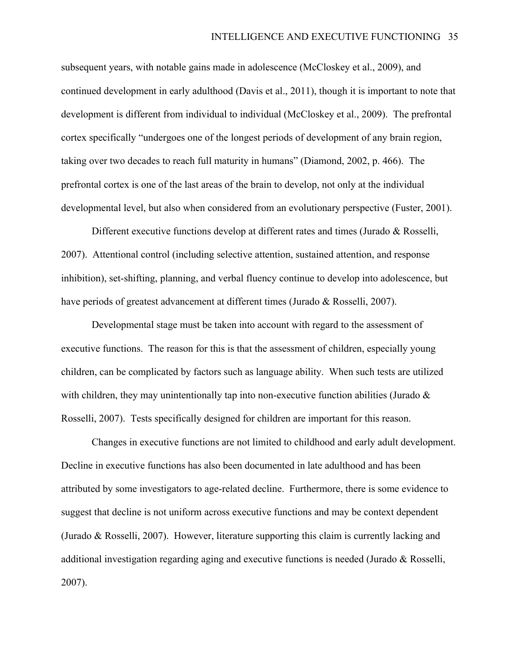subsequent years, with notable gains made in adolescence (McCloskey et al., 2009), and continued development in early adulthood (Davis et al., 2011), though it is important to note that development is different from individual to individual (McCloskey et al., 2009). The prefrontal cortex specifically "undergoes one of the longest periods of development of any brain region, taking over two decades to reach full maturity in humans" (Diamond, 2002, p. 466). The prefrontal cortex is one of the last areas of the brain to develop, not only at the individual developmental level, but also when considered from an evolutionary perspective (Fuster, 2001).

Different executive functions develop at different rates and times (Jurado & Rosselli, 2007). Attentional control (including selective attention, sustained attention, and response inhibition), set-shifting, planning, and verbal fluency continue to develop into adolescence, but have periods of greatest advancement at different times (Jurado & Rosselli, 2007).

Developmental stage must be taken into account with regard to the assessment of executive functions. The reason for this is that the assessment of children, especially young children, can be complicated by factors such as language ability. When such tests are utilized with children, they may unintentionally tap into non-executive function abilities (Jurado  $\&$ Rosselli, 2007). Tests specifically designed for children are important for this reason.

Changes in executive functions are not limited to childhood and early adult development. Decline in executive functions has also been documented in late adulthood and has been attributed by some investigators to age-related decline. Furthermore, there is some evidence to suggest that decline is not uniform across executive functions and may be context dependent (Jurado & Rosselli, 2007). However, literature supporting this claim is currently lacking and additional investigation regarding aging and executive functions is needed (Jurado & Rosselli, 2007).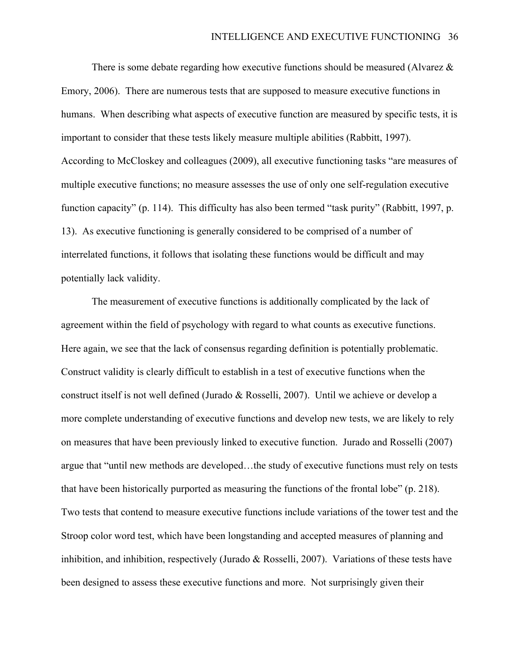There is some debate regarding how executive functions should be measured (Alvarez  $\&$ Emory, 2006). There are numerous tests that are supposed to measure executive functions in humans. When describing what aspects of executive function are measured by specific tests, it is important to consider that these tests likely measure multiple abilities (Rabbitt, 1997). According to McCloskey and colleagues (2009), all executive functioning tasks "are measures of multiple executive functions; no measure assesses the use of only one self-regulation executive function capacity" (p. 114). This difficulty has also been termed "task purity" (Rabbitt, 1997, p. 13). As executive functioning is generally considered to be comprised of a number of interrelated functions, it follows that isolating these functions would be difficult and may potentially lack validity.

The measurement of executive functions is additionally complicated by the lack of agreement within the field of psychology with regard to what counts as executive functions. Here again, we see that the lack of consensus regarding definition is potentially problematic. Construct validity is clearly difficult to establish in a test of executive functions when the construct itself is not well defined (Jurado & Rosselli, 2007). Until we achieve or develop a more complete understanding of executive functions and develop new tests, we are likely to rely on measures that have been previously linked to executive function. Jurado and Rosselli (2007) argue that "until new methods are developed…the study of executive functions must rely on tests that have been historically purported as measuring the functions of the frontal lobe" (p. 218). Two tests that contend to measure executive functions include variations of the tower test and the Stroop color word test, which have been longstanding and accepted measures of planning and inhibition, and inhibition, respectively (Jurado & Rosselli, 2007). Variations of these tests have been designed to assess these executive functions and more. Not surprisingly given their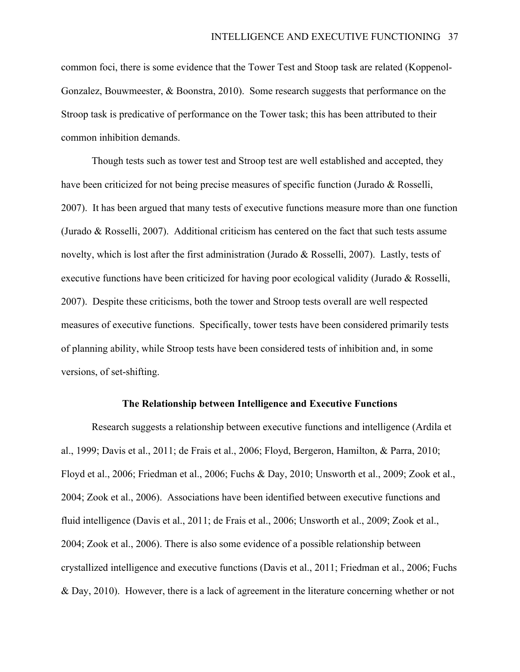common foci, there is some evidence that the Tower Test and Stoop task are related (Koppenol-Gonzalez, Bouwmeester, & Boonstra, 2010). Some research suggests that performance on the Stroop task is predicative of performance on the Tower task; this has been attributed to their common inhibition demands.

Though tests such as tower test and Stroop test are well established and accepted, they have been criticized for not being precise measures of specific function (Jurado & Rosselli, 2007). It has been argued that many tests of executive functions measure more than one function (Jurado & Rosselli, 2007). Additional criticism has centered on the fact that such tests assume novelty, which is lost after the first administration (Jurado & Rosselli, 2007). Lastly, tests of executive functions have been criticized for having poor ecological validity (Jurado & Rosselli, 2007). Despite these criticisms, both the tower and Stroop tests overall are well respected measures of executive functions. Specifically, tower tests have been considered primarily tests of planning ability, while Stroop tests have been considered tests of inhibition and, in some versions, of set-shifting.

#### **The Relationship between Intelligence and Executive Functions**

Research suggests a relationship between executive functions and intelligence (Ardila et al., 1999; Davis et al., 2011; de Frais et al., 2006; Floyd, Bergeron, Hamilton, & Parra, 2010; Floyd et al., 2006; Friedman et al., 2006; Fuchs & Day, 2010; Unsworth et al., 2009; Zook et al., 2004; Zook et al., 2006). Associations have been identified between executive functions and fluid intelligence (Davis et al., 2011; de Frais et al., 2006; Unsworth et al., 2009; Zook et al., 2004; Zook et al., 2006). There is also some evidence of a possible relationship between crystallized intelligence and executive functions (Davis et al., 2011; Friedman et al., 2006; Fuchs & Day, 2010). However, there is a lack of agreement in the literature concerning whether or not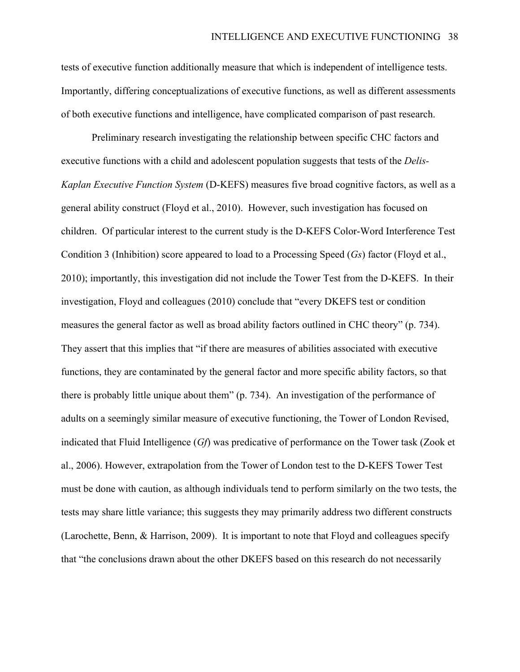tests of executive function additionally measure that which is independent of intelligence tests. Importantly, differing conceptualizations of executive functions, as well as different assessments of both executive functions and intelligence, have complicated comparison of past research.

Preliminary research investigating the relationship between specific CHC factors and executive functions with a child and adolescent population suggests that tests of the *Delis-Kaplan Executive Function System* (D-KEFS) measures five broad cognitive factors, as well as a general ability construct (Floyd et al., 2010). However, such investigation has focused on children. Of particular interest to the current study is the D-KEFS Color-Word Interference Test Condition 3 (Inhibition) score appeared to load to a Processing Speed (*Gs*) factor (Floyd et al., 2010); importantly, this investigation did not include the Tower Test from the D-KEFS. In their investigation, Floyd and colleagues (2010) conclude that "every DKEFS test or condition measures the general factor as well as broad ability factors outlined in CHC theory" (p. 734). They assert that this implies that "if there are measures of abilities associated with executive functions, they are contaminated by the general factor and more specific ability factors, so that there is probably little unique about them" (p. 734). An investigation of the performance of adults on a seemingly similar measure of executive functioning, the Tower of London Revised, indicated that Fluid Intelligence (*Gf*) was predicative of performance on the Tower task (Zook et al., 2006). However, extrapolation from the Tower of London test to the D-KEFS Tower Test must be done with caution, as although individuals tend to perform similarly on the two tests, the tests may share little variance; this suggests they may primarily address two different constructs (Larochette, Benn, & Harrison, 2009). It is important to note that Floyd and colleagues specify that "the conclusions drawn about the other DKEFS based on this research do not necessarily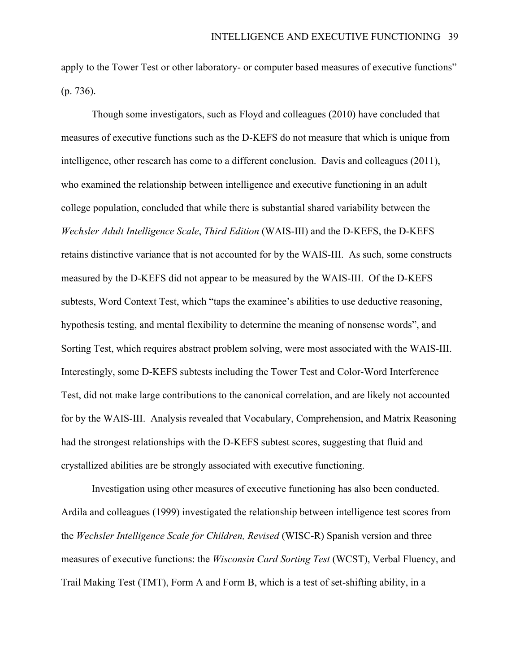apply to the Tower Test or other laboratory- or computer based measures of executive functions" (p. 736).

Though some investigators, such as Floyd and colleagues (2010) have concluded that measures of executive functions such as the D-KEFS do not measure that which is unique from intelligence, other research has come to a different conclusion. Davis and colleagues (2011), who examined the relationship between intelligence and executive functioning in an adult college population, concluded that while there is substantial shared variability between the *Wechsler Adult Intelligence Scale*, *Third Edition* (WAIS-III) and the D-KEFS, the D-KEFS retains distinctive variance that is not accounted for by the WAIS-III. As such, some constructs measured by the D-KEFS did not appear to be measured by the WAIS-III. Of the D-KEFS subtests, Word Context Test, which "taps the examinee's abilities to use deductive reasoning, hypothesis testing, and mental flexibility to determine the meaning of nonsense words", and Sorting Test, which requires abstract problem solving, were most associated with the WAIS-III. Interestingly, some D-KEFS subtests including the Tower Test and Color-Word Interference Test, did not make large contributions to the canonical correlation, and are likely not accounted for by the WAIS-III. Analysis revealed that Vocabulary, Comprehension, and Matrix Reasoning had the strongest relationships with the D-KEFS subtest scores, suggesting that fluid and crystallized abilities are be strongly associated with executive functioning.

Investigation using other measures of executive functioning has also been conducted. Ardila and colleagues (1999) investigated the relationship between intelligence test scores from the *Wechsler Intelligence Scale for Children, Revised* (WISC-R) Spanish version and three measures of executive functions: the *Wisconsin Card Sorting Test* (WCST), Verbal Fluency, and Trail Making Test (TMT), Form A and Form B, which is a test of set-shifting ability, in a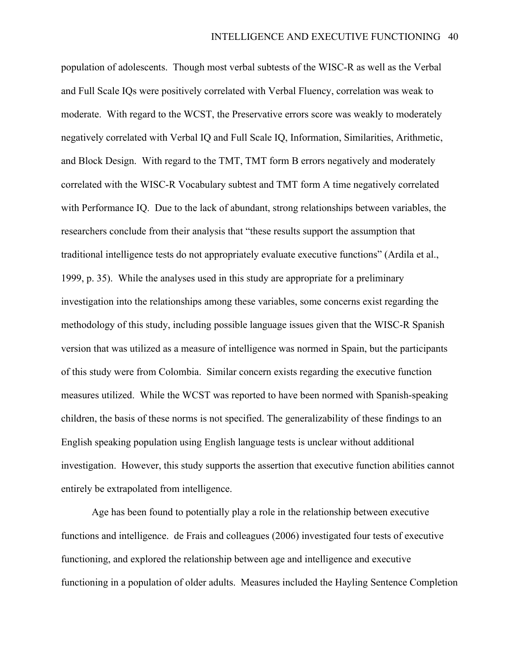population of adolescents. Though most verbal subtests of the WISC-R as well as the Verbal and Full Scale IQs were positively correlated with Verbal Fluency, correlation was weak to moderate. With regard to the WCST, the Preservative errors score was weakly to moderately negatively correlated with Verbal IQ and Full Scale IQ, Information, Similarities, Arithmetic, and Block Design. With regard to the TMT, TMT form B errors negatively and moderately correlated with the WISC-R Vocabulary subtest and TMT form A time negatively correlated with Performance IQ. Due to the lack of abundant, strong relationships between variables, the researchers conclude from their analysis that "these results support the assumption that traditional intelligence tests do not appropriately evaluate executive functions" (Ardila et al., 1999, p. 35). While the analyses used in this study are appropriate for a preliminary investigation into the relationships among these variables, some concerns exist regarding the methodology of this study, including possible language issues given that the WISC-R Spanish version that was utilized as a measure of intelligence was normed in Spain, but the participants of this study were from Colombia. Similar concern exists regarding the executive function measures utilized. While the WCST was reported to have been normed with Spanish-speaking children, the basis of these norms is not specified. The generalizability of these findings to an English speaking population using English language tests is unclear without additional investigation. However, this study supports the assertion that executive function abilities cannot entirely be extrapolated from intelligence.

Age has been found to potentially play a role in the relationship between executive functions and intelligence. de Frais and colleagues (2006) investigated four tests of executive functioning, and explored the relationship between age and intelligence and executive functioning in a population of older adults. Measures included the Hayling Sentence Completion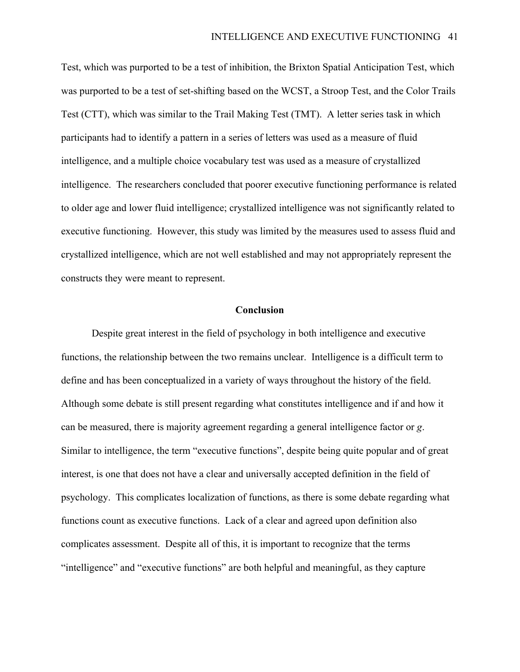Test, which was purported to be a test of inhibition, the Brixton Spatial Anticipation Test, which was purported to be a test of set-shifting based on the WCST, a Stroop Test, and the Color Trails Test (CTT), which was similar to the Trail Making Test (TMT). A letter series task in which participants had to identify a pattern in a series of letters was used as a measure of fluid intelligence, and a multiple choice vocabulary test was used as a measure of crystallized intelligence. The researchers concluded that poorer executive functioning performance is related to older age and lower fluid intelligence; crystallized intelligence was not significantly related to executive functioning. However, this study was limited by the measures used to assess fluid and crystallized intelligence, which are not well established and may not appropriately represent the constructs they were meant to represent.

### **Conclusion**

Despite great interest in the field of psychology in both intelligence and executive functions, the relationship between the two remains unclear. Intelligence is a difficult term to define and has been conceptualized in a variety of ways throughout the history of the field. Although some debate is still present regarding what constitutes intelligence and if and how it can be measured, there is majority agreement regarding a general intelligence factor or *g*. Similar to intelligence, the term "executive functions", despite being quite popular and of great interest, is one that does not have a clear and universally accepted definition in the field of psychology. This complicates localization of functions, as there is some debate regarding what functions count as executive functions. Lack of a clear and agreed upon definition also complicates assessment. Despite all of this, it is important to recognize that the terms "intelligence" and "executive functions" are both helpful and meaningful, as they capture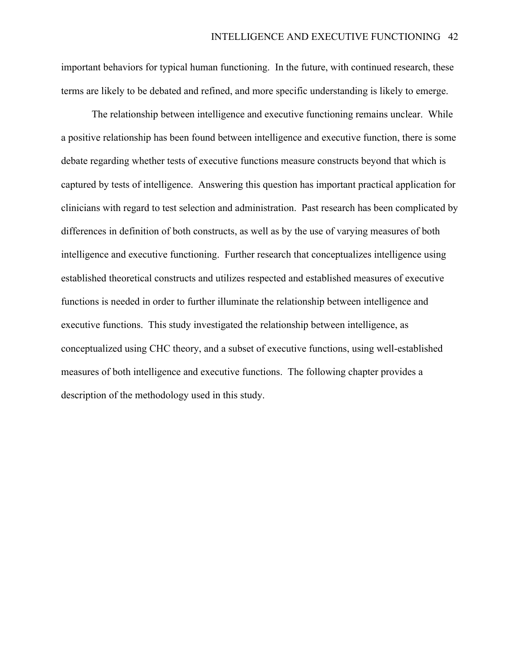important behaviors for typical human functioning. In the future, with continued research, these terms are likely to be debated and refined, and more specific understanding is likely to emerge.

The relationship between intelligence and executive functioning remains unclear. While a positive relationship has been found between intelligence and executive function, there is some debate regarding whether tests of executive functions measure constructs beyond that which is captured by tests of intelligence. Answering this question has important practical application for clinicians with regard to test selection and administration. Past research has been complicated by differences in definition of both constructs, as well as by the use of varying measures of both intelligence and executive functioning. Further research that conceptualizes intelligence using established theoretical constructs and utilizes respected and established measures of executive functions is needed in order to further illuminate the relationship between intelligence and executive functions. This study investigated the relationship between intelligence, as conceptualized using CHC theory, and a subset of executive functions, using well-established measures of both intelligence and executive functions. The following chapter provides a description of the methodology used in this study.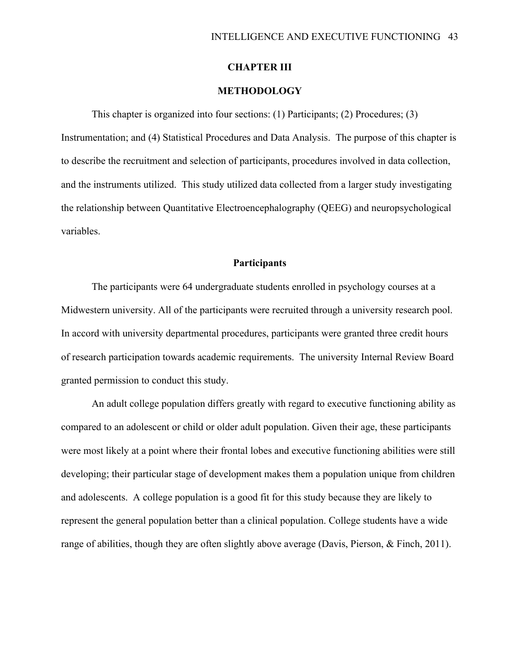## **CHAPTER III**

## **METHODOLOGY**

This chapter is organized into four sections: (1) Participants; (2) Procedures; (3) Instrumentation; and (4) Statistical Procedures and Data Analysis. The purpose of this chapter is to describe the recruitment and selection of participants, procedures involved in data collection, and the instruments utilized. This study utilized data collected from a larger study investigating the relationship between Quantitative Electroencephalography (QEEG) and neuropsychological variables.

## **Participants**

The participants were 64 undergraduate students enrolled in psychology courses at a Midwestern university. All of the participants were recruited through a university research pool. In accord with university departmental procedures, participants were granted three credit hours of research participation towards academic requirements. The university Internal Review Board granted permission to conduct this study.

An adult college population differs greatly with regard to executive functioning ability as compared to an adolescent or child or older adult population. Given their age, these participants were most likely at a point where their frontal lobes and executive functioning abilities were still developing; their particular stage of development makes them a population unique from children and adolescents. A college population is a good fit for this study because they are likely to represent the general population better than a clinical population. College students have a wide range of abilities, though they are often slightly above average (Davis, Pierson, & Finch, 2011).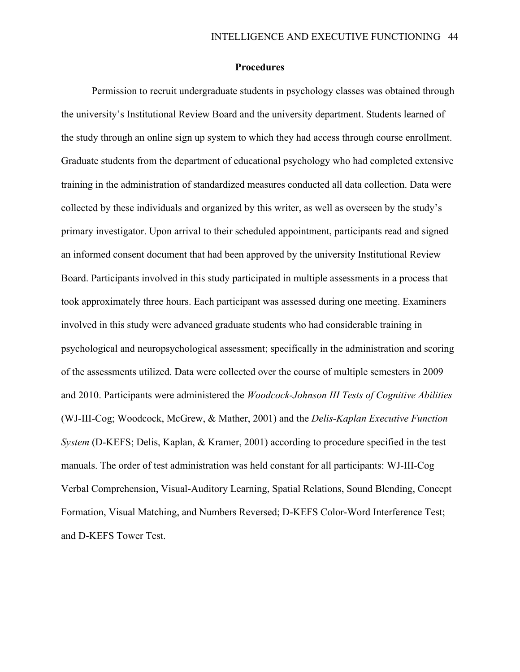#### **Procedures**

Permission to recruit undergraduate students in psychology classes was obtained through the university's Institutional Review Board and the university department. Students learned of the study through an online sign up system to which they had access through course enrollment. Graduate students from the department of educational psychology who had completed extensive training in the administration of standardized measures conducted all data collection. Data were collected by these individuals and organized by this writer, as well as overseen by the study's primary investigator. Upon arrival to their scheduled appointment, participants read and signed an informed consent document that had been approved by the university Institutional Review Board. Participants involved in this study participated in multiple assessments in a process that took approximately three hours. Each participant was assessed during one meeting. Examiners involved in this study were advanced graduate students who had considerable training in psychological and neuropsychological assessment; specifically in the administration and scoring of the assessments utilized. Data were collected over the course of multiple semesters in 2009 and 2010. Participants were administered the *Woodcock-Johnson III Tests of Cognitive Abilities* (WJ-III-Cog; Woodcock, McGrew, & Mather, 2001) and the *Delis-Kaplan Executive Function System* (D-KEFS; Delis, Kaplan, & Kramer, 2001) according to procedure specified in the test manuals. The order of test administration was held constant for all participants: WJ-III-Cog Verbal Comprehension, Visual-Auditory Learning, Spatial Relations, Sound Blending, Concept Formation, Visual Matching, and Numbers Reversed; D-KEFS Color-Word Interference Test; and D-KEFS Tower Test.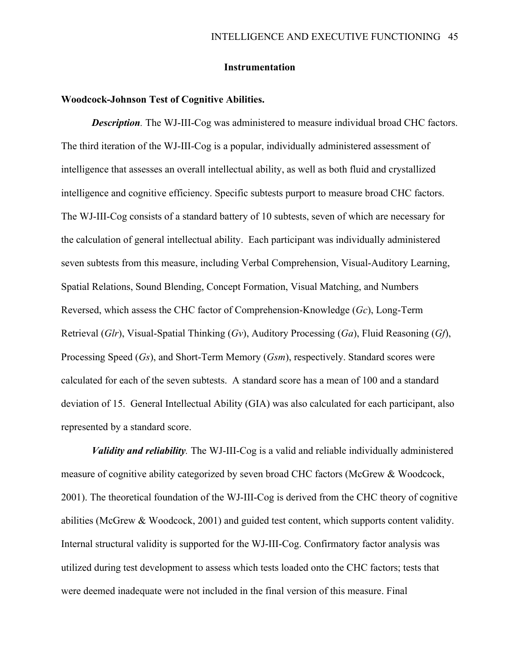## **Instrumentation**

#### **Woodcock-Johnson Test of Cognitive Abilities.**

*Description.* The WJ-III-Cog was administered to measure individual broad CHC factors. The third iteration of the WJ-III-Cog is a popular, individually administered assessment of intelligence that assesses an overall intellectual ability, as well as both fluid and crystallized intelligence and cognitive efficiency. Specific subtests purport to measure broad CHC factors. The WJ-III-Cog consists of a standard battery of 10 subtests, seven of which are necessary for the calculation of general intellectual ability. Each participant was individually administered seven subtests from this measure, including Verbal Comprehension, Visual-Auditory Learning, Spatial Relations, Sound Blending, Concept Formation, Visual Matching, and Numbers Reversed, which assess the CHC factor of Comprehension-Knowledge (*Gc*), Long-Term Retrieval (*Glr*), Visual-Spatial Thinking (*Gv*), Auditory Processing (*Ga*), Fluid Reasoning (*Gf*), Processing Speed (*Gs*), and Short-Term Memory (*Gsm*), respectively. Standard scores were calculated for each of the seven subtests. A standard score has a mean of 100 and a standard deviation of 15. General Intellectual Ability (GIA) was also calculated for each participant, also represented by a standard score.

*Validity and reliability.* The WJ-III-Cog is a valid and reliable individually administered measure of cognitive ability categorized by seven broad CHC factors (McGrew & Woodcock, 2001). The theoretical foundation of the WJ-III-Cog is derived from the CHC theory of cognitive abilities (McGrew & Woodcock, 2001) and guided test content, which supports content validity. Internal structural validity is supported for the WJ-III-Cog. Confirmatory factor analysis was utilized during test development to assess which tests loaded onto the CHC factors; tests that were deemed inadequate were not included in the final version of this measure. Final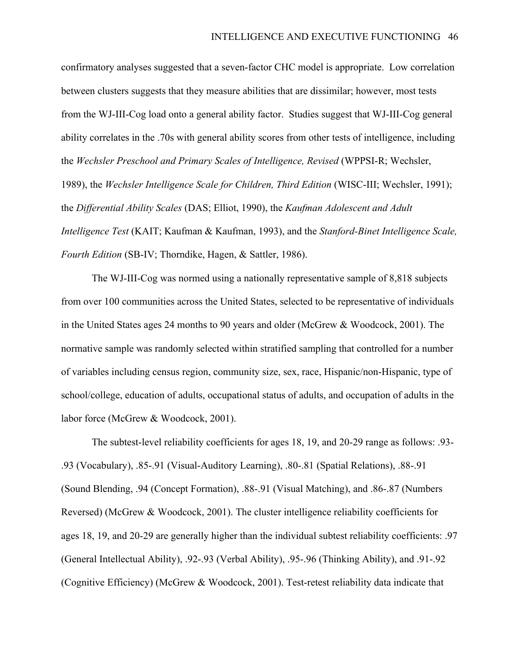confirmatory analyses suggested that a seven-factor CHC model is appropriate. Low correlation between clusters suggests that they measure abilities that are dissimilar; however, most tests from the WJ-III-Cog load onto a general ability factor. Studies suggest that WJ-III-Cog general ability correlates in the .70s with general ability scores from other tests of intelligence, including the *Wechsler Preschool and Primary Scales of Intelligence, Revised* (WPPSI-R; Wechsler, 1989), the *Wechsler Intelligence Scale for Children, Third Edition* (WISC-III; Wechsler, 1991); the *Differential Ability Scales* (DAS; Elliot, 1990), the *Kaufman Adolescent and Adult Intelligence Test* (KAIT; Kaufman & Kaufman, 1993), and the *Stanford-Binet Intelligence Scale, Fourth Edition* (SB-IV; Thorndike, Hagen, & Sattler, 1986).

The WJ-III-Cog was normed using a nationally representative sample of 8,818 subjects from over 100 communities across the United States, selected to be representative of individuals in the United States ages 24 months to 90 years and older (McGrew & Woodcock, 2001). The normative sample was randomly selected within stratified sampling that controlled for a number of variables including census region, community size, sex, race, Hispanic/non-Hispanic, type of school/college, education of adults, occupational status of adults, and occupation of adults in the labor force (McGrew & Woodcock, 2001).

The subtest-level reliability coefficients for ages 18, 19, and 20-29 range as follows: .93- .93 (Vocabulary), .85-.91 (Visual-Auditory Learning), .80-.81 (Spatial Relations), .88-.91 (Sound Blending, .94 (Concept Formation), .88-.91 (Visual Matching), and .86-.87 (Numbers Reversed) (McGrew & Woodcock, 2001). The cluster intelligence reliability coefficients for ages 18, 19, and 20-29 are generally higher than the individual subtest reliability coefficients: .97 (General Intellectual Ability), .92-.93 (Verbal Ability), .95-.96 (Thinking Ability), and .91-.92 (Cognitive Efficiency) (McGrew & Woodcock, 2001). Test-retest reliability data indicate that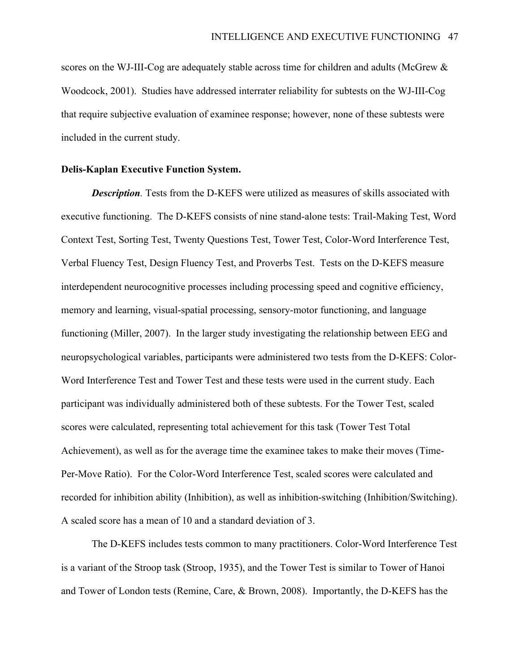scores on the WJ-III-Cog are adequately stable across time for children and adults (McGrew & Woodcock, 2001). Studies have addressed interrater reliability for subtests on the WJ-III-Cog that require subjective evaluation of examinee response; however, none of these subtests were included in the current study.

#### **Delis-Kaplan Executive Function System.**

*Description.* Tests from the D-KEFS were utilized as measures of skills associated with executive functioning. The D-KEFS consists of nine stand-alone tests: Trail-Making Test, Word Context Test, Sorting Test, Twenty Questions Test, Tower Test, Color-Word Interference Test, Verbal Fluency Test, Design Fluency Test, and Proverbs Test. Tests on the D-KEFS measure interdependent neurocognitive processes including processing speed and cognitive efficiency, memory and learning, visual-spatial processing, sensory-motor functioning, and language functioning (Miller, 2007). In the larger study investigating the relationship between EEG and neuropsychological variables, participants were administered two tests from the D-KEFS: Color-Word Interference Test and Tower Test and these tests were used in the current study. Each participant was individually administered both of these subtests. For the Tower Test, scaled scores were calculated, representing total achievement for this task (Tower Test Total Achievement), as well as for the average time the examinee takes to make their moves (Time-Per-Move Ratio). For the Color-Word Interference Test, scaled scores were calculated and recorded for inhibition ability (Inhibition), as well as inhibition-switching (Inhibition/Switching). A scaled score has a mean of 10 and a standard deviation of 3.

The D-KEFS includes tests common to many practitioners. Color-Word Interference Test is a variant of the Stroop task (Stroop, 1935), and the Tower Test is similar to Tower of Hanoi and Tower of London tests (Remine, Care, & Brown, 2008). Importantly, the D-KEFS has the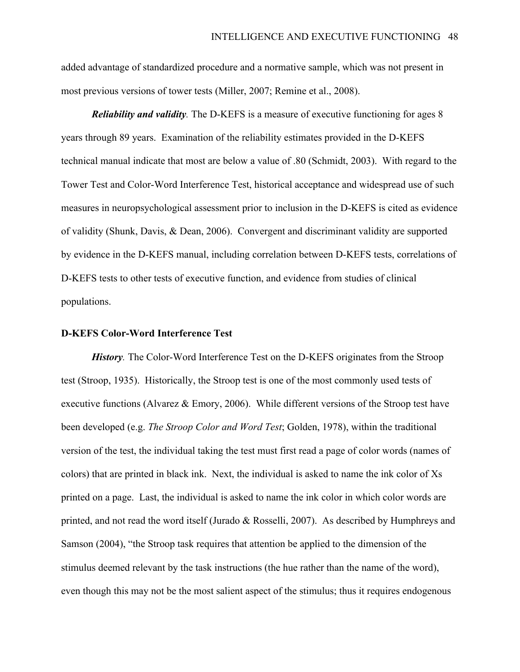added advantage of standardized procedure and a normative sample, which was not present in most previous versions of tower tests (Miller, 2007; Remine et al., 2008).

*Reliability and validity.* The D-KEFS is a measure of executive functioning for ages 8 years through 89 years. Examination of the reliability estimates provided in the D-KEFS technical manual indicate that most are below a value of .80 (Schmidt, 2003). With regard to the Tower Test and Color-Word Interference Test, historical acceptance and widespread use of such measures in neuropsychological assessment prior to inclusion in the D-KEFS is cited as evidence of validity (Shunk, Davis, & Dean, 2006). Convergent and discriminant validity are supported by evidence in the D-KEFS manual, including correlation between D-KEFS tests, correlations of D-KEFS tests to other tests of executive function, and evidence from studies of clinical populations.

#### **D-KEFS Color-Word Interference Test**

*History.* The Color-Word Interference Test on the D-KEFS originates from the Stroop test (Stroop, 1935). Historically, the Stroop test is one of the most commonly used tests of executive functions (Alvarez & Emory, 2006). While different versions of the Stroop test have been developed (e.g. *The Stroop Color and Word Test*; Golden, 1978), within the traditional version of the test, the individual taking the test must first read a page of color words (names of colors) that are printed in black ink. Next, the individual is asked to name the ink color of Xs printed on a page. Last, the individual is asked to name the ink color in which color words are printed, and not read the word itself (Jurado & Rosselli, 2007). As described by Humphreys and Samson (2004), "the Stroop task requires that attention be applied to the dimension of the stimulus deemed relevant by the task instructions (the hue rather than the name of the word), even though this may not be the most salient aspect of the stimulus; thus it requires endogenous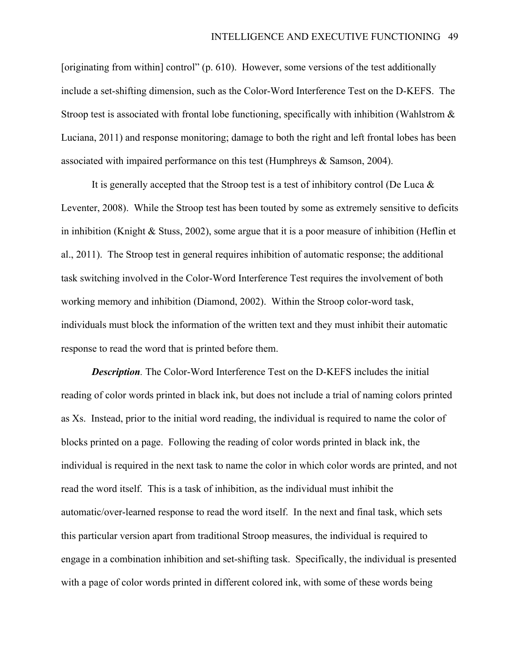[originating from within] control" (p. 610). However, some versions of the test additionally include a set-shifting dimension, such as the Color-Word Interference Test on the D-KEFS. The Stroop test is associated with frontal lobe functioning, specifically with inhibition (Wahlstrom  $\&$ Luciana, 2011) and response monitoring; damage to both the right and left frontal lobes has been associated with impaired performance on this test (Humphreys & Samson, 2004).

It is generally accepted that the Stroop test is a test of inhibitory control (De Luca  $\&$ Leventer, 2008). While the Stroop test has been touted by some as extremely sensitive to deficits in inhibition (Knight & Stuss, 2002), some argue that it is a poor measure of inhibition (Heflin et al., 2011). The Stroop test in general requires inhibition of automatic response; the additional task switching involved in the Color-Word Interference Test requires the involvement of both working memory and inhibition (Diamond, 2002). Within the Stroop color-word task, individuals must block the information of the written text and they must inhibit their automatic response to read the word that is printed before them.

*Description.* The Color-Word Interference Test on the D-KEFS includes the initial reading of color words printed in black ink, but does not include a trial of naming colors printed as Xs. Instead, prior to the initial word reading, the individual is required to name the color of blocks printed on a page. Following the reading of color words printed in black ink, the individual is required in the next task to name the color in which color words are printed, and not read the word itself. This is a task of inhibition, as the individual must inhibit the automatic/over-learned response to read the word itself. In the next and final task, which sets this particular version apart from traditional Stroop measures, the individual is required to engage in a combination inhibition and set-shifting task. Specifically, the individual is presented with a page of color words printed in different colored ink, with some of these words being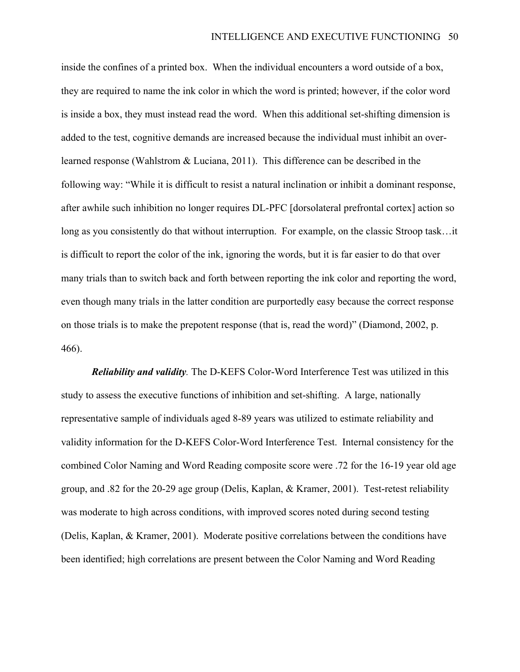inside the confines of a printed box. When the individual encounters a word outside of a box, they are required to name the ink color in which the word is printed; however, if the color word is inside a box, they must instead read the word. When this additional set-shifting dimension is added to the test, cognitive demands are increased because the individual must inhibit an overlearned response (Wahlstrom & Luciana, 2011). This difference can be described in the following way: "While it is difficult to resist a natural inclination or inhibit a dominant response, after awhile such inhibition no longer requires DL-PFC [dorsolateral prefrontal cortex] action so long as you consistently do that without interruption. For example, on the classic Stroop task…it is difficult to report the color of the ink, ignoring the words, but it is far easier to do that over many trials than to switch back and forth between reporting the ink color and reporting the word, even though many trials in the latter condition are purportedly easy because the correct response on those trials is to make the prepotent response (that is, read the word)" (Diamond, 2002, p. 466).

*Reliability and validity.* The D-KEFS Color-Word Interference Test was utilized in this study to assess the executive functions of inhibition and set-shifting. A large, nationally representative sample of individuals aged 8-89 years was utilized to estimate reliability and validity information for the D-KEFS Color-Word Interference Test. Internal consistency for the combined Color Naming and Word Reading composite score were .72 for the 16-19 year old age group, and .82 for the 20-29 age group (Delis, Kaplan, & Kramer, 2001). Test-retest reliability was moderate to high across conditions, with improved scores noted during second testing (Delis, Kaplan, & Kramer, 2001). Moderate positive correlations between the conditions have been identified; high correlations are present between the Color Naming and Word Reading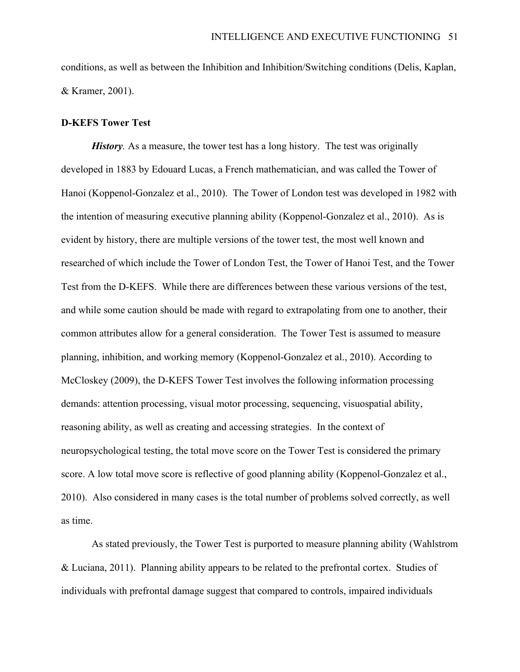conditions, as well as between the Inhibition and Inhibition/Switching conditions (Delis, Kaplan, & Kramer, 2001).

### **D-KEFS Tower Test**

*History*. As a measure, the tower test has a long history. The test was originally developed in 1883 by Edouard Lucas, a French mathematician, and was called the Tower of Hanoi (Koppenol-Gonzalez et al., 2010). The Tower of London test was developed in 1982 with the intention of measuring executive planning ability (Koppenol-Gonzalez et al., 2010). As is evident by history, there are multiple versions of the tower test, the most well known and researched of which include the Tower of London Test, the Tower of Hanoi Test, and the Tower Test from the D-KEFS. While there are differences between these various versions of the test, and while some caution should be made with regard to extrapolating from one to another, their common attributes allow for a general consideration. The Tower Test is assumed to measure planning, inhibition, and working memory (Koppenol-Gonzalez et al., 2010). According to McCloskey (2009), the D-KEFS Tower Test involves the following information processing demands: attention processing, visual motor processing, sequencing, visuospatial ability, reasoning ability, as well as creating and accessing strategies. In the context of neuropsychological testing, the total move score on the Tower Test is considered the primary score. A low total move score is reflective of good planning ability (Koppenol-Gonzalez et al., 2010). Also considered in many cases is the total number of problems solved correctly, as well as time.

As stated previously, the Tower Test is purported to measure planning ability (Wahlstrom & Luciana, 2011). Planning ability appears to be related to the prefrontal cortex. Studies of individuals with prefrontal damage suggest that compared to controls, impaired individuals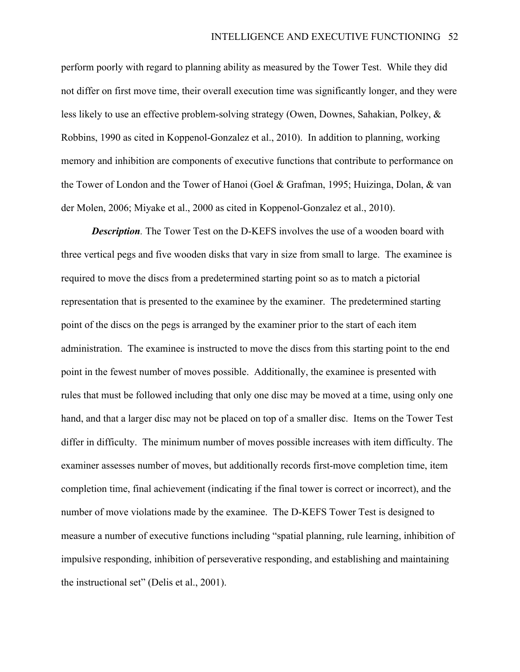perform poorly with regard to planning ability as measured by the Tower Test. While they did not differ on first move time, their overall execution time was significantly longer, and they were less likely to use an effective problem-solving strategy (Owen, Downes, Sahakian, Polkey, & Robbins, 1990 as cited in Koppenol-Gonzalez et al., 2010). In addition to planning, working memory and inhibition are components of executive functions that contribute to performance on the Tower of London and the Tower of Hanoi (Goel & Grafman, 1995; Huizinga, Dolan, & van der Molen, 2006; Miyake et al., 2000 as cited in Koppenol-Gonzalez et al., 2010).

*Description.* The Tower Test on the D-KEFS involves the use of a wooden board with three vertical pegs and five wooden disks that vary in size from small to large. The examinee is required to move the discs from a predetermined starting point so as to match a pictorial representation that is presented to the examinee by the examiner. The predetermined starting point of the discs on the pegs is arranged by the examiner prior to the start of each item administration. The examinee is instructed to move the discs from this starting point to the end point in the fewest number of moves possible. Additionally, the examinee is presented with rules that must be followed including that only one disc may be moved at a time, using only one hand, and that a larger disc may not be placed on top of a smaller disc. Items on the Tower Test differ in difficulty. The minimum number of moves possible increases with item difficulty. The examiner assesses number of moves, but additionally records first-move completion time, item completion time, final achievement (indicating if the final tower is correct or incorrect), and the number of move violations made by the examinee. The D-KEFS Tower Test is designed to measure a number of executive functions including "spatial planning, rule learning, inhibition of impulsive responding, inhibition of perseverative responding, and establishing and maintaining the instructional set" (Delis et al., 2001).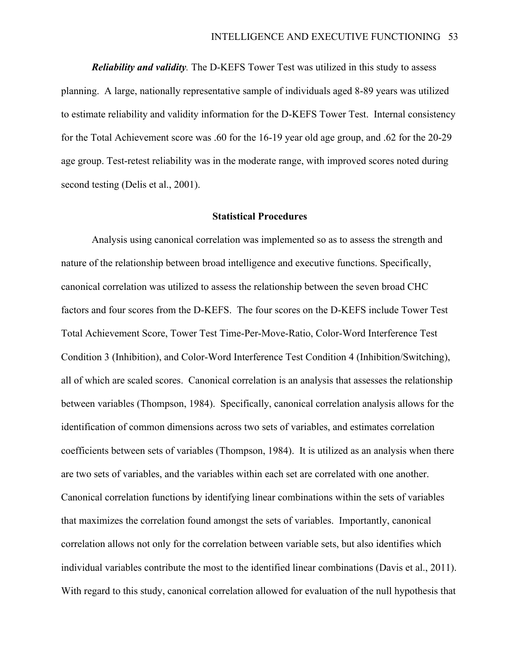*Reliability and validity.* The D-KEFS Tower Test was utilized in this study to assess planning. A large, nationally representative sample of individuals aged 8-89 years was utilized to estimate reliability and validity information for the D-KEFS Tower Test. Internal consistency for the Total Achievement score was .60 for the 16-19 year old age group, and .62 for the 20-29 age group. Test-retest reliability was in the moderate range, with improved scores noted during second testing (Delis et al., 2001).

#### **Statistical Procedures**

Analysis using canonical correlation was implemented so as to assess the strength and nature of the relationship between broad intelligence and executive functions. Specifically, canonical correlation was utilized to assess the relationship between the seven broad CHC factors and four scores from the D-KEFS. The four scores on the D-KEFS include Tower Test Total Achievement Score, Tower Test Time-Per-Move-Ratio, Color-Word Interference Test Condition 3 (Inhibition), and Color-Word Interference Test Condition 4 (Inhibition/Switching), all of which are scaled scores. Canonical correlation is an analysis that assesses the relationship between variables (Thompson, 1984). Specifically, canonical correlation analysis allows for the identification of common dimensions across two sets of variables, and estimates correlation coefficients between sets of variables (Thompson, 1984). It is utilized as an analysis when there are two sets of variables, and the variables within each set are correlated with one another. Canonical correlation functions by identifying linear combinations within the sets of variables that maximizes the correlation found amongst the sets of variables. Importantly, canonical correlation allows not only for the correlation between variable sets, but also identifies which individual variables contribute the most to the identified linear combinations (Davis et al., 2011). With regard to this study, canonical correlation allowed for evaluation of the null hypothesis that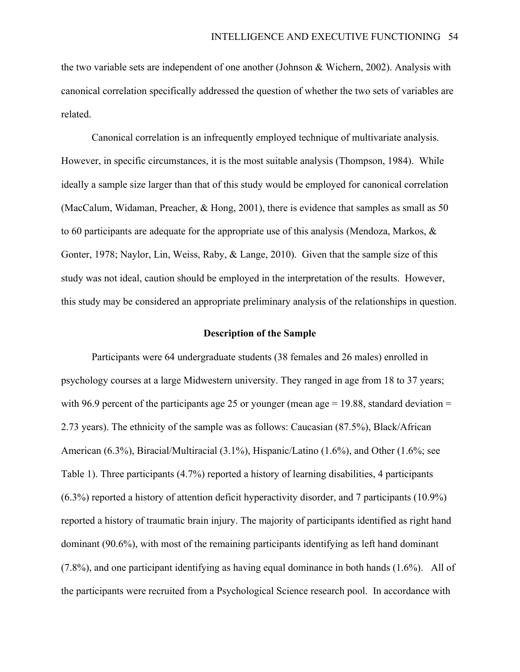the two variable sets are independent of one another (Johnson & Wichern, 2002). Analysis with canonical correlation specifically addressed the question of whether the two sets of variables are related.

Canonical correlation is an infrequently employed technique of multivariate analysis. However, in specific circumstances, it is the most suitable analysis (Thompson, 1984). While ideally a sample size larger than that of this study would be employed for canonical correlation (MacCalum, Widaman, Preacher, & Hong, 2001), there is evidence that samples as small as 50 to 60 participants are adequate for the appropriate use of this analysis (Mendoza, Markos, & Gonter, 1978; Naylor, Lin, Weiss, Raby, & Lange, 2010). Given that the sample size of this study was not ideal, caution should be employed in the interpretation of the results. However, this study may be considered an appropriate preliminary analysis of the relationships in question.

#### **Description of the Sample**

Participants were 64 undergraduate students (38 females and 26 males) enrolled in psychology courses at a large Midwestern university. They ranged in age from 18 to 37 years; with 96.9 percent of the participants age 25 or younger (mean age  $= 19.88$ , standard deviation  $=$ 2.73 years). The ethnicity of the sample was as follows: Caucasian (87.5%), Black/African American (6.3%), Biracial/Multiracial (3.1%), Hispanic/Latino (1.6%), and Other (1.6%; see Table 1). Three participants (4.7%) reported a history of learning disabilities, 4 participants (6.3%) reported a history of attention deficit hyperactivity disorder, and 7 participants (10.9%) reported a history of traumatic brain injury. The majority of participants identified as right hand dominant (90.6%), with most of the remaining participants identifying as left hand dominant (7.8%), and one participant identifying as having equal dominance in both hands (1.6%). All of the participants were recruited from a Psychological Science research pool. In accordance with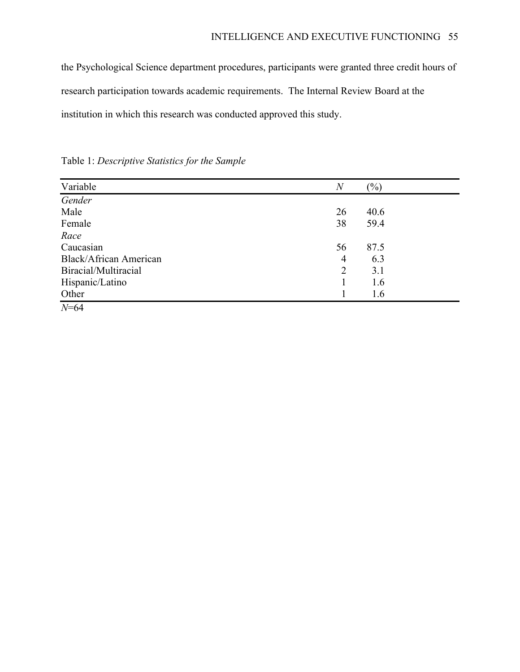the Psychological Science department procedures, participants were granted three credit hours of research participation towards academic requirements. The Internal Review Board at the institution in which this research was conducted approved this study.

| Variable                      | $\,N$          | $(\%)$ |  |
|-------------------------------|----------------|--------|--|
| Gender                        |                |        |  |
| Male                          | 26             | 40.6   |  |
| Female                        | 38             | 59.4   |  |
| Race                          |                |        |  |
| Caucasian                     | 56             | 87.5   |  |
| <b>Black/African American</b> | $\overline{4}$ | 6.3    |  |
| Biracial/Multiracial          | 2              | 3.1    |  |
| Hispanic/Latino               |                | 1.6    |  |
| Other                         |                | 1.6    |  |
| $N=64$                        |                |        |  |

Table 1: *Descriptive Statistics for the Sample*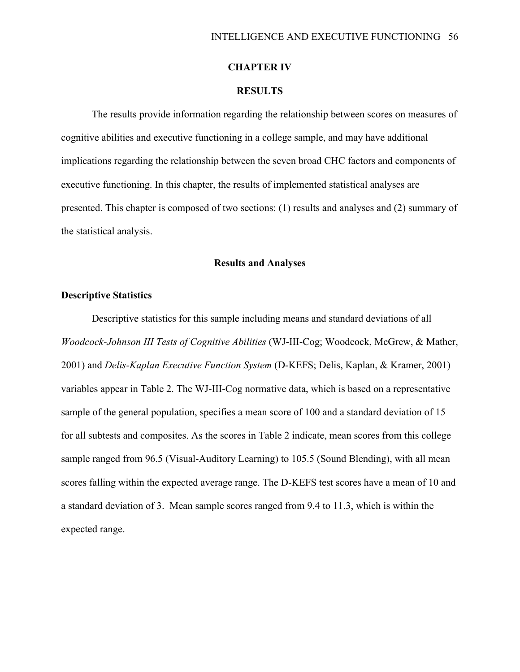## **CHAPTER IV**

## **RESULTS**

The results provide information regarding the relationship between scores on measures of cognitive abilities and executive functioning in a college sample, and may have additional implications regarding the relationship between the seven broad CHC factors and components of executive functioning. In this chapter, the results of implemented statistical analyses are presented. This chapter is composed of two sections: (1) results and analyses and (2) summary of the statistical analysis.

## **Results and Analyses**

## **Descriptive Statistics**

Descriptive statistics for this sample including means and standard deviations of all *Woodcock-Johnson III Tests of Cognitive Abilities* (WJ-III-Cog; Woodcock, McGrew, & Mather, 2001) and *Delis-Kaplan Executive Function System* (D-KEFS; Delis, Kaplan, & Kramer, 2001) variables appear in Table 2. The WJ-III-Cog normative data, which is based on a representative sample of the general population, specifies a mean score of 100 and a standard deviation of 15 for all subtests and composites. As the scores in Table 2 indicate, mean scores from this college sample ranged from 96.5 (Visual-Auditory Learning) to 105.5 (Sound Blending), with all mean scores falling within the expected average range. The D-KEFS test scores have a mean of 10 and a standard deviation of 3. Mean sample scores ranged from 9.4 to 11.3, which is within the expected range.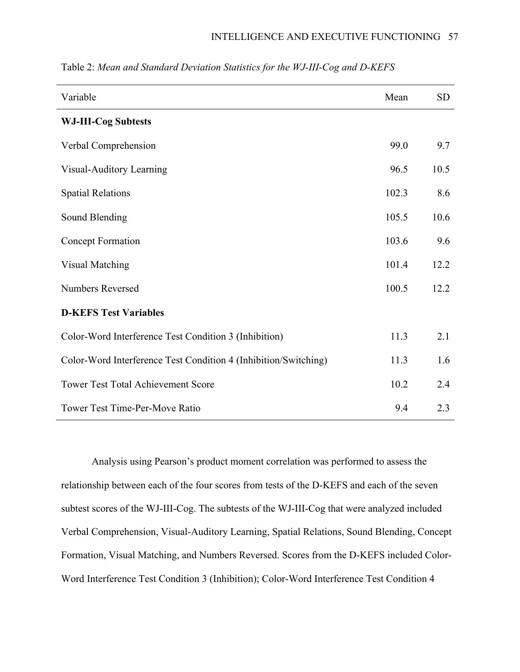| Variable                                                        | Mean  | <b>SD</b> |
|-----------------------------------------------------------------|-------|-----------|
| <b>WJ-III-Cog Subtests</b>                                      |       |           |
| Verbal Comprehension                                            | 99.0  | 9.7       |
| Visual-Auditory Learning                                        | 96.5  | 10.5      |
| <b>Spatial Relations</b>                                        | 102.3 | 8.6       |
| Sound Blending                                                  | 105.5 | 10.6      |
| <b>Concept Formation</b>                                        | 103.6 | 9.6       |
| <b>Visual Matching</b>                                          | 101.4 | 12.2      |
| <b>Numbers Reversed</b>                                         | 100.5 | 12.2      |
| <b>D-KEFS Test Variables</b>                                    |       |           |
| Color-Word Interference Test Condition 3 (Inhibition)           | 11.3  | 2.1       |
| Color-Word Interference Test Condition 4 (Inhibition/Switching) | 11.3  | 1.6       |
| <b>Tower Test Total Achievement Score</b>                       | 10.2  | 2.4       |
| <b>Tower Test Time-Per-Move Ratio</b>                           | 9.4   | 2.3       |

Table 2: *Mean and Standard Deviation Statistics for the WJ-III-Cog and D-KEFS*

Analysis using Pearson's product moment correlation was performed to assess the relationship between each of the four scores from tests of the D-KEFS and each of the seven subtest scores of the WJ-III-Cog. The subtests of the WJ-III-Cog that were analyzed included Verbal Comprehension, Visual-Auditory Learning, Spatial Relations, Sound Blending, Concept Formation, Visual Matching, and Numbers Reversed. Scores from the D-KEFS included Color-Word Interference Test Condition 3 (Inhibition); Color-Word Interference Test Condition 4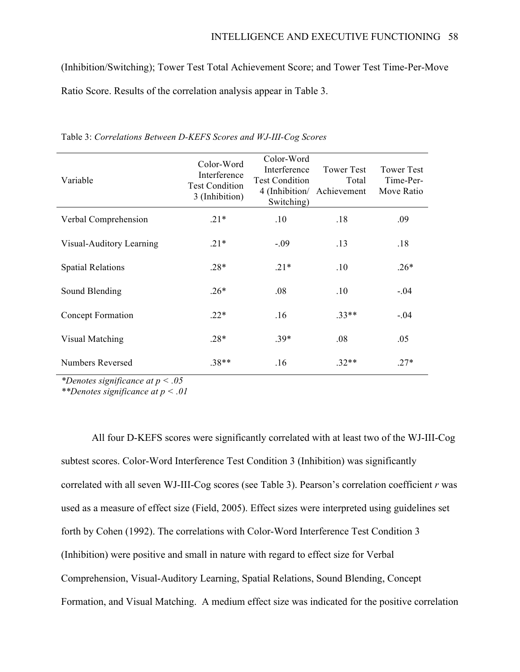(Inhibition/Switching); Tower Test Total Achievement Score; and Tower Test Time-Per-Move Ratio Score. Results of the correlation analysis appear in Table 3.

| Variable                 | Color-Word<br>Interference<br><b>Test Condition</b><br>3 (Inhibition) | Color-Word<br>Interference<br><b>Test Condition</b><br>Switching) | <b>Tower Test</b><br>Total<br>4 (Inhibition/ Achievement | <b>Tower Test</b><br>Time-Per-<br>Move Ratio |
|--------------------------|-----------------------------------------------------------------------|-------------------------------------------------------------------|----------------------------------------------------------|----------------------------------------------|
| Verbal Comprehension     | $.21*$                                                                | .10                                                               | .18                                                      | .09                                          |
| Visual-Auditory Learning | $.21*$                                                                | $-.09$                                                            | .13                                                      | .18                                          |
| <b>Spatial Relations</b> | $.28*$                                                                | $.21*$                                                            | .10                                                      | $.26*$                                       |
| Sound Blending           | $.26*$                                                                | .08                                                               | .10                                                      | $-.04$                                       |
| Concept Formation        | $.22*$                                                                | .16                                                               | $.33**$                                                  | $-.04$                                       |
| Visual Matching          | $.28*$                                                                | $.39*$                                                            | .08                                                      | .05                                          |
| Numbers Reversed         | $.38**$                                                               | .16                                                               | $.32**$                                                  | $.27*$                                       |

Table 3: *Correlations Between D-KEFS Scores and WJ-III-Cog Scores*

*\*Denotes significance at p < .05*

*\*\*Denotes significance at p < .01*

All four D-KEFS scores were significantly correlated with at least two of the WJ-III-Cog subtest scores. Color-Word Interference Test Condition 3 (Inhibition) was significantly correlated with all seven WJ-III-Cog scores (see Table 3). Pearson's correlation coefficient *r* was used as a measure of effect size (Field, 2005). Effect sizes were interpreted using guidelines set forth by Cohen (1992). The correlations with Color-Word Interference Test Condition 3 (Inhibition) were positive and small in nature with regard to effect size for Verbal Comprehension, Visual-Auditory Learning, Spatial Relations, Sound Blending, Concept Formation, and Visual Matching. A medium effect size was indicated for the positive correlation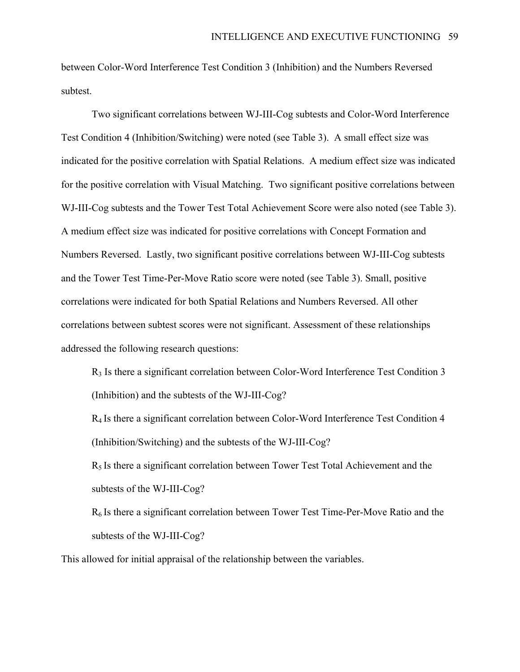between Color-Word Interference Test Condition 3 (Inhibition) and the Numbers Reversed subtest.

Two significant correlations between WJ-III-Cog subtests and Color-Word Interference Test Condition 4 (Inhibition/Switching) were noted (see Table 3). A small effect size was indicated for the positive correlation with Spatial Relations. A medium effect size was indicated for the positive correlation with Visual Matching. Two significant positive correlations between WJ-III-Cog subtests and the Tower Test Total Achievement Score were also noted (see Table 3). A medium effect size was indicated for positive correlations with Concept Formation and Numbers Reversed. Lastly, two significant positive correlations between WJ-III-Cog subtests and the Tower Test Time-Per-Move Ratio score were noted (see Table 3). Small, positive correlations were indicated for both Spatial Relations and Numbers Reversed. All other correlations between subtest scores were not significant. Assessment of these relationships addressed the following research questions:

R3 Is there a significant correlation between Color-Word Interference Test Condition 3 (Inhibition) and the subtests of the WJ-III-Cog?

R4 Is there a significant correlation between Color-Word Interference Test Condition 4 (Inhibition/Switching) and the subtests of the WJ-III-Cog?

 $R<sub>5</sub>$  Is there a significant correlation between Tower Test Total Achievement and the subtests of the WJ-III-Cog?

 $R<sub>6</sub>$  Is there a significant correlation between Tower Test Time-Per-Move Ratio and the subtests of the WJ-III-Cog?

This allowed for initial appraisal of the relationship between the variables.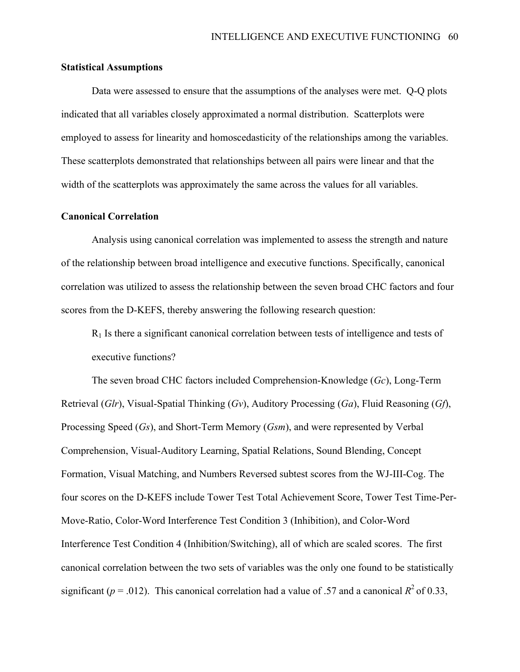#### **Statistical Assumptions**

Data were assessed to ensure that the assumptions of the analyses were met. Q-Q plots indicated that all variables closely approximated a normal distribution. Scatterplots were employed to assess for linearity and homoscedasticity of the relationships among the variables. These scatterplots demonstrated that relationships between all pairs were linear and that the width of the scatterplots was approximately the same across the values for all variables.

#### **Canonical Correlation**

Analysis using canonical correlation was implemented to assess the strength and nature of the relationship between broad intelligence and executive functions. Specifically, canonical correlation was utilized to assess the relationship between the seven broad CHC factors and four scores from the D-KEFS, thereby answering the following research question:

 $R_1$  Is there a significant canonical correlation between tests of intelligence and tests of executive functions?

The seven broad CHC factors included Comprehension-Knowledge (*Gc*), Long-Term Retrieval (*Glr*), Visual-Spatial Thinking (*Gv*), Auditory Processing (*Ga*), Fluid Reasoning (*Gf*), Processing Speed (*Gs*), and Short-Term Memory (*Gsm*), and were represented by Verbal Comprehension, Visual-Auditory Learning, Spatial Relations, Sound Blending, Concept Formation, Visual Matching, and Numbers Reversed subtest scores from the WJ-III-Cog. The four scores on the D-KEFS include Tower Test Total Achievement Score, Tower Test Time-Per-Move-Ratio, Color-Word Interference Test Condition 3 (Inhibition), and Color-Word Interference Test Condition 4 (Inhibition/Switching), all of which are scaled scores. The first canonical correlation between the two sets of variables was the only one found to be statistically significant ( $p = .012$ ). This canonical correlation had a value of .57 and a canonical  $R^2$  of 0.33,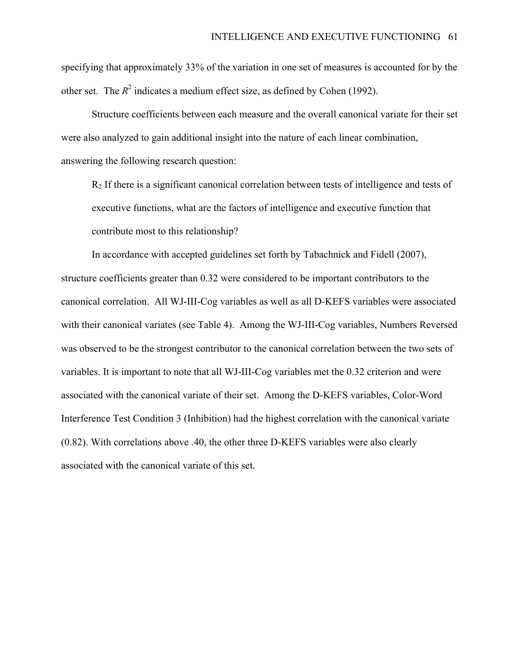specifying that approximately 33% of the variation in one set of measures is accounted for by the other set. The  $R^2$  indicates a medium effect size, as defined by Cohen (1992).

Structure coefficients between each measure and the overall canonical variate for their set were also analyzed to gain additional insight into the nature of each linear combination, answering the following research question:

 $R<sub>2</sub>$  If there is a significant canonical correlation between tests of intelligence and tests of executive functions, what are the factors of intelligence and executive function that contribute most to this relationship?

In accordance with accepted guidelines set forth by Tabachnick and Fidell (2007), structure coefficients greater than 0.32 were considered to be important contributors to the canonical correlation. All WJ-III-Cog variables as well as all D-KEFS variables were associated with their canonical variates (see Table 4). Among the WJ-III-Cog variables, Numbers Reversed was observed to be the strongest contributor to the canonical correlation between the two sets of variables. It is important to note that all WJ-III-Cog variables met the 0.32 criterion and were associated with the canonical variate of their set. Among the D-KEFS variables, Color-Word Interference Test Condition 3 (Inhibition) had the highest correlation with the canonical variate (0.82). With correlations above .40, the other three D-KEFS variables were also clearly associated with the canonical variate of this set.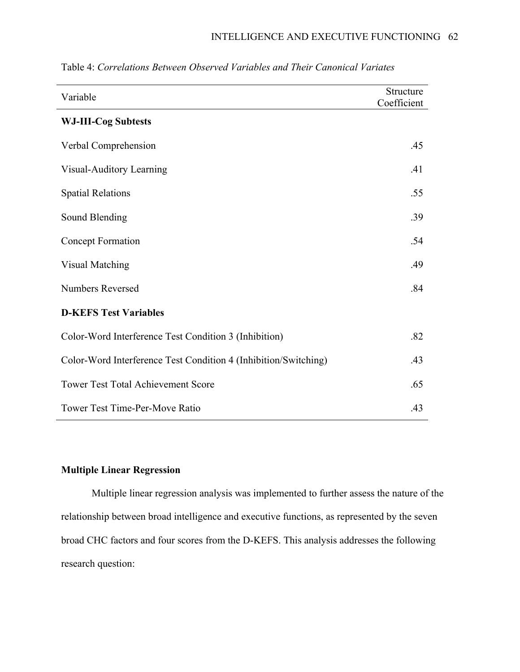| Variable                                                        | Structure<br>Coefficient |
|-----------------------------------------------------------------|--------------------------|
| <b>WJ-III-Cog Subtests</b>                                      |                          |
| Verbal Comprehension                                            | .45                      |
| Visual-Auditory Learning                                        | .41                      |
| <b>Spatial Relations</b>                                        | .55                      |
| Sound Blending                                                  | .39                      |
| <b>Concept Formation</b>                                        | .54                      |
| <b>Visual Matching</b>                                          | .49                      |
| <b>Numbers Reversed</b>                                         | .84                      |
| <b>D-KEFS Test Variables</b>                                    |                          |
| Color-Word Interference Test Condition 3 (Inhibition)           | .82                      |
| Color-Word Interference Test Condition 4 (Inhibition/Switching) | .43                      |
| <b>Tower Test Total Achievement Score</b>                       | .65                      |
| <b>Tower Test Time-Per-Move Ratio</b>                           | .43                      |

Table 4: *Correlations Between Observed Variables and Their Canonical Variates*

# **Multiple Linear Regression**

Multiple linear regression analysis was implemented to further assess the nature of the relationship between broad intelligence and executive functions, as represented by the seven broad CHC factors and four scores from the D-KEFS. This analysis addresses the following research question: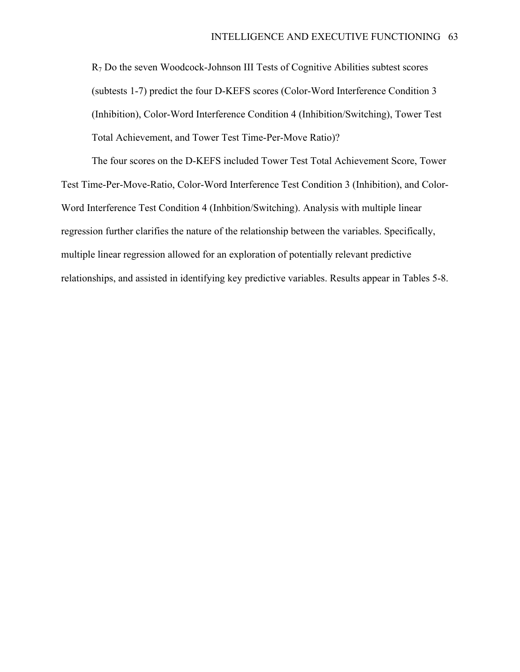R7 Do the seven Woodcock-Johnson III Tests of Cognitive Abilities subtest scores (subtests 1-7) predict the four D-KEFS scores (Color-Word Interference Condition 3 (Inhibition), Color-Word Interference Condition 4 (Inhibition/Switching), Tower Test Total Achievement, and Tower Test Time-Per-Move Ratio)?

The four scores on the D-KEFS included Tower Test Total Achievement Score, Tower Test Time-Per-Move-Ratio, Color-Word Interference Test Condition 3 (Inhibition), and Color-Word Interference Test Condition 4 (Inhbition/Switching). Analysis with multiple linear regression further clarifies the nature of the relationship between the variables. Specifically, multiple linear regression allowed for an exploration of potentially relevant predictive relationships, and assisted in identifying key predictive variables. Results appear in Tables 5-8.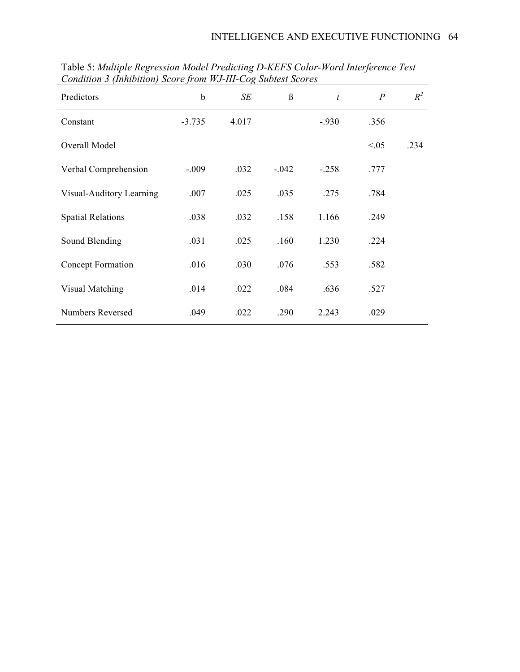| Predictors               | b        | SE    | $\beta$ | $\boldsymbol{t}$ | $\overline{P}$ | $R^2$ |
|--------------------------|----------|-------|---------|------------------|----------------|-------|
| Constant                 | $-3.735$ | 4.017 |         | $-930$           | .356           |       |
| Overall Model            |          |       |         |                  | < 0.05         | .234  |
| Verbal Comprehension     | $-0.09$  | .032  | $-.042$ | $-.258$          | .777           |       |
| Visual-Auditory Learning | .007     | .025  | .035    | .275             | .784           |       |
| <b>Spatial Relations</b> | .038     | .032  | .158    | 1.166            | .249           |       |
| Sound Blending           | .031     | .025  | .160    | 1.230            | .224           |       |
| Concept Formation        | .016     | .030  | .076    | .553             | .582           |       |
| Visual Matching          | .014     | .022  | .084    | .636             | .527           |       |
| <b>Numbers Reversed</b>  | .049     | .022  | .290    | 2.243            | .029           |       |

Table 5: *Multiple Regression Model Predicting D-KEFS Color-Word Interference Test Condition 3 (Inhibition) Score from WJ-III-Cog Subtest Scores*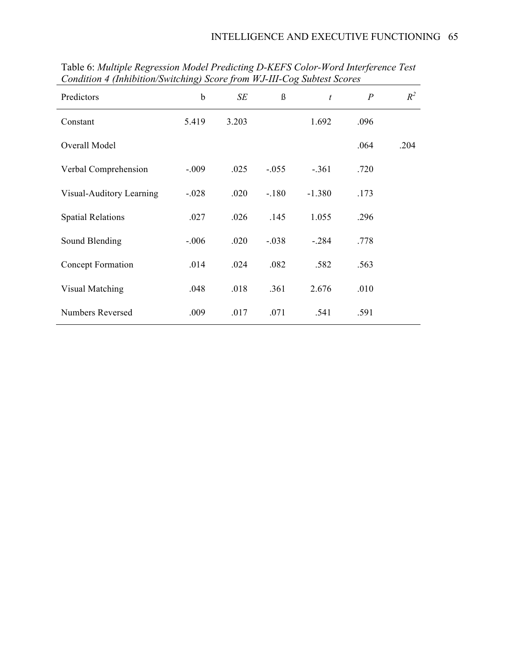| Predictors               | b       | SE    | $\beta$ | $\boldsymbol{t}$ | $\boldsymbol{P}$ | $R^2$ |
|--------------------------|---------|-------|---------|------------------|------------------|-------|
| Constant                 | 5.419   | 3.203 |         | 1.692            | .096             |       |
| Overall Model            |         |       |         |                  | .064             | .204  |
| Verbal Comprehension     | $-.009$ | .025  | $-.055$ | $-.361$          | .720             |       |
| Visual-Auditory Learning | $-.028$ | .020  | $-.180$ | $-1.380$         | .173             |       |
| <b>Spatial Relations</b> | .027    | .026  | .145    | 1.055            | .296             |       |
| Sound Blending           | $-.006$ | .020  | $-.038$ | $-.284$          | .778             |       |
| Concept Formation        | .014    | .024  | .082    | .582             | .563             |       |
| Visual Matching          | .048    | .018  | .361    | 2.676            | .010             |       |
| <b>Numbers Reversed</b>  | .009    | .017  | .071    | .541             | .591             |       |

Table 6: *Multiple Regression Model Predicting D-KEFS Color-Word Interference Test Condition 4 (Inhibition/Switching) Score from WJ-III-Cog Subtest Scores*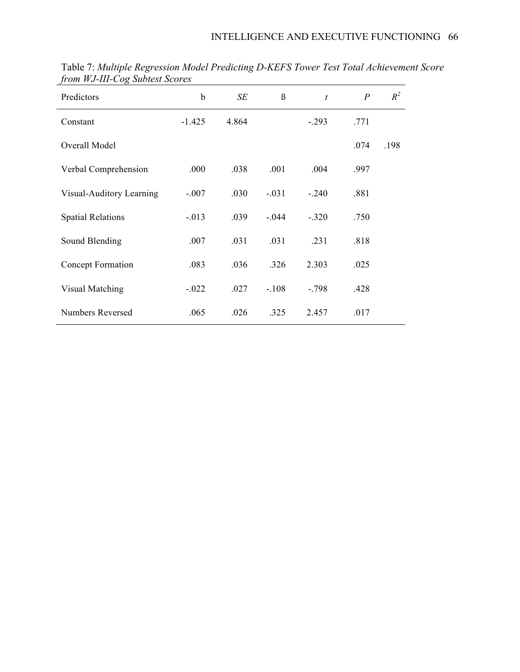| Predictors               | b        | SE    | ß       | $\boldsymbol{t}$ | $\overline{P}$ | $R^2$ |
|--------------------------|----------|-------|---------|------------------|----------------|-------|
| Constant                 | $-1.425$ | 4.864 |         | $-.293$          | .771           |       |
| Overall Model            |          |       |         |                  | .074           | .198  |
| Verbal Comprehension     | .000     | .038  | .001    | .004             | .997           |       |
| Visual-Auditory Learning | $-.007$  | .030  | $-.031$ | $-.240$          | .881           |       |
| <b>Spatial Relations</b> | $-.013$  | .039  | $-.044$ | $-.320$          | .750           |       |
| Sound Blending           | .007     | .031  | .031    | .231             | .818           |       |
| Concept Formation        | .083     | .036  | .326    | 2.303            | .025           |       |
| Visual Matching          | $-.022$  | .027  | $-.108$ | $-.798$          | .428           |       |
| <b>Numbers Reversed</b>  | .065     | .026  | .325    | 2.457            | .017           |       |

Table 7: *Multiple Regression Model Predicting D-KEFS Tower Test Total Achievement Score from WJ-III-Cog Subtest Scores*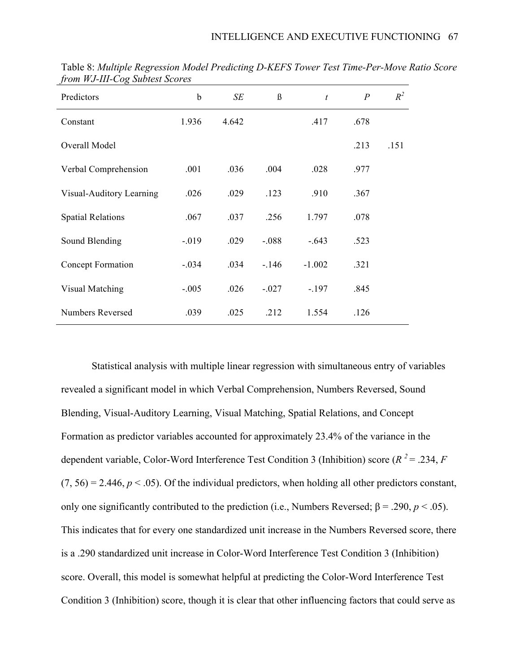| Predictors               | b        | SE    | $\beta$ | $\boldsymbol{t}$ | $\overline{P}$ | $R^2$ |
|--------------------------|----------|-------|---------|------------------|----------------|-------|
| Constant                 | 1.936    | 4.642 |         | .417             | .678           |       |
| Overall Model            |          |       |         |                  | .213           | .151  |
| Verbal Comprehension     | .001     | .036  | .004    | .028             | .977           |       |
| Visual-Auditory Learning | .026     | .029  | .123    | .910             | .367           |       |
| <b>Spatial Relations</b> | .067     | .037  | .256    | 1.797            | .078           |       |
| Sound Blending           | $-0.019$ | .029  | $-.088$ | $-.643$          | .523           |       |
| Concept Formation        | $-.034$  | .034  | $-146$  | $-1.002$         | .321           |       |
| Visual Matching          | $-.005$  | .026  | $-.027$ | $-.197$          | .845           |       |
| Numbers Reversed         | .039     | .025  | .212    | 1.554            | .126           |       |

Table 8: *Multiple Regression Model Predicting D-KEFS Tower Test Time-Per-Move Ratio Score from WJ-III-Cog Subtest Scores*

Statistical analysis with multiple linear regression with simultaneous entry of variables revealed a significant model in which Verbal Comprehension, Numbers Reversed, Sound Blending, Visual-Auditory Learning, Visual Matching, Spatial Relations, and Concept Formation as predictor variables accounted for approximately 23.4% of the variance in the dependent variable, Color-Word Interference Test Condition 3 (Inhibition) score ( $R^2 = .234, F$  $(7, 56) = 2.446$ ,  $p < .05$ ). Of the individual predictors, when holding all other predictors constant, only one significantly contributed to the prediction (i.e., Numbers Reversed; β = .290,  $p < .05$ ). This indicates that for every one standardized unit increase in the Numbers Reversed score, there is a .290 standardized unit increase in Color-Word Interference Test Condition 3 (Inhibition) score. Overall, this model is somewhat helpful at predicting the Color-Word Interference Test Condition 3 (Inhibition) score, though it is clear that other influencing factors that could serve as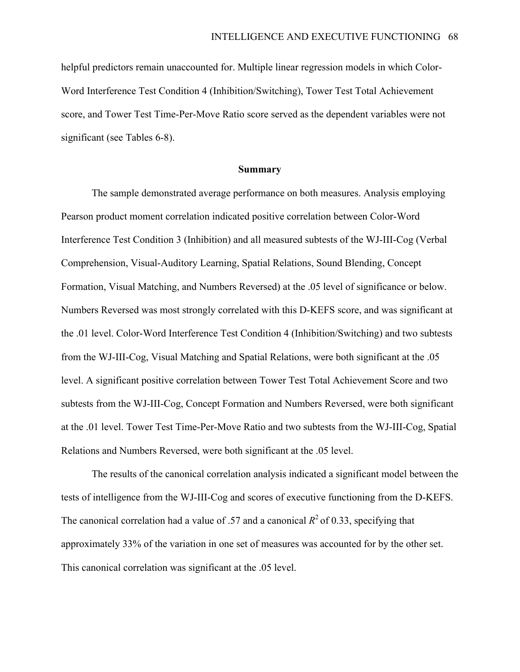helpful predictors remain unaccounted for. Multiple linear regression models in which Color-Word Interference Test Condition 4 (Inhibition/Switching), Tower Test Total Achievement score, and Tower Test Time-Per-Move Ratio score served as the dependent variables were not significant (see Tables 6-8).

#### **Summary**

The sample demonstrated average performance on both measures. Analysis employing Pearson product moment correlation indicated positive correlation between Color-Word Interference Test Condition 3 (Inhibition) and all measured subtests of the WJ-III-Cog (Verbal Comprehension, Visual-Auditory Learning, Spatial Relations, Sound Blending, Concept Formation, Visual Matching, and Numbers Reversed) at the .05 level of significance or below. Numbers Reversed was most strongly correlated with this D-KEFS score, and was significant at the .01 level. Color-Word Interference Test Condition 4 (Inhibition/Switching) and two subtests from the WJ-III-Cog, Visual Matching and Spatial Relations, were both significant at the .05 level. A significant positive correlation between Tower Test Total Achievement Score and two subtests from the WJ-III-Cog, Concept Formation and Numbers Reversed, were both significant at the .01 level. Tower Test Time-Per-Move Ratio and two subtests from the WJ-III-Cog, Spatial Relations and Numbers Reversed, were both significant at the .05 level.

The results of the canonical correlation analysis indicated a significant model between the tests of intelligence from the WJ-III-Cog and scores of executive functioning from the D-KEFS. The canonical correlation had a value of .57 and a canonical  $R^2$  of 0.33, specifying that approximately 33% of the variation in one set of measures was accounted for by the other set. This canonical correlation was significant at the .05 level.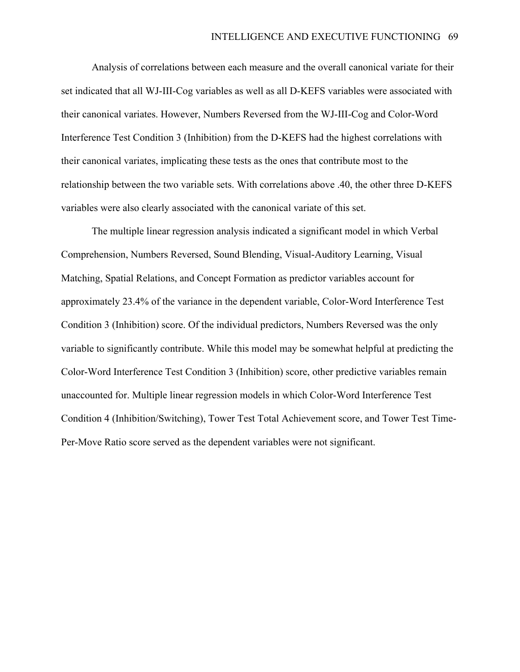Analysis of correlations between each measure and the overall canonical variate for their set indicated that all WJ-III-Cog variables as well as all D-KEFS variables were associated with their canonical variates. However, Numbers Reversed from the WJ-III-Cog and Color-Word Interference Test Condition 3 (Inhibition) from the D-KEFS had the highest correlations with their canonical variates, implicating these tests as the ones that contribute most to the relationship between the two variable sets. With correlations above .40, the other three D-KEFS variables were also clearly associated with the canonical variate of this set.

The multiple linear regression analysis indicated a significant model in which Verbal Comprehension, Numbers Reversed, Sound Blending, Visual-Auditory Learning, Visual Matching, Spatial Relations, and Concept Formation as predictor variables account for approximately 23.4% of the variance in the dependent variable, Color-Word Interference Test Condition 3 (Inhibition) score. Of the individual predictors, Numbers Reversed was the only variable to significantly contribute. While this model may be somewhat helpful at predicting the Color-Word Interference Test Condition 3 (Inhibition) score, other predictive variables remain unaccounted for. Multiple linear regression models in which Color-Word Interference Test Condition 4 (Inhibition/Switching), Tower Test Total Achievement score, and Tower Test Time-Per-Move Ratio score served as the dependent variables were not significant.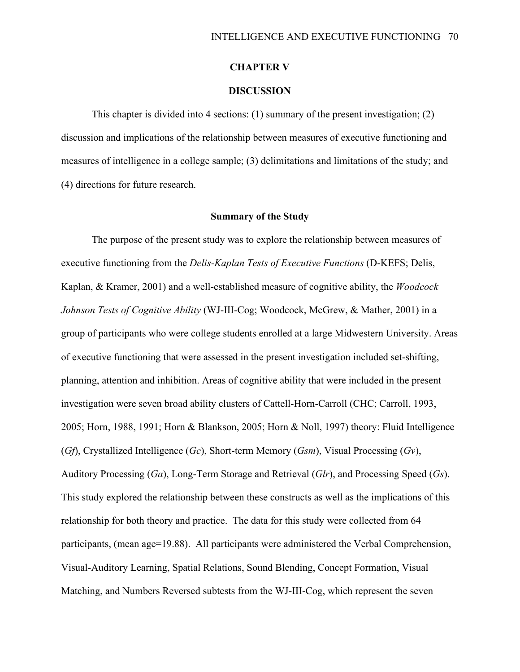# **CHAPTER V**

# **DISCUSSION**

This chapter is divided into 4 sections: (1) summary of the present investigation; (2) discussion and implications of the relationship between measures of executive functioning and measures of intelligence in a college sample; (3) delimitations and limitations of the study; and (4) directions for future research.

#### **Summary of the Study**

The purpose of the present study was to explore the relationship between measures of executive functioning from the *Delis-Kaplan Tests of Executive Functions* (D-KEFS; Delis, Kaplan, & Kramer, 2001) and a well-established measure of cognitive ability, the *Woodcock Johnson Tests of Cognitive Ability* (WJ-III-Cog; Woodcock, McGrew, & Mather, 2001) in a group of participants who were college students enrolled at a large Midwestern University. Areas of executive functioning that were assessed in the present investigation included set-shifting, planning, attention and inhibition. Areas of cognitive ability that were included in the present investigation were seven broad ability clusters of Cattell-Horn-Carroll (CHC; Carroll, 1993, 2005; Horn, 1988, 1991; Horn & Blankson, 2005; Horn & Noll, 1997) theory: Fluid Intelligence (*Gf*), Crystallized Intelligence (*Gc*), Short-term Memory (*Gsm*), Visual Processing (*Gv*), Auditory Processing (*Ga*), Long-Term Storage and Retrieval (*Glr*), and Processing Speed (*Gs*). This study explored the relationship between these constructs as well as the implications of this relationship for both theory and practice. The data for this study were collected from 64 participants, (mean age=19.88). All participants were administered the Verbal Comprehension, Visual-Auditory Learning, Spatial Relations, Sound Blending, Concept Formation, Visual Matching, and Numbers Reversed subtests from the WJ-III-Cog, which represent the seven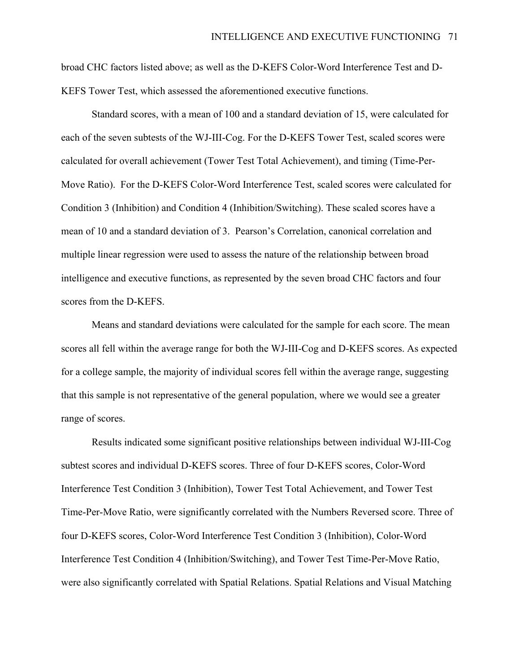broad CHC factors listed above; as well as the D-KEFS Color-Word Interference Test and D-KEFS Tower Test, which assessed the aforementioned executive functions.

Standard scores, with a mean of 100 and a standard deviation of 15, were calculated for each of the seven subtests of the WJ-III-Cog. For the D-KEFS Tower Test, scaled scores were calculated for overall achievement (Tower Test Total Achievement), and timing (Time-Per-Move Ratio). For the D-KEFS Color-Word Interference Test, scaled scores were calculated for Condition 3 (Inhibition) and Condition 4 (Inhibition/Switching). These scaled scores have a mean of 10 and a standard deviation of 3. Pearson's Correlation, canonical correlation and multiple linear regression were used to assess the nature of the relationship between broad intelligence and executive functions, as represented by the seven broad CHC factors and four scores from the D-KEFS.

Means and standard deviations were calculated for the sample for each score. The mean scores all fell within the average range for both the WJ-III-Cog and D-KEFS scores. As expected for a college sample, the majority of individual scores fell within the average range, suggesting that this sample is not representative of the general population, where we would see a greater range of scores.

Results indicated some significant positive relationships between individual WJ-III-Cog subtest scores and individual D-KEFS scores. Three of four D-KEFS scores, Color-Word Interference Test Condition 3 (Inhibition), Tower Test Total Achievement, and Tower Test Time-Per-Move Ratio, were significantly correlated with the Numbers Reversed score. Three of four D-KEFS scores, Color-Word Interference Test Condition 3 (Inhibition), Color-Word Interference Test Condition 4 (Inhibition/Switching), and Tower Test Time-Per-Move Ratio, were also significantly correlated with Spatial Relations. Spatial Relations and Visual Matching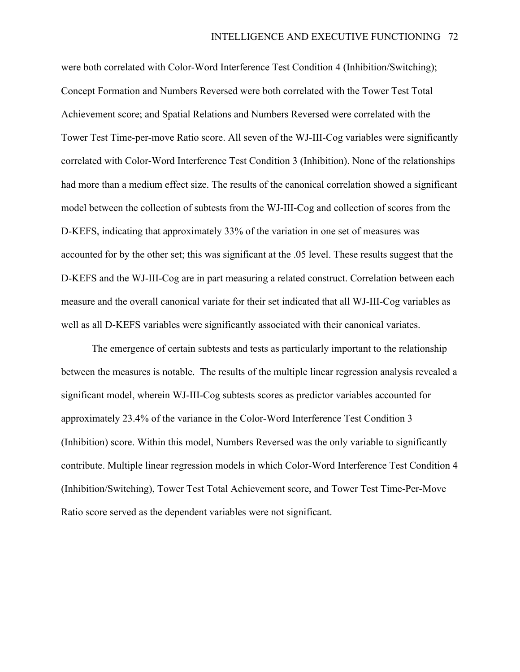were both correlated with Color-Word Interference Test Condition 4 (Inhibition/Switching); Concept Formation and Numbers Reversed were both correlated with the Tower Test Total Achievement score; and Spatial Relations and Numbers Reversed were correlated with the Tower Test Time-per-move Ratio score. All seven of the WJ-III-Cog variables were significantly correlated with Color-Word Interference Test Condition 3 (Inhibition). None of the relationships had more than a medium effect size. The results of the canonical correlation showed a significant model between the collection of subtests from the WJ-III-Cog and collection of scores from the D-KEFS, indicating that approximately 33% of the variation in one set of measures was accounted for by the other set; this was significant at the .05 level. These results suggest that the D-KEFS and the WJ-III-Cog are in part measuring a related construct. Correlation between each measure and the overall canonical variate for their set indicated that all WJ-III-Cog variables as well as all D-KEFS variables were significantly associated with their canonical variates.

The emergence of certain subtests and tests as particularly important to the relationship between the measures is notable. The results of the multiple linear regression analysis revealed a significant model, wherein WJ-III-Cog subtests scores as predictor variables accounted for approximately 23.4% of the variance in the Color-Word Interference Test Condition 3 (Inhibition) score. Within this model, Numbers Reversed was the only variable to significantly contribute. Multiple linear regression models in which Color-Word Interference Test Condition 4 (Inhibition/Switching), Tower Test Total Achievement score, and Tower Test Time-Per-Move Ratio score served as the dependent variables were not significant.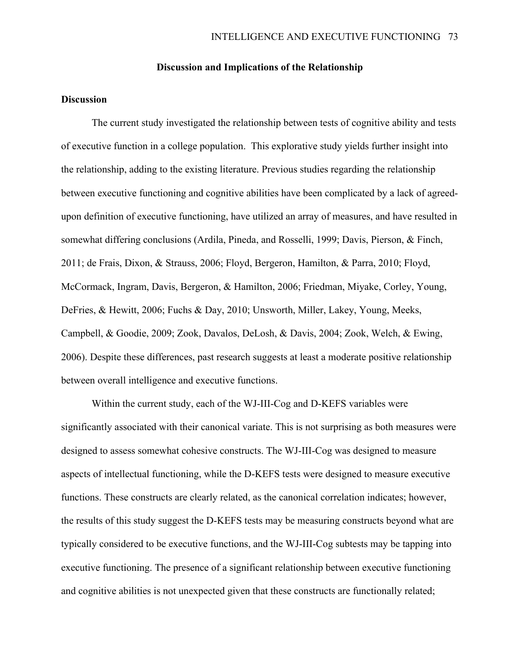# **Discussion and Implications of the Relationship**

# **Discussion**

The current study investigated the relationship between tests of cognitive ability and tests of executive function in a college population. This explorative study yields further insight into the relationship, adding to the existing literature. Previous studies regarding the relationship between executive functioning and cognitive abilities have been complicated by a lack of agreedupon definition of executive functioning, have utilized an array of measures, and have resulted in somewhat differing conclusions (Ardila, Pineda, and Rosselli, 1999; Davis, Pierson, & Finch, 2011; de Frais, Dixon, & Strauss, 2006; Floyd, Bergeron, Hamilton, & Parra, 2010; Floyd, McCormack, Ingram, Davis, Bergeron, & Hamilton, 2006; Friedman, Miyake, Corley, Young, DeFries, & Hewitt, 2006; Fuchs & Day, 2010; Unsworth, Miller, Lakey, Young, Meeks, Campbell, & Goodie, 2009; Zook, Davalos, DeLosh, & Davis, 2004; Zook, Welch, & Ewing, 2006). Despite these differences, past research suggests at least a moderate positive relationship between overall intelligence and executive functions.

Within the current study, each of the WJ-III-Cog and D-KEFS variables were significantly associated with their canonical variate. This is not surprising as both measures were designed to assess somewhat cohesive constructs. The WJ-III-Cog was designed to measure aspects of intellectual functioning, while the D-KEFS tests were designed to measure executive functions. These constructs are clearly related, as the canonical correlation indicates; however, the results of this study suggest the D-KEFS tests may be measuring constructs beyond what are typically considered to be executive functions, and the WJ-III-Cog subtests may be tapping into executive functioning. The presence of a significant relationship between executive functioning and cognitive abilities is not unexpected given that these constructs are functionally related;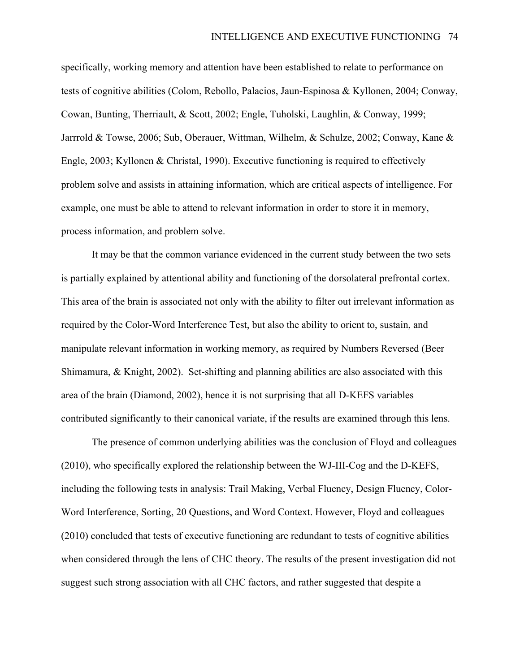specifically, working memory and attention have been established to relate to performance on tests of cognitive abilities (Colom, Rebollo, Palacios, Jaun-Espinosa & Kyllonen, 2004; Conway, Cowan, Bunting, Therriault, & Scott, 2002; Engle, Tuholski, Laughlin, & Conway, 1999; Jarrrold & Towse, 2006; Sub, Oberauer, Wittman, Wilhelm, & Schulze, 2002; Conway, Kane & Engle, 2003; Kyllonen & Christal, 1990). Executive functioning is required to effectively problem solve and assists in attaining information, which are critical aspects of intelligence. For example, one must be able to attend to relevant information in order to store it in memory, process information, and problem solve.

It may be that the common variance evidenced in the current study between the two sets is partially explained by attentional ability and functioning of the dorsolateral prefrontal cortex. This area of the brain is associated not only with the ability to filter out irrelevant information as required by the Color-Word Interference Test, but also the ability to orient to, sustain, and manipulate relevant information in working memory, as required by Numbers Reversed (Beer Shimamura, & Knight, 2002). Set-shifting and planning abilities are also associated with this area of the brain (Diamond, 2002), hence it is not surprising that all D-KEFS variables contributed significantly to their canonical variate, if the results are examined through this lens.

The presence of common underlying abilities was the conclusion of Floyd and colleagues (2010), who specifically explored the relationship between the WJ-III-Cog and the D-KEFS, including the following tests in analysis: Trail Making, Verbal Fluency, Design Fluency, Color-Word Interference, Sorting, 20 Questions, and Word Context. However, Floyd and colleagues (2010) concluded that tests of executive functioning are redundant to tests of cognitive abilities when considered through the lens of CHC theory. The results of the present investigation did not suggest such strong association with all CHC factors, and rather suggested that despite a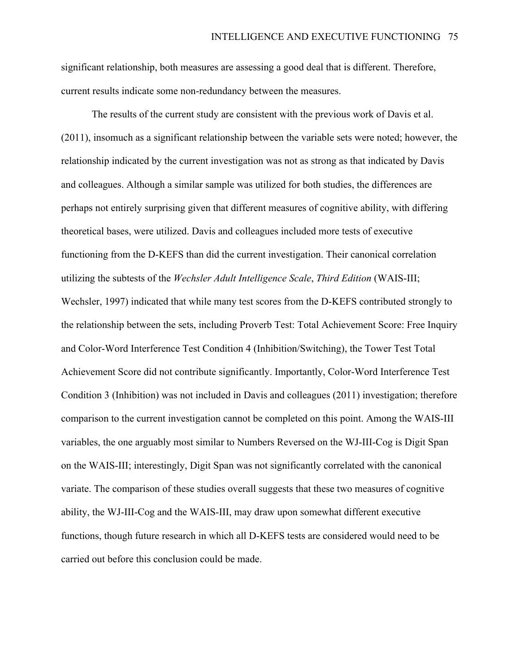significant relationship, both measures are assessing a good deal that is different. Therefore, current results indicate some non-redundancy between the measures.

The results of the current study are consistent with the previous work of Davis et al. (2011), insomuch as a significant relationship between the variable sets were noted; however, the relationship indicated by the current investigation was not as strong as that indicated by Davis and colleagues. Although a similar sample was utilized for both studies, the differences are perhaps not entirely surprising given that different measures of cognitive ability, with differing theoretical bases, were utilized. Davis and colleagues included more tests of executive functioning from the D-KEFS than did the current investigation. Their canonical correlation utilizing the subtests of the *Wechsler Adult Intelligence Scale*, *Third Edition* (WAIS-III; Wechsler, 1997) indicated that while many test scores from the D-KEFS contributed strongly to the relationship between the sets, including Proverb Test: Total Achievement Score: Free Inquiry and Color-Word Interference Test Condition 4 (Inhibition/Switching), the Tower Test Total Achievement Score did not contribute significantly. Importantly, Color-Word Interference Test Condition 3 (Inhibition) was not included in Davis and colleagues (2011) investigation; therefore comparison to the current investigation cannot be completed on this point. Among the WAIS-III variables, the one arguably most similar to Numbers Reversed on the WJ-III-Cog is Digit Span on the WAIS-III; interestingly, Digit Span was not significantly correlated with the canonical variate. The comparison of these studies overall suggests that these two measures of cognitive ability, the WJ-III-Cog and the WAIS-III, may draw upon somewhat different executive functions, though future research in which all D-KEFS tests are considered would need to be carried out before this conclusion could be made.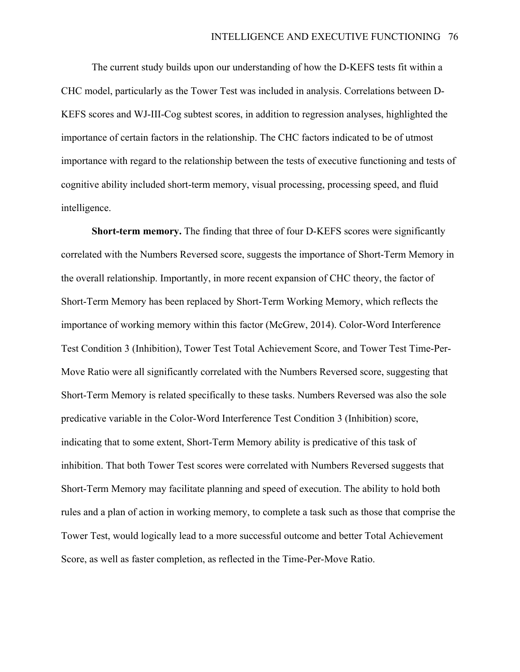The current study builds upon our understanding of how the D-KEFS tests fit within a CHC model, particularly as the Tower Test was included in analysis. Correlations between D-KEFS scores and WJ-III-Cog subtest scores, in addition to regression analyses, highlighted the importance of certain factors in the relationship. The CHC factors indicated to be of utmost importance with regard to the relationship between the tests of executive functioning and tests of cognitive ability included short-term memory, visual processing, processing speed, and fluid intelligence.

**Short-term memory.** The finding that three of four D-KEFS scores were significantly correlated with the Numbers Reversed score, suggests the importance of Short-Term Memory in the overall relationship. Importantly, in more recent expansion of CHC theory, the factor of Short-Term Memory has been replaced by Short-Term Working Memory, which reflects the importance of working memory within this factor (McGrew, 2014). Color-Word Interference Test Condition 3 (Inhibition), Tower Test Total Achievement Score, and Tower Test Time-Per-Move Ratio were all significantly correlated with the Numbers Reversed score, suggesting that Short-Term Memory is related specifically to these tasks. Numbers Reversed was also the sole predicative variable in the Color-Word Interference Test Condition 3 (Inhibition) score, indicating that to some extent, Short-Term Memory ability is predicative of this task of inhibition. That both Tower Test scores were correlated with Numbers Reversed suggests that Short-Term Memory may facilitate planning and speed of execution. The ability to hold both rules and a plan of action in working memory, to complete a task such as those that comprise the Tower Test, would logically lead to a more successful outcome and better Total Achievement Score, as well as faster completion, as reflected in the Time-Per-Move Ratio.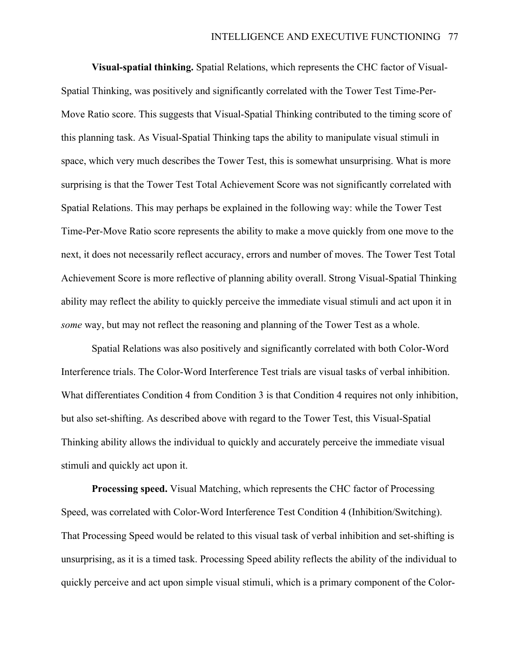**Visual-spatial thinking.** Spatial Relations, which represents the CHC factor of Visual-Spatial Thinking, was positively and significantly correlated with the Tower Test Time-Per-Move Ratio score. This suggests that Visual-Spatial Thinking contributed to the timing score of this planning task. As Visual-Spatial Thinking taps the ability to manipulate visual stimuli in space, which very much describes the Tower Test, this is somewhat unsurprising. What is more surprising is that the Tower Test Total Achievement Score was not significantly correlated with Spatial Relations. This may perhaps be explained in the following way: while the Tower Test Time-Per-Move Ratio score represents the ability to make a move quickly from one move to the next, it does not necessarily reflect accuracy, errors and number of moves. The Tower Test Total Achievement Score is more reflective of planning ability overall. Strong Visual-Spatial Thinking ability may reflect the ability to quickly perceive the immediate visual stimuli and act upon it in *some* way, but may not reflect the reasoning and planning of the Tower Test as a whole.

Spatial Relations was also positively and significantly correlated with both Color-Word Interference trials. The Color-Word Interference Test trials are visual tasks of verbal inhibition. What differentiates Condition 4 from Condition 3 is that Condition 4 requires not only inhibition, but also set-shifting. As described above with regard to the Tower Test, this Visual-Spatial Thinking ability allows the individual to quickly and accurately perceive the immediate visual stimuli and quickly act upon it.

**Processing speed.** Visual Matching, which represents the CHC factor of Processing Speed, was correlated with Color-Word Interference Test Condition 4 (Inhibition/Switching). That Processing Speed would be related to this visual task of verbal inhibition and set-shifting is unsurprising, as it is a timed task. Processing Speed ability reflects the ability of the individual to quickly perceive and act upon simple visual stimuli, which is a primary component of the Color-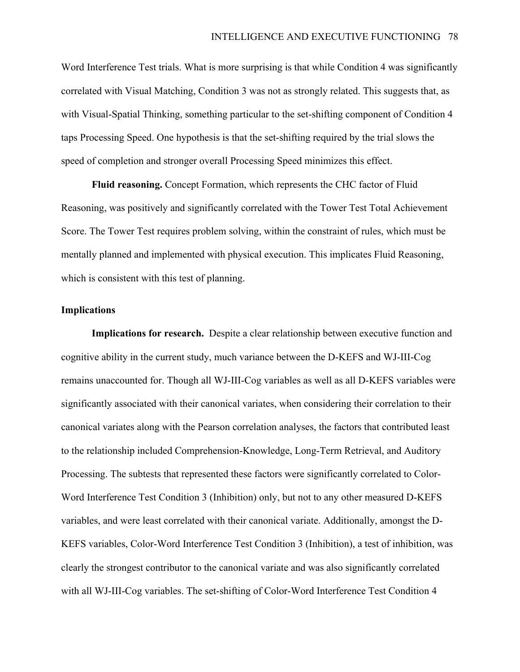Word Interference Test trials. What is more surprising is that while Condition 4 was significantly correlated with Visual Matching, Condition 3 was not as strongly related. This suggests that, as with Visual-Spatial Thinking, something particular to the set-shifting component of Condition 4 taps Processing Speed. One hypothesis is that the set-shifting required by the trial slows the speed of completion and stronger overall Processing Speed minimizes this effect.

**Fluid reasoning.** Concept Formation, which represents the CHC factor of Fluid Reasoning, was positively and significantly correlated with the Tower Test Total Achievement Score. The Tower Test requires problem solving, within the constraint of rules, which must be mentally planned and implemented with physical execution. This implicates Fluid Reasoning, which is consistent with this test of planning.

### **Implications**

**Implications for research.** Despite a clear relationship between executive function and cognitive ability in the current study, much variance between the D-KEFS and WJ-III-Cog remains unaccounted for. Though all WJ-III-Cog variables as well as all D-KEFS variables were significantly associated with their canonical variates, when considering their correlation to their canonical variates along with the Pearson correlation analyses, the factors that contributed least to the relationship included Comprehension-Knowledge, Long-Term Retrieval, and Auditory Processing. The subtests that represented these factors were significantly correlated to Color-Word Interference Test Condition 3 (Inhibition) only, but not to any other measured D-KEFS variables, and were least correlated with their canonical variate. Additionally, amongst the D-KEFS variables, Color-Word Interference Test Condition 3 (Inhibition), a test of inhibition, was clearly the strongest contributor to the canonical variate and was also significantly correlated with all WJ-III-Cog variables. The set-shifting of Color-Word Interference Test Condition 4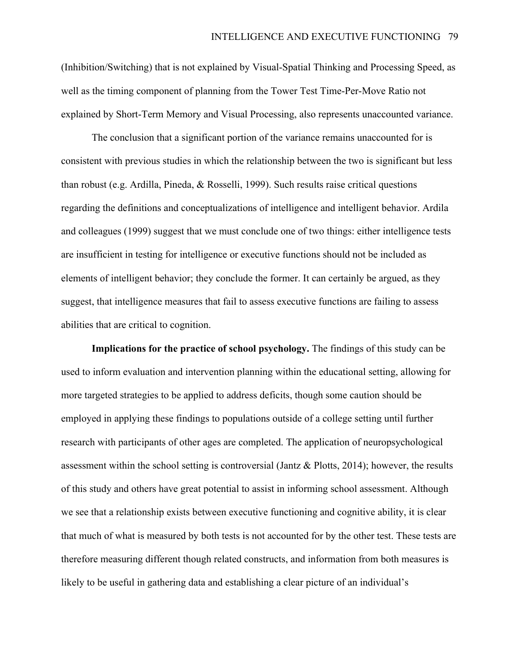(Inhibition/Switching) that is not explained by Visual-Spatial Thinking and Processing Speed, as well as the timing component of planning from the Tower Test Time-Per-Move Ratio not explained by Short-Term Memory and Visual Processing, also represents unaccounted variance.

The conclusion that a significant portion of the variance remains unaccounted for is consistent with previous studies in which the relationship between the two is significant but less than robust (e.g. Ardilla, Pineda, & Rosselli, 1999). Such results raise critical questions regarding the definitions and conceptualizations of intelligence and intelligent behavior. Ardila and colleagues (1999) suggest that we must conclude one of two things: either intelligence tests are insufficient in testing for intelligence or executive functions should not be included as elements of intelligent behavior; they conclude the former. It can certainly be argued, as they suggest, that intelligence measures that fail to assess executive functions are failing to assess abilities that are critical to cognition.

**Implications for the practice of school psychology.** The findings of this study can be used to inform evaluation and intervention planning within the educational setting, allowing for more targeted strategies to be applied to address deficits, though some caution should be employed in applying these findings to populations outside of a college setting until further research with participants of other ages are completed. The application of neuropsychological assessment within the school setting is controversial (Jantz & Plotts, 2014); however, the results of this study and others have great potential to assist in informing school assessment. Although we see that a relationship exists between executive functioning and cognitive ability, it is clear that much of what is measured by both tests is not accounted for by the other test. These tests are therefore measuring different though related constructs, and information from both measures is likely to be useful in gathering data and establishing a clear picture of an individual's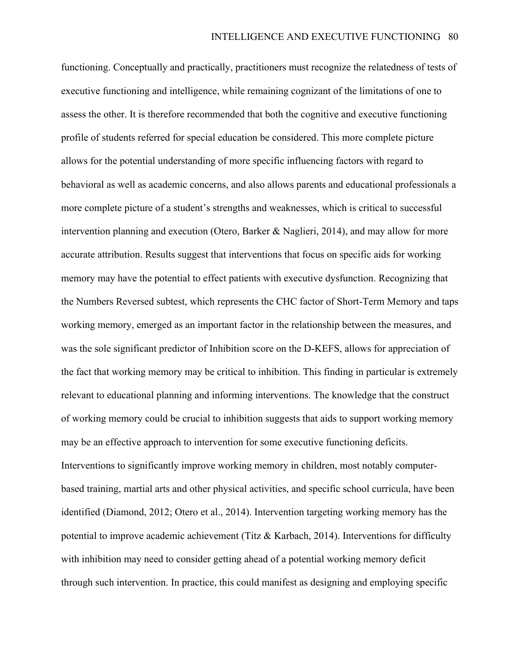functioning. Conceptually and practically, practitioners must recognize the relatedness of tests of executive functioning and intelligence, while remaining cognizant of the limitations of one to assess the other. It is therefore recommended that both the cognitive and executive functioning profile of students referred for special education be considered. This more complete picture allows for the potential understanding of more specific influencing factors with regard to behavioral as well as academic concerns, and also allows parents and educational professionals a more complete picture of a student's strengths and weaknesses, which is critical to successful intervention planning and execution (Otero, Barker & Naglieri, 2014), and may allow for more accurate attribution. Results suggest that interventions that focus on specific aids for working memory may have the potential to effect patients with executive dysfunction. Recognizing that the Numbers Reversed subtest, which represents the CHC factor of Short-Term Memory and taps working memory, emerged as an important factor in the relationship between the measures, and was the sole significant predictor of Inhibition score on the D-KEFS, allows for appreciation of the fact that working memory may be critical to inhibition. This finding in particular is extremely relevant to educational planning and informing interventions. The knowledge that the construct of working memory could be crucial to inhibition suggests that aids to support working memory may be an effective approach to intervention for some executive functioning deficits. Interventions to significantly improve working memory in children, most notably computerbased training, martial arts and other physical activities, and specific school curricula, have been identified (Diamond, 2012; Otero et al., 2014). Intervention targeting working memory has the potential to improve academic achievement (Titz & Karbach, 2014). Interventions for difficulty with inhibition may need to consider getting ahead of a potential working memory deficit through such intervention. In practice, this could manifest as designing and employing specific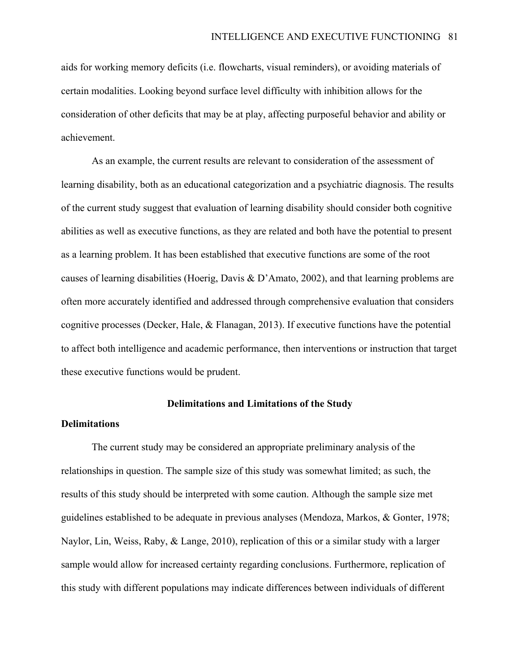aids for working memory deficits (i.e. flowcharts, visual reminders), or avoiding materials of certain modalities. Looking beyond surface level difficulty with inhibition allows for the consideration of other deficits that may be at play, affecting purposeful behavior and ability or achievement.

As an example, the current results are relevant to consideration of the assessment of learning disability, both as an educational categorization and a psychiatric diagnosis. The results of the current study suggest that evaluation of learning disability should consider both cognitive abilities as well as executive functions, as they are related and both have the potential to present as a learning problem. It has been established that executive functions are some of the root causes of learning disabilities (Hoerig, Davis & D'Amato, 2002), and that learning problems are often more accurately identified and addressed through comprehensive evaluation that considers cognitive processes (Decker, Hale, & Flanagan, 2013). If executive functions have the potential to affect both intelligence and academic performance, then interventions or instruction that target these executive functions would be prudent.

### **Delimitations and Limitations of the Study**

### **Delimitations**

The current study may be considered an appropriate preliminary analysis of the relationships in question. The sample size of this study was somewhat limited; as such, the results of this study should be interpreted with some caution. Although the sample size met guidelines established to be adequate in previous analyses (Mendoza, Markos, & Gonter, 1978; Naylor, Lin, Weiss, Raby, & Lange, 2010), replication of this or a similar study with a larger sample would allow for increased certainty regarding conclusions. Furthermore, replication of this study with different populations may indicate differences between individuals of different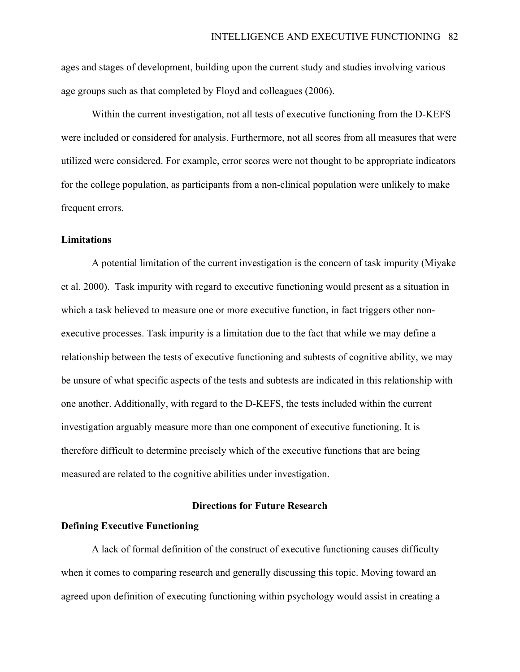ages and stages of development, building upon the current study and studies involving various age groups such as that completed by Floyd and colleagues (2006).

Within the current investigation, not all tests of executive functioning from the D-KEFS were included or considered for analysis. Furthermore, not all scores from all measures that were utilized were considered. For example, error scores were not thought to be appropriate indicators for the college population, as participants from a non-clinical population were unlikely to make frequent errors.

# **Limitations**

A potential limitation of the current investigation is the concern of task impurity (Miyake et al. 2000). Task impurity with regard to executive functioning would present as a situation in which a task believed to measure one or more executive function, in fact triggers other nonexecutive processes. Task impurity is a limitation due to the fact that while we may define a relationship between the tests of executive functioning and subtests of cognitive ability, we may be unsure of what specific aspects of the tests and subtests are indicated in this relationship with one another. Additionally, with regard to the D-KEFS, the tests included within the current investigation arguably measure more than one component of executive functioning. It is therefore difficult to determine precisely which of the executive functions that are being measured are related to the cognitive abilities under investigation.

# **Directions for Future Research**

# **Defining Executive Functioning**

A lack of formal definition of the construct of executive functioning causes difficulty when it comes to comparing research and generally discussing this topic. Moving toward an agreed upon definition of executing functioning within psychology would assist in creating a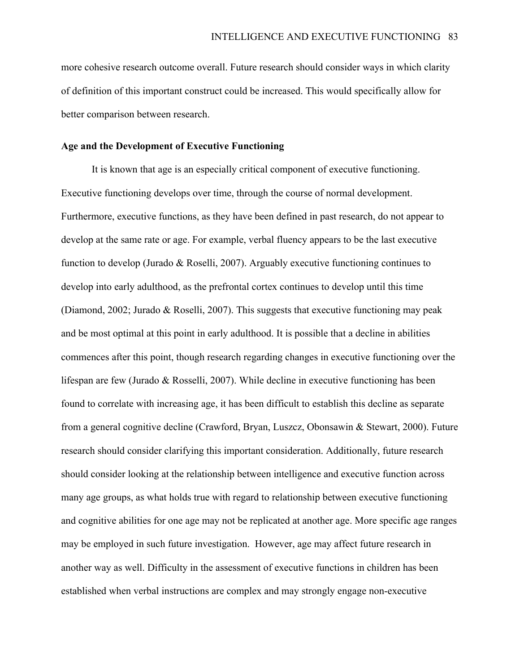more cohesive research outcome overall. Future research should consider ways in which clarity of definition of this important construct could be increased. This would specifically allow for better comparison between research.

# **Age and the Development of Executive Functioning**

It is known that age is an especially critical component of executive functioning. Executive functioning develops over time, through the course of normal development. Furthermore, executive functions, as they have been defined in past research, do not appear to develop at the same rate or age. For example, verbal fluency appears to be the last executive function to develop (Jurado & Roselli, 2007). Arguably executive functioning continues to develop into early adulthood, as the prefrontal cortex continues to develop until this time (Diamond, 2002; Jurado & Roselli, 2007). This suggests that executive functioning may peak and be most optimal at this point in early adulthood. It is possible that a decline in abilities commences after this point, though research regarding changes in executive functioning over the lifespan are few (Jurado & Rosselli, 2007). While decline in executive functioning has been found to correlate with increasing age, it has been difficult to establish this decline as separate from a general cognitive decline (Crawford, Bryan, Luszcz, Obonsawin & Stewart, 2000). Future research should consider clarifying this important consideration. Additionally, future research should consider looking at the relationship between intelligence and executive function across many age groups, as what holds true with regard to relationship between executive functioning and cognitive abilities for one age may not be replicated at another age. More specific age ranges may be employed in such future investigation. However, age may affect future research in another way as well. Difficulty in the assessment of executive functions in children has been established when verbal instructions are complex and may strongly engage non-executive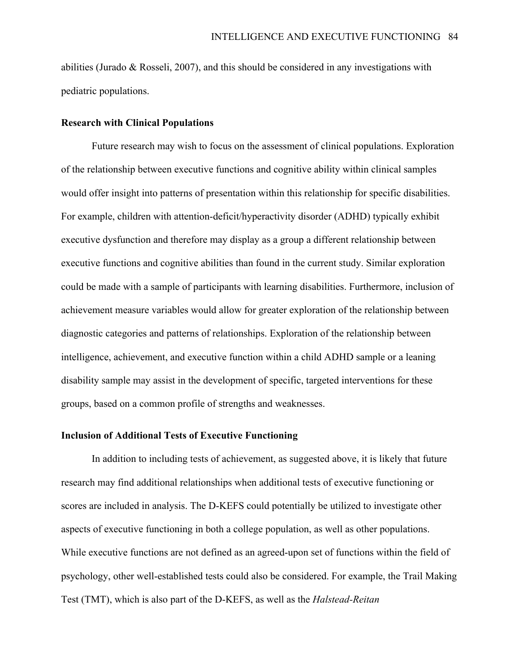abilities (Jurado  $\&$  Rosseli, 2007), and this should be considered in any investigations with pediatric populations.

### **Research with Clinical Populations**

Future research may wish to focus on the assessment of clinical populations. Exploration of the relationship between executive functions and cognitive ability within clinical samples would offer insight into patterns of presentation within this relationship for specific disabilities. For example, children with attention-deficit/hyperactivity disorder (ADHD) typically exhibit executive dysfunction and therefore may display as a group a different relationship between executive functions and cognitive abilities than found in the current study. Similar exploration could be made with a sample of participants with learning disabilities. Furthermore, inclusion of achievement measure variables would allow for greater exploration of the relationship between diagnostic categories and patterns of relationships. Exploration of the relationship between intelligence, achievement, and executive function within a child ADHD sample or a leaning disability sample may assist in the development of specific, targeted interventions for these groups, based on a common profile of strengths and weaknesses.

# **Inclusion of Additional Tests of Executive Functioning**

In addition to including tests of achievement, as suggested above, it is likely that future research may find additional relationships when additional tests of executive functioning or scores are included in analysis. The D-KEFS could potentially be utilized to investigate other aspects of executive functioning in both a college population, as well as other populations. While executive functions are not defined as an agreed-upon set of functions within the field of psychology, other well-established tests could also be considered. For example, the Trail Making Test (TMT), which is also part of the D-KEFS, as well as the *Halstead-Reitan*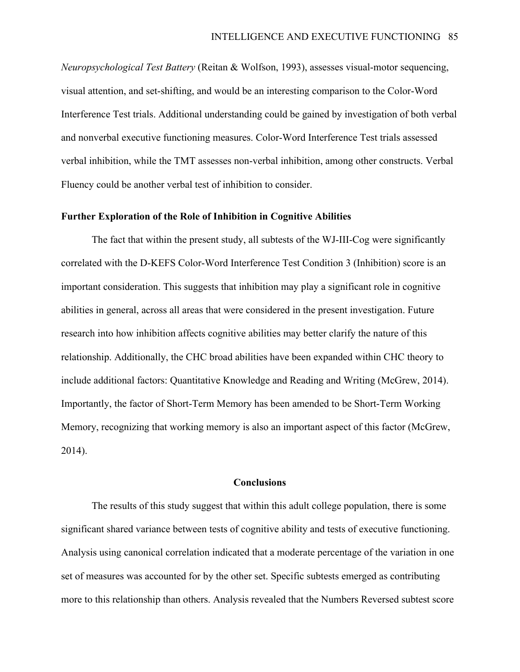*Neuropsychological Test Battery* (Reitan & Wolfson, 1993), assesses visual-motor sequencing, visual attention, and set-shifting, and would be an interesting comparison to the Color-Word Interference Test trials. Additional understanding could be gained by investigation of both verbal and nonverbal executive functioning measures. Color-Word Interference Test trials assessed verbal inhibition, while the TMT assesses non-verbal inhibition, among other constructs. Verbal Fluency could be another verbal test of inhibition to consider.

### **Further Exploration of the Role of Inhibition in Cognitive Abilities**

The fact that within the present study, all subtests of the WJ-III-Cog were significantly correlated with the D-KEFS Color-Word Interference Test Condition 3 (Inhibition) score is an important consideration. This suggests that inhibition may play a significant role in cognitive abilities in general, across all areas that were considered in the present investigation. Future research into how inhibition affects cognitive abilities may better clarify the nature of this relationship. Additionally, the CHC broad abilities have been expanded within CHC theory to include additional factors: Quantitative Knowledge and Reading and Writing (McGrew, 2014). Importantly, the factor of Short-Term Memory has been amended to be Short-Term Working Memory, recognizing that working memory is also an important aspect of this factor (McGrew, 2014).

#### **Conclusions**

The results of this study suggest that within this adult college population, there is some significant shared variance between tests of cognitive ability and tests of executive functioning. Analysis using canonical correlation indicated that a moderate percentage of the variation in one set of measures was accounted for by the other set. Specific subtests emerged as contributing more to this relationship than others. Analysis revealed that the Numbers Reversed subtest score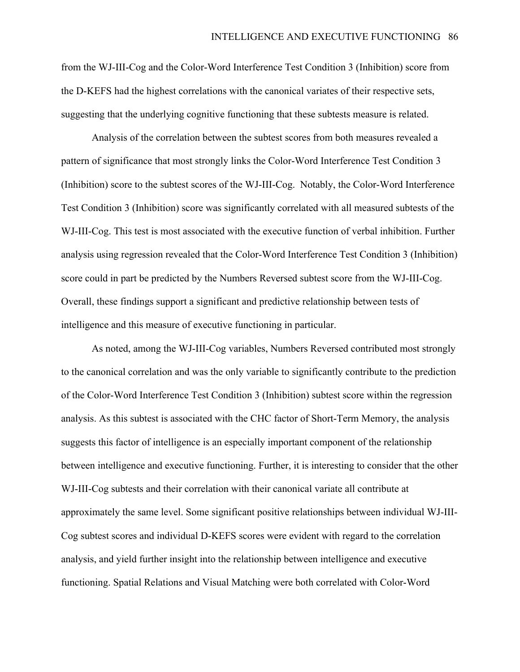from the WJ-III-Cog and the Color-Word Interference Test Condition 3 (Inhibition) score from the D-KEFS had the highest correlations with the canonical variates of their respective sets, suggesting that the underlying cognitive functioning that these subtests measure is related.

Analysis of the correlation between the subtest scores from both measures revealed a pattern of significance that most strongly links the Color-Word Interference Test Condition 3 (Inhibition) score to the subtest scores of the WJ-III-Cog. Notably, the Color-Word Interference Test Condition 3 (Inhibition) score was significantly correlated with all measured subtests of the WJ-III-Cog. This test is most associated with the executive function of verbal inhibition. Further analysis using regression revealed that the Color-Word Interference Test Condition 3 (Inhibition) score could in part be predicted by the Numbers Reversed subtest score from the WJ-III-Cog. Overall, these findings support a significant and predictive relationship between tests of intelligence and this measure of executive functioning in particular.

As noted, among the WJ-III-Cog variables, Numbers Reversed contributed most strongly to the canonical correlation and was the only variable to significantly contribute to the prediction of the Color-Word Interference Test Condition 3 (Inhibition) subtest score within the regression analysis. As this subtest is associated with the CHC factor of Short-Term Memory, the analysis suggests this factor of intelligence is an especially important component of the relationship between intelligence and executive functioning. Further, it is interesting to consider that the other WJ-III-Cog subtests and their correlation with their canonical variate all contribute at approximately the same level. Some significant positive relationships between individual WJ-III-Cog subtest scores and individual D-KEFS scores were evident with regard to the correlation analysis, and yield further insight into the relationship between intelligence and executive functioning. Spatial Relations and Visual Matching were both correlated with Color-Word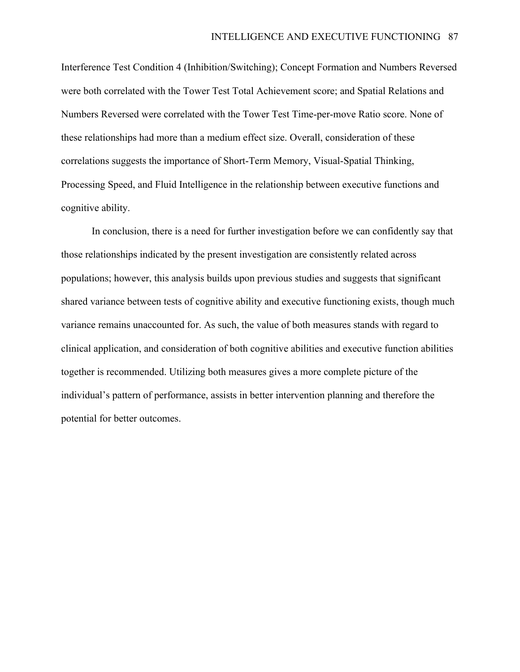Interference Test Condition 4 (Inhibition/Switching); Concept Formation and Numbers Reversed were both correlated with the Tower Test Total Achievement score; and Spatial Relations and Numbers Reversed were correlated with the Tower Test Time-per-move Ratio score. None of these relationships had more than a medium effect size. Overall, consideration of these correlations suggests the importance of Short-Term Memory, Visual-Spatial Thinking, Processing Speed, and Fluid Intelligence in the relationship between executive functions and cognitive ability.

In conclusion, there is a need for further investigation before we can confidently say that those relationships indicated by the present investigation are consistently related across populations; however, this analysis builds upon previous studies and suggests that significant shared variance between tests of cognitive ability and executive functioning exists, though much variance remains unaccounted for. As such, the value of both measures stands with regard to clinical application, and consideration of both cognitive abilities and executive function abilities together is recommended. Utilizing both measures gives a more complete picture of the individual's pattern of performance, assists in better intervention planning and therefore the potential for better outcomes.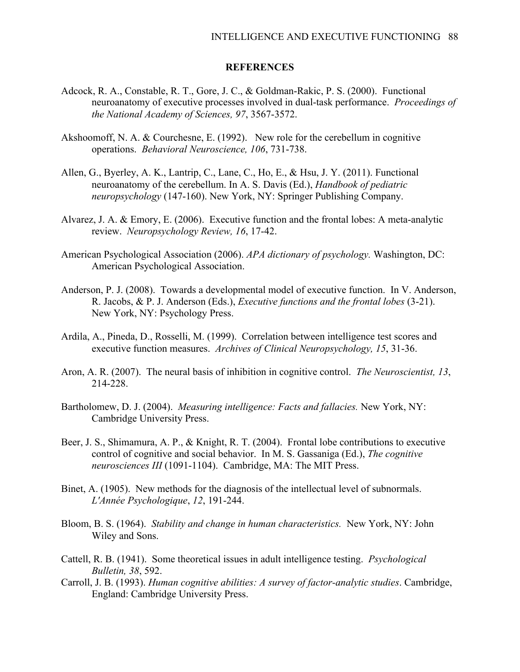### **REFERENCES**

- Adcock, R. A., Constable, R. T., Gore, J. C., & Goldman-Rakic, P. S. (2000). Functional neuroanatomy of executive processes involved in dual-task performance. *Proceedings of the National Academy of Sciences, 97*, 3567-3572.
- Akshoomoff, N. A. & Courchesne, E. (1992). New role for the cerebellum in cognitive operations. *Behavioral Neuroscience, 106*, 731-738.
- Allen, G., Byerley, A. K., Lantrip, C., Lane, C., Ho, E., & Hsu, J. Y. (2011). Functional neuroanatomy of the cerebellum. In A. S. Davis (Ed.), *Handbook of pediatric neuropsychology* (147-160). New York, NY: Springer Publishing Company.
- Alvarez, J. A. & Emory, E. (2006). Executive function and the frontal lobes: A meta-analytic review. *Neuropsychology Review, 16*, 17-42.
- American Psychological Association (2006). *APA dictionary of psychology.* Washington, DC: American Psychological Association.
- Anderson, P. J. (2008). Towards a developmental model of executive function. In V. Anderson, R. Jacobs, & P. J. Anderson (Eds.), *Executive functions and the frontal lobes* (3-21). New York, NY: Psychology Press.
- Ardila, A., Pineda, D., Rosselli, M. (1999). Correlation between intelligence test scores and executive function measures. *Archives of Clinical Neuropsychology, 15*, 31-36.
- Aron, A. R. (2007). The neural basis of inhibition in cognitive control. *The Neuroscientist, 13*, 214-228.
- Bartholomew, D. J. (2004). *Measuring intelligence: Facts and fallacies.* New York, NY: Cambridge University Press.
- Beer, J. S., Shimamura, A. P., & Knight, R. T. (2004). Frontal lobe contributions to executive control of cognitive and social behavior. In M. S. Gassaniga (Ed.), *The cognitive neurosciences III* (1091-1104). Cambridge, MA: The MIT Press.
- Binet, A. (1905). New methods for the diagnosis of the intellectual level of subnormals. *L'Année Psychologique*, *12*, 191-244.
- Bloom, B. S. (1964). *Stability and change in human characteristics.* New York, NY: John Wiley and Sons.
- Cattell, R. B. (1941). Some theoretical issues in adult intelligence testing. *Psychological Bulletin, 38*, 592.
- Carroll, J. B. (1993). *Human cognitive abilities: A survey of factor-analytic studies*. Cambridge, England: Cambridge University Press.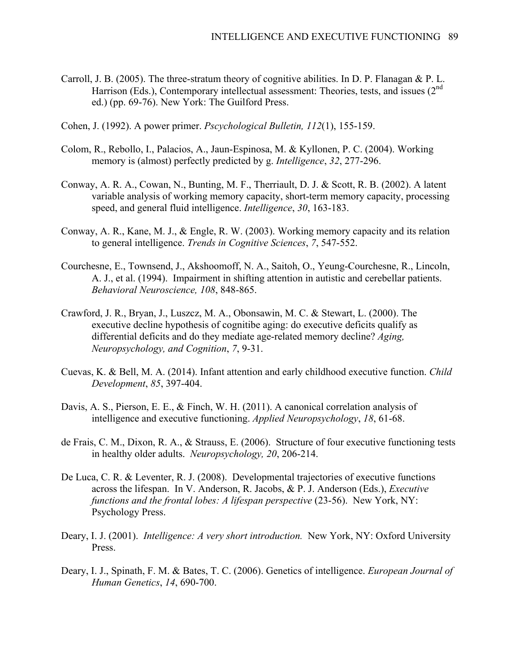- Carroll, J. B. (2005). The three-stratum theory of cognitive abilities. In D. P. Flanagan & P. L. Harrison (Eds.), Contemporary intellectual assessment: Theories, tests, and issues  $(2<sup>nd</sup>$ ed.) (pp. 69-76). New York: The Guilford Press.
- Cohen, J. (1992). A power primer. *Pscychological Bulletin, 112*(1), 155-159.
- Colom, R., Rebollo, I., Palacios, A., Jaun-Espinosa, M. & Kyllonen, P. C. (2004). Working memory is (almost) perfectly predicted by g. *Intelligence*, *32*, 277-296.
- Conway, A. R. A., Cowan, N., Bunting, M. F., Therriault, D. J. & Scott, R. B. (2002). A latent variable analysis of working memory capacity, short-term memory capacity, processing speed, and general fluid intelligence. *Intelligence*, *30*, 163-183.
- Conway, A. R., Kane, M. J., & Engle, R. W. (2003). Working memory capacity and its relation to general intelligence. *Trends in Cognitive Sciences*, *7*, 547-552.
- Courchesne, E., Townsend, J., Akshoomoff, N. A., Saitoh, O., Yeung-Courchesne, R., Lincoln, A. J., et al. (1994). Impairment in shifting attention in autistic and cerebellar patients. *Behavioral Neuroscience, 108*, 848-865.
- Crawford, J. R., Bryan, J., Luszcz, M. A., Obonsawin, M. C. & Stewart, L. (2000). The executive decline hypothesis of cognitibe aging: do executive deficits qualify as differential deficits and do they mediate age-related memory decline? *Aging, Neuropsychology, and Cognition*, *7*, 9-31.
- Cuevas, K. & Bell, M. A. (2014). Infant attention and early childhood executive function. *Child Development*, *85*, 397-404.
- Davis, A. S., Pierson, E. E., & Finch, W. H. (2011). A canonical correlation analysis of intelligence and executive functioning. *Applied Neuropsychology*, *18*, 61-68.
- de Frais, C. M., Dixon, R. A., & Strauss, E. (2006). Structure of four executive functioning tests in healthy older adults. *Neuropsychology, 20*, 206-214.
- De Luca, C. R. & Leventer, R. J. (2008). Developmental trajectories of executive functions across the lifespan. In V. Anderson, R. Jacobs, & P. J. Anderson (Eds.), *Executive functions and the frontal lobes: A lifespan perspective* (23-56). New York, NY: Psychology Press.
- Deary, I. J. (2001). *Intelligence: A very short introduction.* New York, NY: Oxford University Press.
- Deary, I. J., Spinath, F. M. & Bates, T. C. (2006). Genetics of intelligence. *European Journal of Human Genetics*, *14*, 690-700.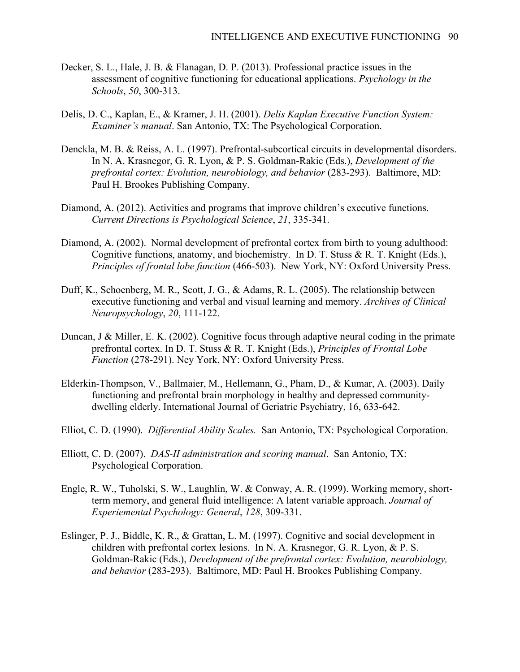- Decker, S. L., Hale, J. B. & Flanagan, D. P. (2013). Professional practice issues in the assessment of cognitive functioning for educational applications. *Psychology in the Schools*, *50*, 300-313.
- Delis, D. C., Kaplan, E., & Kramer, J. H. (2001). *Delis Kaplan Executive Function System: Examiner's manual*. San Antonio, TX: The Psychological Corporation.
- Denckla, M. B. & Reiss, A. L. (1997). Prefrontal-subcortical circuits in developmental disorders. In N. A. Krasnegor, G. R. Lyon, & P. S. Goldman-Rakic (Eds.), *Development of the prefrontal cortex: Evolution, neurobiology, and behavior* (283-293). Baltimore, MD: Paul H. Brookes Publishing Company.
- Diamond, A. (2012). Activities and programs that improve children's executive functions. *Current Directions is Psychological Science*, *21*, 335-341.
- Diamond, A. (2002). Normal development of prefrontal cortex from birth to young adulthood: Cognitive functions, anatomy, and biochemistry. In D. T. Stuss & R. T. Knight (Eds.), *Principles of frontal lobe function* (466-503). New York, NY: Oxford University Press.
- Duff, K., Schoenberg, M. R., Scott, J. G., & Adams, R. L. (2005). The relationship between executive functioning and verbal and visual learning and memory. *Archives of Clinical Neuropsychology*, *20*, 111-122.
- Duncan, J & Miller, E. K. (2002). Cognitive focus through adaptive neural coding in the primate prefrontal cortex. In D. T. Stuss & R. T. Knight (Eds.), *Principles of Frontal Lobe Function* (278-291). Ney York, NY: Oxford University Press.
- Elderkin-Thompson, V., Ballmaier, M., Hellemann, G., Pham, D., & Kumar, A. (2003). Daily functioning and prefrontal brain morphology in healthy and depressed communitydwelling elderly. International Journal of Geriatric Psychiatry, 16, 633-642.
- Elliot, C. D. (1990). *Differential Ability Scales.* San Antonio, TX: Psychological Corporation.
- Elliott, C. D. (2007). *DAS-II administration and scoring manual*. San Antonio, TX: Psychological Corporation.
- Engle, R. W., Tuholski, S. W., Laughlin, W. & Conway, A. R. (1999). Working memory, shortterm memory, and general fluid intelligence: A latent variable approach. *Journal of Experiemental Psychology: General*, *128*, 309-331.
- Eslinger, P. J., Biddle, K. R., & Grattan, L. M. (1997). Cognitive and social development in children with prefrontal cortex lesions. In N. A. Krasnegor, G. R. Lyon, & P. S. Goldman-Rakic (Eds.), *Development of the prefrontal cortex: Evolution, neurobiology, and behavior* (283-293). Baltimore, MD: Paul H. Brookes Publishing Company.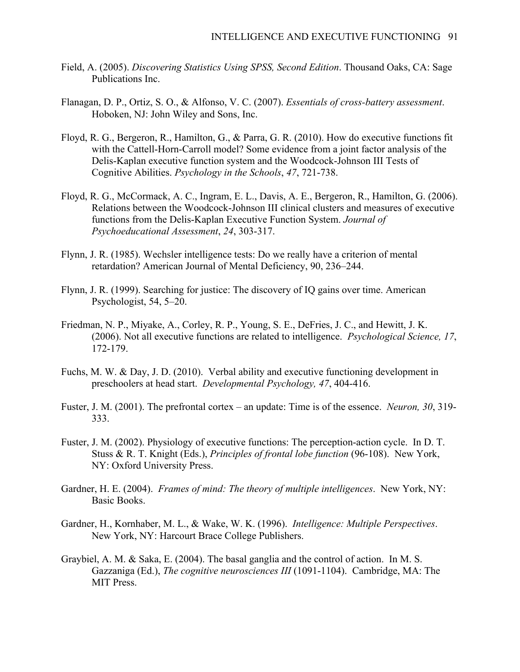- Field, A. (2005). *Discovering Statistics Using SPSS, Second Edition*. Thousand Oaks, CA: Sage Publications Inc.
- Flanagan, D. P., Ortiz, S. O., & Alfonso, V. C. (2007). *Essentials of cross-battery assessment*. Hoboken, NJ: John Wiley and Sons, Inc.
- Floyd, R. G., Bergeron, R., Hamilton, G., & Parra, G. R. (2010). How do executive functions fit with the Cattell-Horn-Carroll model? Some evidence from a joint factor analysis of the Delis-Kaplan executive function system and the Woodcock-Johnson III Tests of Cognitive Abilities. *Psychology in the Schools*, *47*, 721-738.
- Floyd, R. G., McCormack, A. C., Ingram, E. L., Davis, A. E., Bergeron, R., Hamilton, G. (2006). Relations between the Woodcock-Johnson III clinical clusters and measures of executive functions from the Delis-Kaplan Executive Function System. *Journal of Psychoeducational Assessment*, *24*, 303-317.
- Flynn, J. R. (1985). Wechsler intelligence tests: Do we really have a criterion of mental retardation? American Journal of Mental Deficiency, 90, 236–244.
- Flynn, J. R. (1999). Searching for justice: The discovery of IQ gains over time. American Psychologist, 54, 5–20.
- Friedman, N. P., Miyake, A., Corley, R. P., Young, S. E., DeFries, J. C., and Hewitt, J. K. (2006). Not all executive functions are related to intelligence. *Psychological Science, 17*, 172-179.
- Fuchs, M. W. & Day, J. D. (2010). Verbal ability and executive functioning development in preschoolers at head start. *Developmental Psychology, 47*, 404-416.
- Fuster, J. M. (2001). The prefrontal cortex an update: Time is of the essence. *Neuron, 30*, 319- 333.
- Fuster, J. M. (2002). Physiology of executive functions: The perception-action cycle. In D. T. Stuss & R. T. Knight (Eds.), *Principles of frontal lobe function* (96-108). New York, NY: Oxford University Press.
- Gardner, H. E. (2004). *Frames of mind: The theory of multiple intelligences*. New York, NY: Basic Books.
- Gardner, H., Kornhaber, M. L., & Wake, W. K. (1996). *Intelligence: Multiple Perspectives*. New York, NY: Harcourt Brace College Publishers.
- Graybiel, A. M. & Saka, E. (2004). The basal ganglia and the control of action. In M. S. Gazzaniga (Ed.), *The cognitive neurosciences III* (1091-1104). Cambridge, MA: The MIT Press.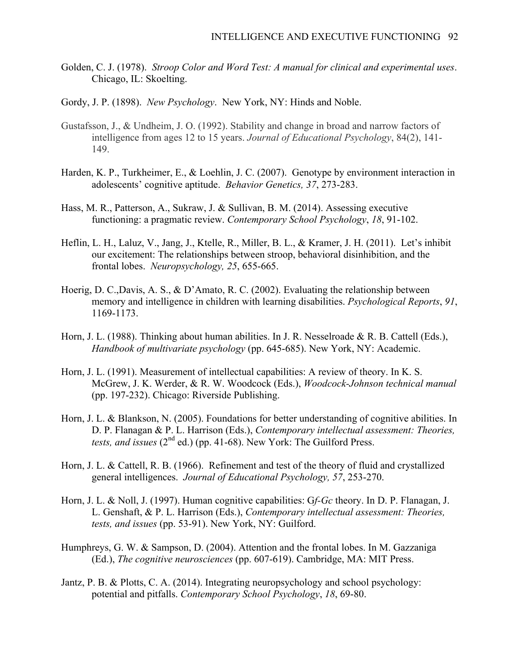- Golden, C. J. (1978). *Stroop Color and Word Test: A manual for clinical and experimental uses*. Chicago, IL: Skoelting.
- Gordy, J. P. (1898). *New Psychology*. New York, NY: Hinds and Noble.
- Gustafsson, J., & Undheim, J. O. (1992). Stability and change in broad and narrow factors of intelligence from ages 12 to 15 years. *Journal of Educational Psychology*, 84(2), 141- 149.
- Harden, K. P., Turkheimer, E., & Loehlin, J. C. (2007). Genotype by environment interaction in adolescents' cognitive aptitude. *Behavior Genetics, 37*, 273-283.
- Hass, M. R., Patterson, A., Sukraw, J. & Sullivan, B. M. (2014). Assessing executive functioning: a pragmatic review. *Contemporary School Psychology*, *18*, 91-102.
- Heflin, L. H., Laluz, V., Jang, J., Ktelle, R., Miller, B. L., & Kramer, J. H. (2011). Let's inhibit our excitement: The relationships between stroop, behavioral disinhibition, and the frontal lobes. *Neuropsychology, 25*, 655-665.
- Hoerig, D. C.,Davis, A. S., & D'Amato, R. C. (2002). Evaluating the relationship between memory and intelligence in children with learning disabilities. *Psychological Reports*, *91*, 1169-1173.
- Horn, J. L. (1988). Thinking about human abilities. In J. R. Nesselroade & R. B. Cattell (Eds.), *Handbook of multivariate psychology* (pp. 645-685). New York, NY: Academic.
- Horn, J. L. (1991). Measurement of intellectual capabilities: A review of theory. In K. S. McGrew, J. K. Werder, & R. W. Woodcock (Eds.), *Woodcock-Johnson technical manual*  (pp. 197-232). Chicago: Riverside Publishing.
- Horn, J. L. & Blankson, N. (2005). Foundations for better understanding of cognitive abilities. In D. P. Flanagan & P. L. Harrison (Eds.), *Contemporary intellectual assessment: Theories, tests, and issues*  $(2^{nd}$  ed.) (pp. 41-68). New York: The Guilford Press.
- Horn, J. L. & Cattell, R. B. (1966). Refinement and test of the theory of fluid and crystallized general intelligences. *Journal of Educational Psychology, 57*, 253-270.
- Horn, J. L. & Noll, J. (1997). Human cognitive capabilities: G*f-Gc* theory. In D. P. Flanagan, J. L. Genshaft, & P. L. Harrison (Eds.), *Contemporary intellectual assessment: Theories, tests, and issues* (pp. 53-91). New York, NY: Guilford.
- Humphreys, G. W. & Sampson, D. (2004). Attention and the frontal lobes. In M. Gazzaniga (Ed.), *The cognitive neurosciences* (pp. 607-619). Cambridge, MA: MIT Press.
- Jantz, P. B. & Plotts, C. A. (2014). Integrating neuropsychology and school psychology: potential and pitfalls. *Contemporary School Psychology*, *18*, 69-80.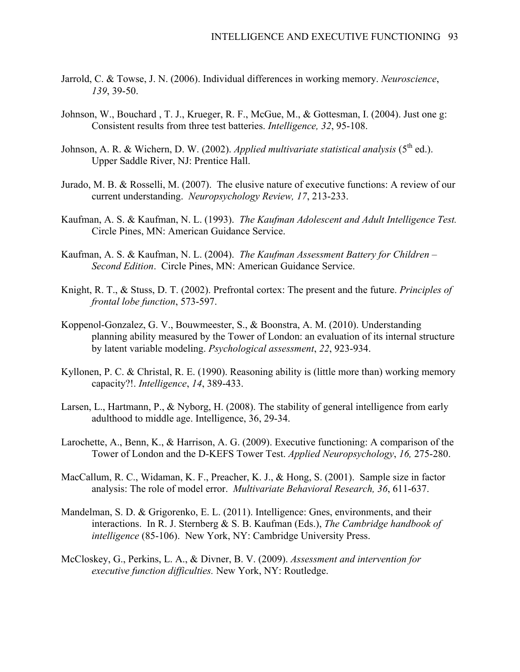- Jarrold, C. & Towse, J. N. (2006). Individual differences in working memory. *Neuroscience*, *139*, 39-50.
- Johnson, W., Bouchard , T. J., Krueger, R. F., McGue, M., & Gottesman, I. (2004). Just one g: Consistent results from three test batteries. *Intelligence, 32*, 95-108.
- Johnson, A. R. & Wichern, D. W. (2002). *Applied multivariate statistical analysis* (5<sup>th</sup> ed.). Upper Saddle River, NJ: Prentice Hall.
- Jurado, M. B. & Rosselli, M. (2007). The elusive nature of executive functions: A review of our current understanding. *Neuropsychology Review, 17*, 213-233.
- Kaufman, A. S. & Kaufman, N. L. (1993). *The Kaufman Adolescent and Adult Intelligence Test.*  Circle Pines, MN: American Guidance Service.
- Kaufman, A. S. & Kaufman, N. L. (2004). *The Kaufman Assessment Battery for Children – Second Edition*. Circle Pines, MN: American Guidance Service.
- Knight, R. T., & Stuss, D. T. (2002). Prefrontal cortex: The present and the future. *Principles of frontal lobe function*, 573-597.
- Koppenol-Gonzalez, G. V., Bouwmeester, S., & Boonstra, A. M. (2010). Understanding planning ability measured by the Tower of London: an evaluation of its internal structure by latent variable modeling. *Psychological assessment*, *22*, 923-934.
- Kyllonen, P. C. & Christal, R. E. (1990). Reasoning ability is (little more than) working memory capacity?!. *Intelligence*, *14*, 389-433.
- Larsen, L., Hartmann, P., & Nyborg, H. (2008). The stability of general intelligence from early adulthood to middle age. Intelligence, 36, 29-34.
- Larochette, A., Benn, K., & Harrison, A. G. (2009). Executive functioning: A comparison of the Tower of London and the D-KEFS Tower Test. *Applied Neuropsychology*, *16,* 275-280.
- MacCallum, R. C., Widaman, K. F., Preacher, K. J., & Hong, S. (2001). Sample size in factor analysis: The role of model error. *Multivariate Behavioral Research, 36*, 611-637.
- Mandelman, S. D. & Grigorenko, E. L. (2011). Intelligence: Gnes, environments, and their interactions. In R. J. Sternberg & S. B. Kaufman (Eds.), *The Cambridge handbook of intelligence* (85-106). New York, NY: Cambridge University Press.
- McCloskey, G., Perkins, L. A., & Divner, B. V. (2009). *Assessment and intervention for executive function difficulties.* New York, NY: Routledge.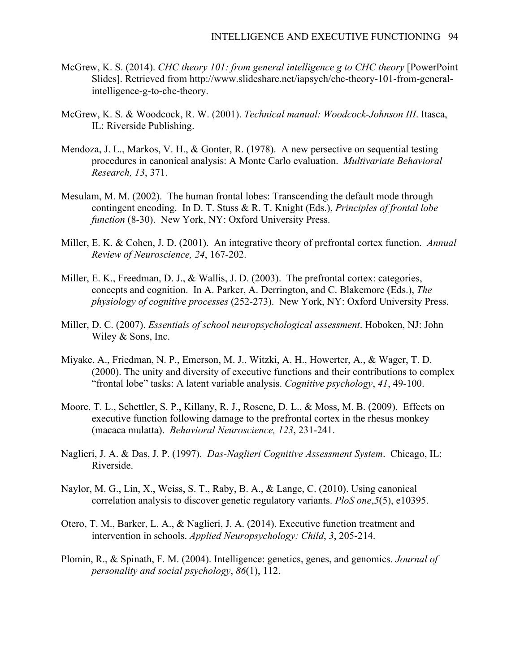- McGrew, K. S. (2014). *CHC theory 101: from general intelligence g to CHC theory* [PowerPoint Slides]. Retrieved from http://www.slideshare.net/iapsych/chc-theory-101-from-generalintelligence-g-to-chc-theory.
- McGrew, K. S. & Woodcock, R. W. (2001). *Technical manual: Woodcock-Johnson III*. Itasca, IL: Riverside Publishing.
- Mendoza, J. L., Markos, V. H., & Gonter, R. (1978). A new persective on sequential testing procedures in canonical analysis: A Monte Carlo evaluation. *Multivariate Behavioral Research, 13*, 371.
- Mesulam, M. M. (2002). The human frontal lobes: Transcending the default mode through contingent encoding. In D. T. Stuss & R. T. Knight (Eds.), *Principles of frontal lobe function* (8-30). New York, NY: Oxford University Press.
- Miller, E. K. & Cohen, J. D. (2001). An integrative theory of prefrontal cortex function. *Annual Review of Neuroscience, 24*, 167-202.
- Miller, E. K., Freedman, D. J., & Wallis, J. D. (2003). The prefrontal cortex: categories, concepts and cognition. In A. Parker, A. Derrington, and C. Blakemore (Eds.), *The physiology of cognitive processes* (252-273). New York, NY: Oxford University Press.
- Miller, D. C. (2007). *Essentials of school neuropsychological assessment*. Hoboken, NJ: John Wiley & Sons, Inc.
- Miyake, A., Friedman, N. P., Emerson, M. J., Witzki, A. H., Howerter, A., & Wager, T. D. (2000). The unity and diversity of executive functions and their contributions to complex "frontal lobe" tasks: A latent variable analysis. *Cognitive psychology*, *41*, 49-100.
- Moore, T. L., Schettler, S. P., Killany, R. J., Rosene, D. L., & Moss, M. B. (2009). Effects on executive function following damage to the prefrontal cortex in the rhesus monkey (macaca mulatta). *Behavioral Neuroscience, 123*, 231-241.
- Naglieri, J. A. & Das, J. P. (1997). *Das-Naglieri Cognitive Assessment System*. Chicago, IL: Riverside.
- Naylor, M. G., Lin, X., Weiss, S. T., Raby, B. A., & Lange, C. (2010). Using canonical correlation analysis to discover genetic regulatory variants. *PloS one*,*5*(5), e10395.
- Otero, T. M., Barker, L. A., & Naglieri, J. A. (2014). Executive function treatment and intervention in schools. *Applied Neuropsychology: Child*, *3*, 205-214.
- Plomin, R., & Spinath, F. M. (2004). Intelligence: genetics, genes, and genomics. *Journal of personality and social psychology*, *86*(1), 112.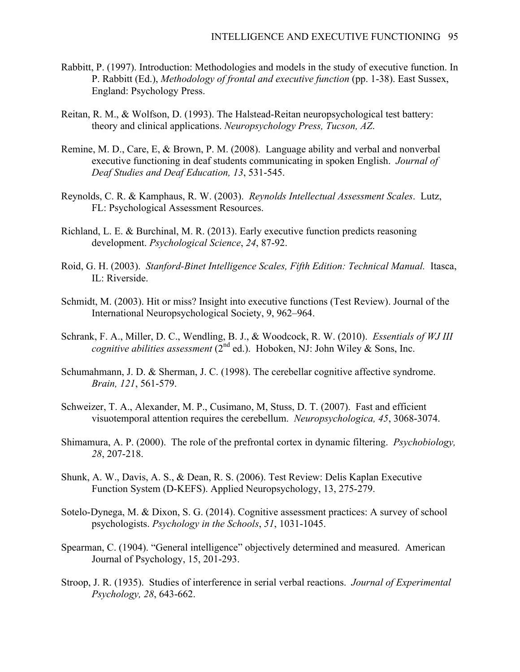- Rabbitt, P. (1997). Introduction: Methodologies and models in the study of executive function. In P. Rabbitt (Ed.), *Methodology of frontal and executive function* (pp. 1-38). East Sussex, England: Psychology Press.
- Reitan, R. M., & Wolfson, D. (1993). The Halstead-Reitan neuropsychological test battery: theory and clinical applications. *Neuropsychology Press, Tucson, AZ*.
- Remine, M. D., Care, E, & Brown, P. M. (2008). Language ability and verbal and nonverbal executive functioning in deaf students communicating in spoken English. *Journal of Deaf Studies and Deaf Education, 13*, 531-545.
- Reynolds, C. R. & Kamphaus, R. W. (2003). *Reynolds Intellectual Assessment Scales*. Lutz, FL: Psychological Assessment Resources.
- Richland, L. E. & Burchinal, M. R. (2013). Early executive function predicts reasoning development. *Psychological Science*, *24*, 87-92.
- Roid, G. H. (2003). *Stanford-Binet Intelligence Scales, Fifth Edition: Technical Manual.* Itasca, IL: Riverside.
- Schmidt, M. (2003). Hit or miss? Insight into executive functions (Test Review). Journal of the International Neuropsychological Society, 9, 962–964.
- Schrank, F. A., Miller, D. C., Wendling, B. J., & Woodcock, R. W. (2010). *Essentials of WJ III cognitive abilities assessment* (2<sup>nd</sup> ed.). Hoboken, NJ: John Wiley & Sons, Inc.
- Schumahmann, J. D. & Sherman, J. C. (1998). The cerebellar cognitive affective syndrome. *Brain, 121*, 561-579.
- Schweizer, T. A., Alexander, M. P., Cusimano, M, Stuss, D. T. (2007). Fast and efficient visuotemporal attention requires the cerebellum. *Neuropsychologica, 45*, 3068-3074.
- Shimamura, A. P. (2000). The role of the prefrontal cortex in dynamic filtering. *Psychobiology, 28*, 207-218.
- Shunk, A. W., Davis, A. S., & Dean, R. S. (2006). Test Review: Delis Kaplan Executive Function System (D-KEFS). Applied Neuropsychology, 13, 275-279.
- Sotelo-Dynega, M. & Dixon, S. G. (2014). Cognitive assessment practices: A survey of school psychologists. *Psychology in the Schools*, *51*, 1031-1045.
- Spearman, C. (1904). "General intelligence" objectively determined and measured. American Journal of Psychology, 15, 201-293.
- Stroop, J. R. (1935). Studies of interference in serial verbal reactions. *Journal of Experimental Psychology, 28*, 643-662.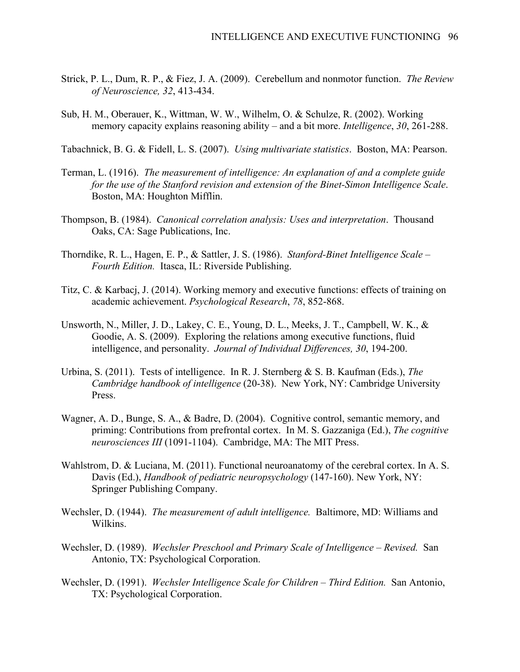- Strick, P. L., Dum, R. P., & Fiez, J. A. (2009). Cerebellum and nonmotor function. *The Review of Neuroscience, 32*, 413-434.
- Sub, H. M., Oberauer, K., Wittman, W. W., Wilhelm, O. & Schulze, R. (2002). Working memory capacity explains reasoning ability – and a bit more. *Intelligence*, *30*, 261-288.

Tabachnick, B. G. & Fidell, L. S. (2007). *Using multivariate statistics*. Boston, MA: Pearson.

- Terman, L. (1916). *The measurement of intelligence: An explanation of and a complete guide for the use of the Stanford revision and extension of the Binet-Simon Intelligence Scale*. Boston, MA: Houghton Mifflin.
- Thompson, B. (1984). *Canonical correlation analysis: Uses and interpretation*. Thousand Oaks, CA: Sage Publications, Inc.
- Thorndike, R. L., Hagen, E. P., & Sattler, J. S. (1986). *Stanford-Binet Intelligence Scale – Fourth Edition.* Itasca, IL: Riverside Publishing.
- Titz, C. & Karbacj, J. (2014). Working memory and executive functions: effects of training on academic achievement. *Psychological Research*, *78*, 852-868.
- Unsworth, N., Miller, J. D., Lakey, C. E., Young, D. L., Meeks, J. T., Campbell, W. K., & Goodie, A. S. (2009). Exploring the relations among executive functions, fluid intelligence, and personality. *Journal of Individual Differences, 30*, 194-200.
- Urbina, S. (2011). Tests of intelligence. In R. J. Sternberg & S. B. Kaufman (Eds.), *The Cambridge handbook of intelligence* (20-38). New York, NY: Cambridge University Press.
- Wagner, A. D., Bunge, S. A., & Badre, D. (2004). Cognitive control, semantic memory, and priming: Contributions from prefrontal cortex. In M. S. Gazzaniga (Ed.), *The cognitive neurosciences III* (1091-1104). Cambridge, MA: The MIT Press.
- Wahlstrom, D. & Luciana, M. (2011). Functional neuroanatomy of the cerebral cortex. In A. S. Davis (Ed.), *Handbook of pediatric neuropsychology* (147-160). New York, NY: Springer Publishing Company.
- Wechsler, D. (1944). *The measurement of adult intelligence.* Baltimore, MD: Williams and Wilkins.
- Wechsler, D. (1989). *Wechsler Preschool and Primary Scale of Intelligence – Revised.* San Antonio, TX: Psychological Corporation.
- Wechsler, D. (1991). *Wechsler Intelligence Scale for Children – Third Edition.* San Antonio, TX: Psychological Corporation.